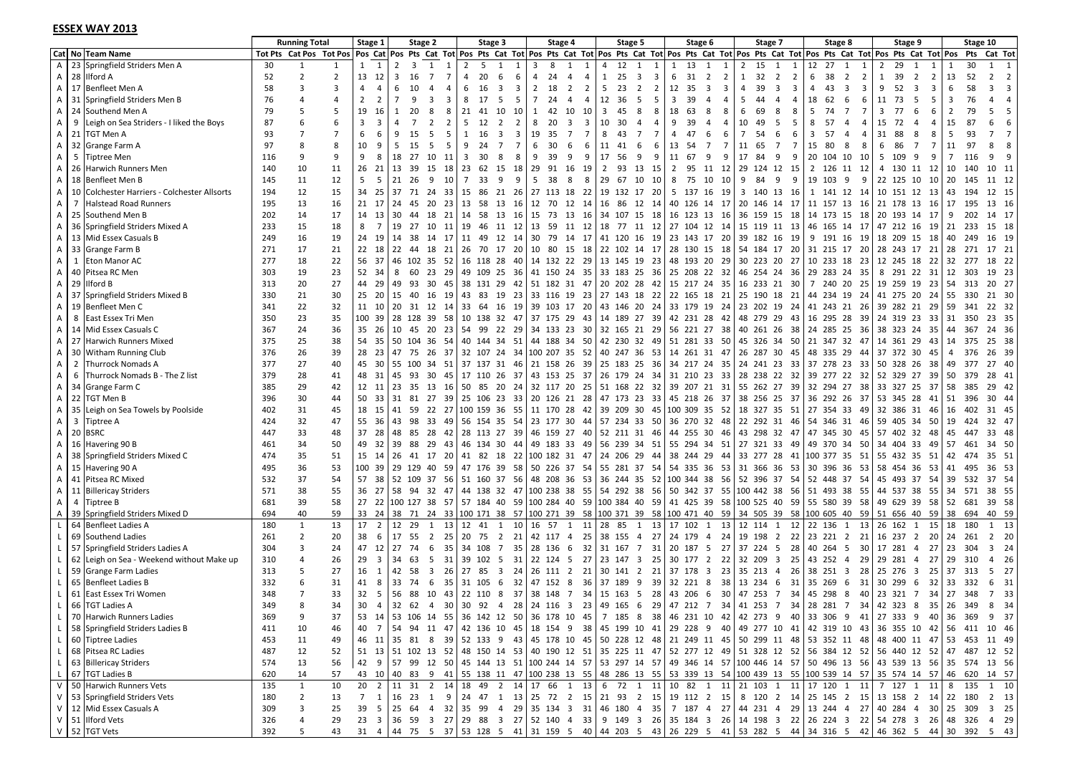#### **ESSEX WAY 2013**

|                              |   | <u>ESSEA WAT ZUIS</u>                                   |            |                                                 |                |                                                                                                      |                |                               |                |                       |                         |          |           |                              |         |                           |                         |          |                                         |                                  |                  |                         |                |                      |                                                                                                                                                        |                |                                               |                       |       |             |                                                                                                                                                                                                                                                                    |
|------------------------------|---|---------------------------------------------------------|------------|-------------------------------------------------|----------------|------------------------------------------------------------------------------------------------------|----------------|-------------------------------|----------------|-----------------------|-------------------------|----------|-----------|------------------------------|---------|---------------------------|-------------------------|----------|-----------------------------------------|----------------------------------|------------------|-------------------------|----------------|----------------------|--------------------------------------------------------------------------------------------------------------------------------------------------------|----------------|-----------------------------------------------|-----------------------|-------|-------------|--------------------------------------------------------------------------------------------------------------------------------------------------------------------------------------------------------------------------------------------------------------------|
|                              |   | Cat No Team Name                                        |            | <b>Running Total</b><br>Tot Pts Cat Pos Tot Pos |                | Stage 1                                                                                              |                | Stage 2                       |                |                       | Stage 3                 |          |           | Stage 4                      |         | Stage 5                   |                         |          | Stage 6                                 |                                  |                  | Stage 7                 |                |                      | Stage 8                                                                                                                                                |                | Stage 9                                       |                       |       | Stage 10    | Pos Cat  Pos Pts Cat Tot  Pos Pts Cat Tot  Pos Pts Cat Tot  Pos Pts Cat Tot  Pos Pts Cat Tot  Pos Pts Cat Tot  Pos Pts Cat Tot  Pos Pts Cat Tot  Pos Pts Cat Tot  Pos Pts Cat Tot  Pos Pts Cat Tot  Pos Pts Cat Tot  Pos Pts C                                     |
| A                            |   | 23 Springfield Striders Men A                           | 30         | 1                                               |                | $1 \quad 1$                                                                                          | $\overline{2}$ | 3<br>1                        | 1              | $\overline{2}$<br>5   | 1                       |          | 8         | 1                            | 1       | 12<br>4                   | 1                       | -1       | 13<br>$\mathbf{1}$                      | 1<br>1                           | 15               | 1                       | 1              | 12<br>27             |                                                                                                                                                        | 1              | 29<br>2                                       |                       |       | 30          | 1                                                                                                                                                                                                                                                                  |
| A                            |   | 28 Ilford A                                             | 52         | $\overline{2}$                                  | $\overline{2}$ | 13 12                                                                                                | 3              | 16<br>$\overline{7}$          | $\overline{7}$ | 4<br>20               | 6                       | 6        | 24<br>4   | $\overline{4}$               | 4       | 25<br>1                   | $\overline{\mathbf{3}}$ | 3        | 6<br>31                                 | $\overline{2}$<br>$\overline{2}$ | 32<br>1          | $\overline{2}$          | $\overline{2}$ | 6<br>38              | $\overline{2}$                                                                                                                                         | $\overline{2}$ | 1<br>39                                       | $\overline{2}$<br>2   | 13    | 52          | $\overline{\mathbf{2}}$<br>$\overline{2}$                                                                                                                                                                                                                          |
| A                            |   | 17 Benfleet Men A                                       | 58         | 3                                               | $\overline{3}$ | 4<br>4                                                                                               | 6              | 10<br>4                       | -4             | 6<br>16               | 3                       | 3<br>2   | - 18      | $\overline{2}$               | 5<br>2  | 23                        | 2                       | 2        | 12<br>35                                | 3<br>3                           | 39<br>4          | 3                       | 3              | 4                    | 3<br>43                                                                                                                                                | 3              | 9<br>52                                       | -3<br>3               | 6     | 58          | $\overline{3}$<br>3                                                                                                                                                                                                                                                |
| A                            |   | 31 Springfield Striders Men B                           | 76         | 4                                               |                | $\overline{2}$<br>2                                                                                  | 7              | 9<br>3                        | 3              | 8<br>17               | .5                      | 5<br>7   | -24       | 4                            | 4       | 12<br>36                  | - 5                     | 5        | 3<br>39                                 | $\overline{4}$<br>4              | 5<br>44          | $\overline{a}$          | 4              | 62<br>18             | 6                                                                                                                                                      | 6              | 11<br>73                                      | 5<br>-5               | 3     | 76          | $\overline{4}$                                                                                                                                                                                                                                                     |
| A                            |   | 24 Southend Men A                                       | 79         | 5                                               | 5              | 19<br>-16                                                                                            |                | 20                            | 8              | 21<br>41              | 10                      | 10<br>-1 | 42        | 10                           | 3<br>10 | 45                        | 8                       | 8        | 18<br>63                                | 8<br>8                           | 6<br>69          | 8                       | 8              | .5                   | 74<br>$\overline{7}$                                                                                                                                   | 7              | 3<br>77                                       | -6<br>-6              | 2     | 79          | 5<br>5                                                                                                                                                                                                                                                             |
| A                            | 9 | Leigh on Sea Striders - I liked the Boys                | 87         | 6                                               | 6              | 3<br>3                                                                                               |                |                               | 2              | 5<br>12               | $\overline{2}$          | 2        | 8<br>-20  | $\overline{\mathbf{3}}$      | 3       | 10<br>30                  | 4                       |          | 9<br>39                                 | $\overline{a}$                   | 10<br>49         | -5                      | 5              | 57<br>8              | $\overline{4}$                                                                                                                                         | 4              | 15<br>72                                      | 4                     | 15    | 87          | 6<br>6                                                                                                                                                                                                                                                             |
| A                            |   | 21 TGT Men A                                            | 93         | $\overline{7}$                                  | $\overline{7}$ | 6<br>6                                                                                               | q              | 15<br>-5                      | -5             | 1<br>16               | 3                       | 3        | 19<br>-35 | 7                            | 7<br>8  | 43                        | - 7                     | 7        | 47<br>4                                 | 6<br>-6                          | 7<br>54          | 6                       | 6              | 3                    | 57<br>-4                                                                                                                                               | 4              | 88<br>31                                      | -8                    | .5    | 93          | $\overline{7}$                                                                                                                                                                                                                                                     |
| A                            |   | 32 Grange Farm A                                        | 97         | 8                                               | 8              | 10<br>-9                                                                                             | 5              | - 15<br>- 5                   | -5             | 9<br>24               | 7                       | 7        | 30<br>-6  | -6                           | 6       | 11<br>41                  | -6                      | 6        | 13<br>-54                               | $\overline{7}$<br>7              | 11<br>65         | 7                       | 7              | 15<br>- 80           | -8                                                                                                                                                     | 8              | 6<br>86                                       | $\overline{7}$<br>- 7 | 11    | 97          | 8<br>8                                                                                                                                                                                                                                                             |
| A                            |   | 5 Tiptree Men                                           | 116        | 9                                               | 9              | 9<br>8                                                                                               | 18             | 27<br>10                      | -11            | 3<br>30               | -8                      | 8<br>-9  | 39        | 9                            | 9       | 17<br>-56                 | -9                      | 9        | 11<br>67                                | 9<br>9                           | 17<br>84         | 9                       | 9              |                      | 20 104 10                                                                                                                                              | - 10           | 5<br>109                                      | -9<br>-9              |       | 116         | 9                                                                                                                                                                                                                                                                  |
| A                            |   | 26 Harwich Runners Men                                  | 140        | 10                                              | 11             | 26 21                                                                                                | 13             | -39<br>15                     | 18             | 23<br>62              | 15                      | 18       | 29<br>91  | 16                           | 19      | 2<br>93                   | - 13<br>- 15            |          | 2<br>95                                 | 11<br>12                         | 29 124 12        |                         | -15            |                      | 2 126 11 12                                                                                                                                            |                | 4 130 11 12                                   |                       | 10    | 140         | 10 11                                                                                                                                                                                                                                                              |
| A                            |   | 18 Benfleet Men B                                       | 145        | 11                                              | 12             | 5<br>- 5                                                                                             | 21             | -9<br>-26                     | 10             | $7^{\circ}$<br>33     | 9                       | 9<br>-5  | -38       | 8                            | 8       | 29<br>67                  | - 10                    | 10       | 8<br>75                                 | 10<br>10                         | 9<br>84          | 9                       | 9              | 19 103               | 9                                                                                                                                                      | 9              | 22 125 10 10                                  |                       | -20   | 145         | 11 12                                                                                                                                                                                                                                                              |
| A                            |   | 10 Colchester Harriers - Colchester Allsorts            | 194        | 12                                              | 15             | 34 25                                                                                                |                | 37 71 24 33                   |                | 15                    | 86 21 26                |          |           | 27 113 18 22                 |         | 19 132 17 20              |                         |          | 5 137 16 19                             |                                  | 3 140 13 16      |                         |                |                      | 1 141 12 14                                                                                                                                            |                | 10 151 12 13 43                               |                       |       | 194         | 12 15                                                                                                                                                                                                                                                              |
| A                            |   | 7 Halstead Road Runners                                 | 195        | 13                                              | 16             | 21 17                                                                                                | 24             | 45<br>20                      | 23 13          | 58                    | 13                      | - 16     | 12        | 70 12 14                     |         | 16 86 12 14               |                         |          | 40 126 14 17                            |                                  | 20 146 14 17     |                         |                |                      | 11 157 13 16                                                                                                                                           |                | 21 178 13 16 17                               |                       |       | - 195       | 13 16                                                                                                                                                                                                                                                              |
| A                            |   | 25 Southend Men B                                       | 202        | 14                                              | 17             | 14 13                                                                                                | 30             | 44                            | 18 21 14       | 58                    | 13                      | - 16     |           | 15 73 13 16                  |         | 34 107 15 18              |                         |          | 16 123 13 16                            |                                  | 36 159 15 18     |                         |                |                      | 14 173 15 18                                                                                                                                           |                | 20 193 14 17                                  |                       | 9     | 202         | 14 17                                                                                                                                                                                                                                                              |
| A                            |   | 36 Springfield Striders Mixed A                         | 233        | 15                                              | 18             | 8<br>$\overline{7}$                                                                                  | 19             | 27                            | 10 11 19       | 46                    | 11 12                   | 13       | - 59      | 11 12                        |         | 18 77 11 12               |                         |          | 27 104 12 14                            |                                  | 15 119 11 13     |                         |                |                      | 46 165 14 17                                                                                                                                           |                | 47 212 16 19 21                               |                       |       | 233         | 15 18                                                                                                                                                                                                                                                              |
| A                            |   | 13 Mid Essex Casuals B                                  | 249        | 16                                              | 19             | 24 19                                                                                                | 14             | -38<br>14 17                  |                | 11 49 12 14           |                         |          |           | 30 79 14 17                  |         | 41 120 16 19              |                         |          | 23 143 17 20                            |                                  | 39 182 16 19     |                         |                |                      | 9 191 16 19                                                                                                                                            |                | 18 209 15 18                                  |                       | 40    | 249         | 16 19                                                                                                                                                                                                                                                              |
| A                            |   | 33 Grange Farm B                                        | 271        | 17                                              | 21             | 22 18                                                                                                | 22             | 44 18 21 26                   |                | 70                    |                         |          |           |                              |         | 10 80 15 18 22 102 14 17  |                         |          | 28 130 15 18 54 184 17 20               |                                  |                  |                         |                |                      | 31 215 17 20                                                                                                                                           |                | 28 243 17 21 28                               |                       |       | 271         | 17 21                                                                                                                                                                                                                                                              |
| A                            |   | 1 Eton Manor AC                                         |            | 18                                              | 22             | 56 37                                                                                                |                | 46 102 35 52 16 118 28 40     |                |                       | 17 20                   |          |           |                              |         |                           |                         |          |                                         |                                  | 30 223 20 27     |                         |                |                      | 10 233 18 23                                                                                                                                           |                | 12 245 18 22 32                               |                       |       |             | 18 22                                                                                                                                                                                                                                                              |
|                              |   | 40 Pitsea RC Men                                        | 277        | 19                                              | 23             | 52 34                                                                                                | 8              | 60                            |                | 23 29 49 109 25 36    |                         |          |           | 14 132 22 29                 |         | 13 145 19 23              |                         |          | 48 193 20 29                            |                                  |                  |                         |                |                      |                                                                                                                                                        |                | 8 291 22 31 12                                |                       |       | -277<br>303 | 19 23                                                                                                                                                                                                                                                              |
| A<br>A                       |   | 29 Ilford B                                             | 303        | 20                                              | 27             | 44 29                                                                                                | 49             | 93 30 45 38 131 29 42         |                |                       |                         |          |           |                              |         | 41 150 24 35 33 183 25 36 |                         |          | 25 208 22 32                            |                                  | 46 254 24 36     |                         |                |                      | 29 283 24 35<br>7 240 20 25                                                                                                                            |                |                                               |                       |       | 313         | 20 27                                                                                                                                                                                                                                                              |
|                              |   | 37 Springfield Striders Mixed B                         | 313        | 21                                              | 30             | 25 20                                                                                                | 15             | -40                           | 16 19 43       |                       |                         |          |           |                              |         | 51 182 31 47 20 202 28 42 |                         |          | 15 217 24 35 16 233 21 30               |                                  |                  |                         |                |                      | 44 234 19 24                                                                                                                                           |                | 19 259 19 23 54                               |                       |       |             | 21 30                                                                                                                                                                                                                                                              |
| A                            |   | 19 Benfleet Men C                                       | 330        | 22                                              | 32             |                                                                                                      |                |                               |                | 83<br>33 <sup>2</sup> | 19 23                   |          |           | 39 103 17 20                 |         | 33 116 19 23 27 143 18 22 |                         |          | 22 165 18 21 25 190 18 21               |                                  |                  |                         |                |                      |                                                                                                                                                        |                | 41 275 20 24 55                               |                       |       | -330        | 22 32                                                                                                                                                                                                                                                              |
| A                            |   |                                                         | 341        | 23                                              |                | 11 10                                                                                                | 20             | 31 12 14                      |                | 64                    | 16                      | - 19     |           |                              |         | 43 146 20 24              |                         |          | 33 179 19 24                            |                                  | 23 202 19 24     |                         |                |                      | 41 243 21 26                                                                                                                                           |                | 39 282 21 29                                  |                       | 59    | 341         |                                                                                                                                                                                                                                                                    |
| A                            |   | 8 East Essex Tri Men                                    | 350        |                                                 | 35             | 100 39                                                                                               |                | 28 128 39 58 10 138 32 47     |                |                       |                         |          |           | 37 175 29 43<br>34 133 23 30 |         | 14 189 27 39              |                         |          | 42 231 28 42                            |                                  | 48 279 29 43     |                         |                |                      | 16 295 28 39                                                                                                                                           |                | 24 319 23 33 31                               |                       |       | 350         | 23 35                                                                                                                                                                                                                                                              |
| A                            |   | 14 Mid Essex Casuals C<br>27 Harwich Runners Mixed      | 367        | 24<br>25                                        | 36             | 35 26                                                                                                |                | 10 45 20 23                   |                | 54<br>99              | 22 29                   |          |           |                              |         | 32 165 21 29              |                         |          | 56 221 27 38                            |                                  | 40 261 26 38     |                         |                |                      | 24 285 25 36                                                                                                                                           |                | 38 323 24 35                                  |                       | 44    | 367         | 24 36                                                                                                                                                                                                                                                              |
| A                            |   |                                                         | 375        |                                                 | 38             | 54 35                                                                                                |                | 50 104 36 54 40 144 34 51     |                |                       |                         |          |           | 44 188 34 50                 |         | 42 230 32 49              |                         |          | 51 281 33 50                            |                                  | 45 326 34 50     |                         |                |                      | 21 347 32 47                                                                                                                                           |                | 14 361 29 43 14                               |                       |       | 375         | 25 38                                                                                                                                                                                                                                                              |
| A                            |   | 30 Witham Running Club                                  | 376        | 26<br>27                                        | 39             | 28 23                                                                                                |                | 47 75 26 37                   |                | 32 107 24 34          |                         |          |           | 100 207 35 52                |         | 40 247 36 53              |                         |          | 14 261 31 47                            |                                  | 26 287 30 45     |                         |                |                      | 48 335 29 44                                                                                                                                           |                | 37 372 30 45                                  |                       | 4     | 376         | 26 39                                                                                                                                                                                                                                                              |
| A                            |   | 2 Thurrock Nomads A                                     | 377        |                                                 | 40             | 45 30 55 100                                                                                         |                |                               |                | 34 51 37 137 31 46    |                         |          |           | 21 158 26 39                 |         | 25 183 25 36              |                         |          | 34 217 24 35 24 241 23 33               |                                  |                  |                         |                |                      | 37 278 23 33                                                                                                                                           |                | 50 328 26 38                                  |                       | 49    | 377         | 27 40                                                                                                                                                                                                                                                              |
| A                            |   | 6 Thurrock Nomads B - The Z list                        | 379        | 28                                              | 41             | 48 31                                                                                                | 45             | 93                            |                | 30 45 17 110 26 37    |                         |          |           | 43 153 25 37                 |         | 26 179 24 34              |                         |          | 31 210 23 33                            |                                  | 28 238 22 32     |                         |                |                      | 39 277 22 32                                                                                                                                           |                | 52 329 27 39 50                               |                       |       | -379        | 28 41                                                                                                                                                                                                                                                              |
| A                            |   | 34 Grange Farm C                                        | 385        | 29                                              | 42             | 12 11 23                                                                                             |                | 35 13 16 50                   |                | 85                    | 20 24                   |          |           | 32 117 20 25                 |         | 51 168 22 32              |                         |          | 39 207 21 31                            |                                  | 55 262 27 39     |                         |                |                      | 32 294 27 38                                                                                                                                           |                | 33 327 25 37 58                               |                       |       | 385         | 29 42                                                                                                                                                                                                                                                              |
| A                            |   | 22 TGT Men B                                            | 396        | 30                                              | 44             | 50 33                                                                                                |                | 31 81 27 39 25 106 23 33      |                |                       |                         |          |           | 20 126 21 28                 |         | 47 173 23 33              |                         |          | 45 218 26 37                            |                                  | 38 256 25 37     |                         |                |                      | 36 292 26 37                                                                                                                                           |                | 53 345 28 41                                  |                       |       | 51 396      | 30 44                                                                                                                                                                                                                                                              |
| A                            |   | 35 Leigh on Sea Towels by Poolside                      | 402        | 31                                              | 45             | 18 15                                                                                                | 41             | 59                            |                | 22 27 100 159 36 55   |                         |          |           | 11 170 28 42                 |         |                           |                         |          | 39 209 30 45 100 309                    | 35 52                            | 18 327 35 51     |                         |                |                      | 27 354 33 49                                                                                                                                           |                | 32 386 31 46                                  |                       | -16   | 402         | 31 45                                                                                                                                                                                                                                                              |
| A                            |   | 3 Tiptree A                                             | 424        | 32                                              | 47             | 55 36                                                                                                | 43             | 98<br>33 49                   |                | 56 154 35 54          |                         |          |           | 23 177 30 44                 |         | 57 234 33 50              |                         |          | 36 270 32 48                            |                                  | 22 292 31 46     |                         |                |                      | 54 346 31 46                                                                                                                                           |                | 59 405 34 50 19                               |                       |       | 424         | 32 47                                                                                                                                                                                                                                                              |
| A                            |   | 20 BSRC                                                 | 447        | 33                                              | 48             | 37 28                                                                                                | 48             | 85                            |                | 28 42 28 113 27 39    |                         |          |           | 46 159 27 40                 |         | 52 211 31 46              |                         |          | 44 255 30 46                            |                                  | 43 298 32 47     |                         |                |                      | 47 345 30 45                                                                                                                                           |                | 57 402 32 48                                  |                       | 45    | 447         | 33 48                                                                                                                                                                                                                                                              |
| А                            |   | 16 Havering 90 B                                        | 461        | 34                                              | 50             | 49 32                                                                                                | 39             | 88<br>29 43                   |                | 46 134 30 44          |                         |          |           | 49 183 33 49                 |         | 56 239 34 51              |                         |          | 55 294 34 51                            |                                  | 27 321 33 49     |                         |                |                      | 49 370 34 50                                                                                                                                           |                | 34 404 33 49                                  |                       | 57    | 461         | 34 50                                                                                                                                                                                                                                                              |
| A                            |   | 38 Springfield Striders Mixed C                         | 474        | 35                                              | 51             | 15 14                                                                                                | 26             | 41 17 20 41                   |                | 82                    |                         |          |           | 18 22 100 182 31 47          |         | 24 206 29 44              |                         |          | 38 244 29 44                            |                                  | 33 277 28 41     |                         |                |                      | 100 377 35 51                                                                                                                                          |                | 55 432 35 51                                  |                       | 42    | 474         | 35 51                                                                                                                                                                                                                                                              |
| A                            |   | 15 Havering 90 A                                        | 495        | 36                                              | 53             | 100 39                                                                                               |                | 29 129 40 59 47 176 39 58     |                |                       |                         |          |           | 50 226 37 54                 |         | 55 281 37 54              |                         |          | 54 335 36 53                            |                                  | 31 366 36 53     |                         |                |                      | 30 396 36 53                                                                                                                                           |                | 58 454 36 53 41                               |                       |       | 495         | 36 53                                                                                                                                                                                                                                                              |
| A                            |   | 41 Pitsea RC Mixed                                      | 532        | 37                                              | 54             | 57 38 52 109 37 56 51 160 37 56                                                                      |                |                               |                |                       |                         |          |           | 48 208 36 53                 |         |                           |                         |          | 36 244 35 52 100 344 38 56 52 396 37 54 |                                  |                  |                         |                |                      | 52 448 37 54                                                                                                                                           |                | 45 493 37 54 39                               |                       |       | 532         | 37 54                                                                                                                                                                                                                                                              |
| A                            |   | 11 Billericay Striders                                  | 571        | 38                                              | 55             | 36 27                                                                                                |                | 58 94 32 47 44 138 32 47      |                |                       |                         |          |           | 100 238 38 55                |         | 54 292 38 56              |                         |          | 50 342 37 55 100 442 38 56              |                                  |                  |                         |                |                      | 51 493 38 55                                                                                                                                           |                |                                               |                       |       |             | 44 537 38 55 34 571 38 55                                                                                                                                                                                                                                          |
| A                            |   | 4 Tiptree B                                             | 681        | 39<br>40                                        | 58<br>59       | 27 22 100 127 38 57 57 184 40 59 100 284 40 59 100 384 40 59 41 425 39 58 100 525 40 59 55 580 39 58 |                |                               |                |                       |                         |          |           |                              |         |                           |                         |          |                                         |                                  |                  |                         |                |                      |                                                                                                                                                        |                | 49 629 39 58 52 681                           |                       |       |             | 39 58                                                                                                                                                                                                                                                              |
| A<br>L.                      |   | 39 Springfield Striders Mixed D<br>64 Benfleet Ladies A | 694<br>180 | 1                                               | 13             | 33 24<br>17<br>$\overline{2}$                                                                        | 12             | 29<br>1                       | 13             | 12<br>41              | 1                       | 10       | 16        | 57 1                         | 11      | 28<br>85                  | 1                       |          | 17 102                                  | 1 13                             | 12 114           | 1                       | 12             |                      | 38   71   24   33   100 171   38   57   100 271   39   58   100 371   39   58   100 471   40   59   34   505   39   58   100 605   40   59<br>22 136 1 | 13             | 51 656 40 59 38<br>26 162 1 15                |                       | 18    | 694<br>180  | 1 13                                                                                                                                                                                                                                                               |
|                              |   | 69 Southend Ladies                                      |            | $\overline{2}$                                  | 20             | 38<br>- 6                                                                                            | 17             | 55<br>$\overline{2}$          | 25             | 20<br>75              | $\overline{2}$          | 21       | 42 117 4  |                              | 25      |                           |                         | 13       |                                         |                                  |                  |                         |                |                      |                                                                                                                                                        |                |                                               |                       |       |             | 2 20                                                                                                                                                                                                                                                               |
| L.<br>L.                     |   | 57 Springfield Striders Ladies A                        | 261<br>304 | 3                                               | 24             | 47 12                                                                                                | 27             | 74<br>-6                      |                | 35 34 108             | 7                       | 35       | 28 136 6  |                              | 32      | 38 155 4<br>31 167        | $\overline{7}$          | 27<br>31 | 24 179<br>20<br>187                     | 24<br>$\overline{4}$<br>27<br>5  | 19 198<br>37 224 | $\overline{2}$<br>5     | 22<br>28       | 23 221 2<br>40 264 5 |                                                                                                                                                        | - 21<br>30     | 16 237 2 20 24<br>17 281                      | 4 27                  | 23    | 261<br>304  | 3 24                                                                                                                                                                                                                                                               |
| L.                           |   | 62 Leigh on Sea - Weekend without Make up               | 310        | 4                                               | 26             | $29 \quad 3$                                                                                         | 34             | 63<br>5                       | 31             | 39 102                | - 5                     | - 31     | 22 124 5  |                              | 27      | 23 147 3                  |                         | - 25     | 30 177 2                                | - 22                             | 32 209           | $\overline{\mathbf{3}}$ | - 25           | 43 252 4             |                                                                                                                                                        | 29             | 29 281 4 27                                   |                       | 29    | 310         | 4 26                                                                                                                                                                                                                                                               |
| L.                           |   | 59 Grange Farm Ladies                                   | 313        | 5                                               | 27             | 16 1                                                                                                 | 42             | 58<br>$\overline{\mathbf{3}}$ | 26 27          | 85                    | $\overline{\mathbf{3}}$ | 24       | 26 111 2  |                              | 21      | 30 141 2                  |                         | 21       | 37 178                                  | 23<br>$\overline{\mathbf{3}}$    | 35 213 4         |                         | 26             |                      | 38 251 3 28                                                                                                                                            |                | 25 276 3                                      |                       | 25 37 | 313         | 27<br>5                                                                                                                                                                                                                                                            |
| L.                           |   | 65 Benfleet Ladies B                                    | 332        | 6                                               | 31             | 41 8                                                                                                 | 33             | 74 6                          |                | 35 31 105             | 6 32                    |          | 47 152 8  |                              | - 36    | 37 189 9                  |                         |          | 32 221 8                                |                                  | 38 13 234 6      |                         | - 31           |                      | 35 269 6 31                                                                                                                                            |                | 30 299 6                                      |                       | 32 33 | 332         | 6 31                                                                                                                                                                                                                                                               |
| L.                           |   | 61 East Essex Tri Women                                 | 348        | $\overline{7}$                                  | 33             | 32 5                                                                                                 |                | 56 88 10 43 22 110 8 37       |                |                       |                         |          |           |                              |         |                           |                         | 39       | 38 148 7 34 15 163 5 28 43 206 6        |                                  |                  |                         |                |                      |                                                                                                                                                        |                | 30 47 253 7 34 45 298 8 40 23 321 7 34 27 348 |                       |       |             | 7 33                                                                                                                                                                                                                                                               |
|                              |   |                                                         |            |                                                 |                | 30                                                                                                   |                |                               |                |                       |                         |          |           |                              |         |                           |                         |          |                                         |                                  |                  |                         |                |                      |                                                                                                                                                        |                |                                               |                       |       |             |                                                                                                                                                                                                                                                                    |
| $\mathsf{L}$                 |   | L   66   TGT Ladies A<br>70 Harwich Runners Ladies      | 349        | 9                                               | 34<br>37       |                                                                                                      |                |                               |                |                       |                         |          |           |                              |         |                           |                         |          |                                         |                                  |                  |                         |                |                      |                                                                                                                                                        |                |                                               |                       |       |             | 4 32 62 4 30 30 92 4 28 24 116 3 23 49 165 6 29 47 212 7 34 41 253 7 34 28 281 7 34 42 323 8 35 26 349 8 34<br>53 14 53 106 14 55 36 142 12 50 36 178 10 45 7 185 8 38 46 231 10 42 42 273 9 40 33 306 9 41 27 333 9 40 36 369 9 37                                |
|                              |   | 58 Springfield Striders Ladies B                        | 369        |                                                 |                |                                                                                                      |                |                               |                |                       |                         |          |           |                              |         |                           |                         |          |                                         |                                  |                  |                         |                |                      |                                                                                                                                                        |                |                                               |                       |       |             |                                                                                                                                                                                                                                                                    |
| $\mathsf{L}$                 |   |                                                         | 411        | 10                                              | 46             |                                                                                                      |                |                               |                |                       |                         |          |           |                              |         |                           |                         |          |                                         |                                  |                  |                         |                |                      |                                                                                                                                                        |                |                                               |                       |       |             | 40 7 54 94 11 47 42 136 10 45 18 154 9 38 45 199 10 41 29 228 9 40 49 277 10 41 42 319 10 43 36 355 10 42 56 411 10 46                                                                                                                                             |
| $\mathsf{L}$<br>$\mathsf{L}$ |   | 60 Tiptree Ladies                                       | 453        | 11                                              | 49             |                                                                                                      |                |                               |                |                       |                         |          |           |                              |         |                           |                         |          |                                         |                                  |                  |                         |                |                      |                                                                                                                                                        |                |                                               |                       |       |             | 46 11 35 81 8 39 52 133 9 43 45 178 10 45 50 228 12 48 21 249 11 45 50 299 11 48 53 352 11 48 48 400 11 47 53 453 11 49                                                                                                                                            |
|                              |   | 68 Pitsea RC Ladies                                     | 487        | 12                                              | 52             |                                                                                                      |                |                               |                |                       |                         |          |           |                              |         |                           |                         |          |                                         |                                  |                  |                         |                |                      |                                                                                                                                                        |                |                                               |                       |       |             | 51 13 51 102 13 52 48 150 14 53 40 190 12 51 35 225 11 47 52 277 12 49 51 328 12 52 56 384 12 52 56 440 12 52 47 487 12 52<br> 42 9  57 99 12 50  45 144 13 51  100 244 14 57  53 297 14 57  49 346 14 57  100 446 14 57  50 496 13 56  43 539 13 56  35 574 13 56 |
| $\lfloor$                    |   | 63 Billericay Striders<br>67 TGT Ladies B               | 574        | 13                                              | 56             |                                                                                                      |                |                               |                |                       |                         |          |           |                              |         |                           |                         |          |                                         |                                  |                  |                         |                |                      |                                                                                                                                                        |                |                                               |                       |       |             |                                                                                                                                                                                                                                                                    |
| $\mathsf{L}$<br>V            |   |                                                         | 620        | 14                                              | 57             | $20\quad 2$                                                                                          |                |                               |                |                       |                         |          |           |                              |         |                           |                         |          |                                         |                                  |                  |                         |                |                      |                                                                                                                                                        |                |                                               |                       |       |             | 43 10 40 83 9 41 55 138 11 47 100 238 13 55 48 286 13 55 53 339 13 54 100 439 13 55 100 539 14 57 35 574 14 57 46 620 14 57<br>11 31 2 14 18 49 2 14 17 66 1 13 6 72 1 11 10 82 1 11 21 103 1 11 17 120 1 11 7 127 1 11 8 135 1 10                                 |
| V                            |   | 50 Harwich Runners Vets<br>53 Springfield Striders Vets | 135        | 1                                               | 10             |                                                                                                      |                |                               |                |                       |                         |          |           |                              |         |                           |                         |          |                                         |                                  |                  |                         |                |                      |                                                                                                                                                        |                |                                               |                       |       |             | 7 1   16 23 1 9   24 47 1 13   25 72 2 15   21 93 2 15   19 112 2 15   8 120 2 14   25 145 2 15   13 158 2 14   22 180 2 13                                                                                                                                        |
|                              |   | V 12 Mid Essex Casuals A                                | 180        | $\overline{2}$                                  | 13             |                                                                                                      |                |                               |                |                       |                         |          |           |                              |         |                           |                         |          |                                         |                                  |                  |                         |                |                      |                                                                                                                                                        |                |                                               |                       |       |             |                                                                                                                                                                                                                                                                    |
|                              |   | V 51 Ilford Vets                                        | 309        | 3                                               | 25<br>29       |                                                                                                      |                |                               |                |                       |                         |          |           |                              |         |                           |                         |          |                                         |                                  |                  |                         |                |                      |                                                                                                                                                        |                |                                               |                       |       |             | 39 5 25 64 4 32 35 99 4 29 35 134 3 31 46 180 4 35 7 187 4 27 44 231 4 29 13 244 4 27 40 284 4 30 25 309 3 25<br>23 3 36 59 3 27 29 88 3 27 52 140 4 33 9 149 3 26 35 184 3 26 14 198 3 22 26 224 3 22 54 278 3 26 48 326 4 29                                     |
|                              |   | V 52 TGT Vets                                           | 326<br>392 | 4<br>5                                          | 43             |                                                                                                      |                |                               |                |                       |                         |          |           |                              |         |                           |                         |          |                                         |                                  |                  |                         |                |                      |                                                                                                                                                        |                |                                               |                       |       |             | 31 4 4 75 5 37 53 128 5 41 31 159 5 40 44 203 5 43 26 229 5 41 53 282 5 44 34 316 5 42 46 362 5 44 30 392 5 43                                                                                                                                                     |
|                              |   |                                                         |            |                                                 |                |                                                                                                      |                |                               |                |                       |                         |          |           |                              |         |                           |                         |          |                                         |                                  |                  |                         |                |                      |                                                                                                                                                        |                |                                               |                       |       |             |                                                                                                                                                                                                                                                                    |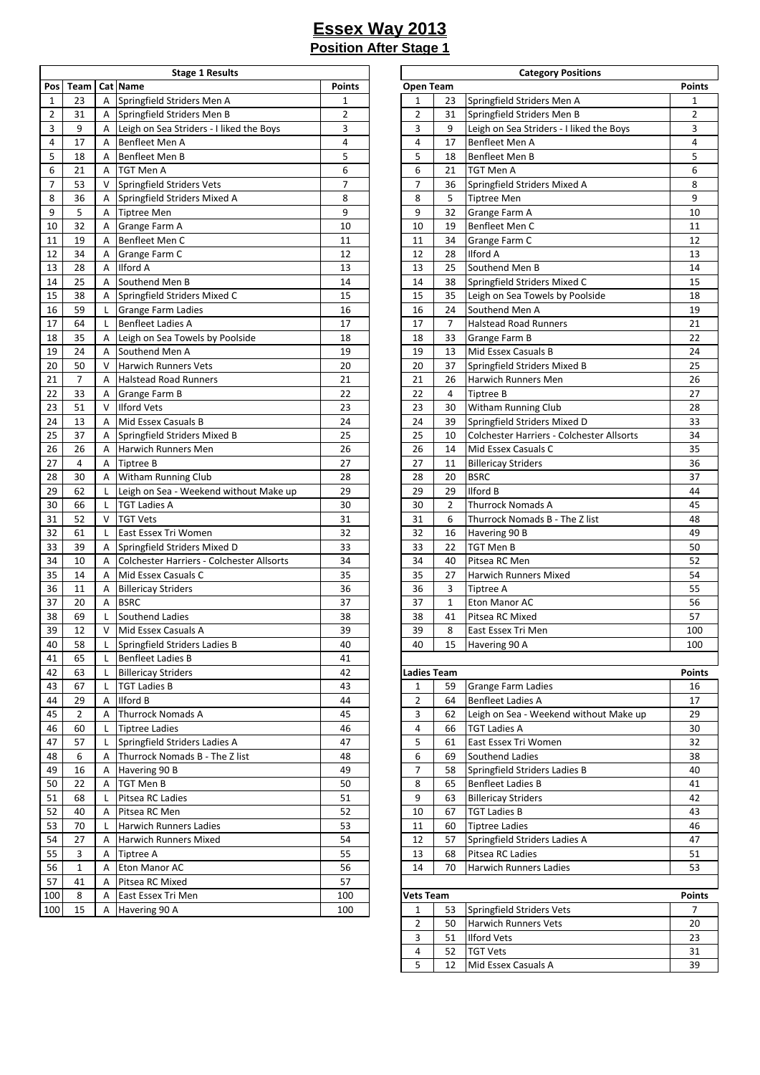|                |                |                | <b>Stage 1 Results</b>                    |                |                         |                | <b>Category Positions</b>                 |               |
|----------------|----------------|----------------|-------------------------------------------|----------------|-------------------------|----------------|-------------------------------------------|---------------|
| Pos            | Team           | Cat            | <b>Name</b>                               | <b>Points</b>  | <b>Open Team</b>        |                |                                           | <b>Points</b> |
| $\mathbf{1}$   | 23             | A              | Springfield Striders Men A                | 1              | $\mathbf{1}$            | 23             | Springfield Striders Men A                | $\mathbf{1}$  |
| $\overline{2}$ | 31             | Α              | Springfield Striders Men B                | $\overline{2}$ | 2                       | 31             | Springfield Striders Men B                | 2             |
| 3              | 9              | Α              | Leigh on Sea Striders - I liked the Boys  | 3              | 3                       | 9              | Leigh on Sea Striders - I liked the Boys  | 3             |
| 4              | 17             | Α              | Benfleet Men A                            | $\overline{4}$ | 4                       | 17             | Benfleet Men A                            | 4             |
| 5              | 18             | A              | Benfleet Men B                            | 5              | 5                       | 18             | Benfleet Men B                            | 5             |
| 6              | 21             | A              | TGT Men A                                 | 6              | 6                       | 21             | <b>TGT Men A</b>                          | 6             |
| $\overline{7}$ | 53             | V              | Springfield Striders Vets                 | $\overline{7}$ | 7                       | 36             | Springfield Striders Mixed A              | 8             |
| 8              | 36             | Α              | Springfield Striders Mixed A              | 8              | 8                       | 5              | <b>Tiptree Men</b>                        | 9             |
| 9              | 5              | Α              | <b>Tiptree Men</b>                        | 9              | 9                       | 32             | Grange Farm A                             | 10            |
| 10             | 32             | Α              | Grange Farm A                             | 10             | 10                      | 19             | Benfleet Men C                            | 11            |
| 11             | 19             | Α              | Benfleet Men C                            | 11             | 11                      | 34             | Grange Farm C                             | 12            |
| 12             | 34             | A              | Grange Farm C                             | 12             | 12                      | 28             | <b>Ilford A</b>                           | 13            |
| 13             | 28             | Α              | <b>Ilford A</b>                           | 13             | 13                      | 25             | Southend Men B                            | 14            |
| 14             | 25             | A              | Southend Men B                            | 14             | 14                      | 38             | Springfield Striders Mixed C              | 15            |
| 15             | 38             | Α              | Springfield Striders Mixed C              | 15             | 15                      | 35             | Leigh on Sea Towels by Poolside           | 18            |
|                | 59             |                |                                           | 16             | 16                      | 24             | Southend Men A                            | 19            |
| 16             |                | L              | <b>Grange Farm Ladies</b>                 | 17             |                         | $\overline{7}$ |                                           |               |
| 17             | 64             | L              | <b>Benfleet Ladies A</b>                  |                | 17                      |                | <b>Halstead Road Runners</b>              | 21            |
| 18             | 35             | A              | Leigh on Sea Towels by Poolside           | 18             | 18                      | 33             | Grange Farm B                             | 22            |
| 19             | 24             | A              | Southend Men A                            | 19             | 19                      | 13             | Mid Essex Casuals B                       | 24            |
| 20             | 50             | V              | <b>Harwich Runners Vets</b>               | 20             | 20                      | 37             | Springfield Striders Mixed B              | 25            |
| 21             | $\overline{7}$ | A              | <b>Halstead Road Runners</b>              | 21             | 21                      | 26             | Harwich Runners Men                       | 26            |
| 22             | 33             | Α              | <b>Grange Farm B</b>                      | 22             | 22                      | $\overline{4}$ | <b>Tiptree B</b>                          | 27            |
| 23             | 51             | $\vee$         | <b>Ilford Vets</b>                        | 23             | 23                      | 30             | Witham Running Club                       | 28            |
| 24             | 13             | A              | Mid Essex Casuals B                       | 24             | 24                      | 39             | Springfield Striders Mixed D              | 33            |
| 25             | 37             | Α              | Springfield Striders Mixed B              | 25             | 25                      | 10             | Colchester Harriers - Colchester Allsorts | 34            |
| 26             | 26             | A              | Harwich Runners Men                       | 26             | 26                      | 14             | Mid Essex Casuals C                       | 35            |
| 27             | 4              | Α              | Tiptree B                                 | 27             | 27                      | 11             | <b>Billericay Striders</b>                | 36            |
| 28             | 30             | A              | Witham Running Club                       | 28             | 28                      | 20             | <b>BSRC</b>                               | 37            |
| 29             | 62             | L              | Leigh on Sea - Weekend without Make up    | 29             | 29                      | 29             | <b>Ilford B</b>                           | 44            |
| 30             | 66             | L              | <b>TGT Ladies A</b>                       | 30             | 30                      | $\overline{2}$ | <b>Thurrock Nomads A</b>                  | 45            |
| 31             | 52             | $\vee$         | <b>TGT Vets</b>                           | 31             | 31                      | 6              | Thurrock Nomads B - The Z list            | 48            |
| 32             | 61             | L              | East Essex Tri Women                      | 32             | 32                      | 16             | Havering 90 B                             | 49            |
| 33             | 39             | Α              | Springfield Striders Mixed D              | 33             | 33                      | 22             | <b>TGT Men B</b>                          | 50            |
| 34             | 10             | A              | Colchester Harriers - Colchester Allsorts | 34             | 34                      | 40             | Pitsea RC Men                             | 52            |
| 35             | 14             | $\overline{A}$ | Mid Essex Casuals C                       | 35             | 35                      | 27             | <b>Harwich Runners Mixed</b>              | 54            |
| 36             | 11             | Α              | <b>Billericay Striders</b>                | 36             | 36                      | 3              | <b>Tiptree A</b>                          | 55            |
| 37             | 20             | A              | <b>BSRC</b>                               | 37             | 37                      | $\mathbf{1}$   | Eton Manor AC                             | 56            |
| 38             | 69             | L              | Southend Ladies                           | 38             | 38                      | 41             | Pitsea RC Mixed                           | 57            |
| 39             | 12             | $\vee$         | Mid Essex Casuals A                       | 39             | 39                      | 8              | East Essex Tri Men                        | 100           |
| 40             | 58             | L              | Springfield Striders Ladies B             | 40             | 40                      | 15             | Havering 90 A                             | 100           |
| 41             | 65             | L              | <b>Benfleet Ladies B</b>                  | 41             |                         |                |                                           |               |
| 42             | 63             | L              | <b>Billericay Striders</b>                | 42             | Ladies Team             |                |                                           | <b>Points</b> |
| 43             | 67             | L              | <b>TGT Ladies B</b>                       | 43             | $\mathbf{1}$            | 59             | <b>Grange Farm Ladies</b>                 | 16            |
| 44             | 29             | Α              | Ilford B                                  | 44             | $\overline{2}$          | 64             | <b>Benfleet Ladies A</b>                  | 17            |
|                | $\overline{2}$ | A              | <b>Thurrock Nomads A</b>                  | 45             | 3                       | 62             |                                           |               |
| 45             |                |                |                                           |                |                         |                | Leigh on Sea - Weekend without Make up    | 29            |
| 46             | 60             | L              | <b>Tiptree Ladies</b>                     | 46             | 4                       | 66             | <b>TGT Ladies A</b>                       | 30            |
| 47             | 57             | L              | Springfield Striders Ladies A             | 47             | 5                       | 61             | East Essex Tri Women                      | 32            |
| 48             | 6              | Α              | Thurrock Nomads B - The Z list            | 48             | 6                       | 69             | Southend Ladies                           | 38            |
| 49             | 16             | Α              | Havering 90 B                             | 49             | $\overline{\mathbf{7}}$ | 58             | Springfield Striders Ladies B             | 40            |
| 50             | 22             | A              | <b>TGT Men B</b>                          | 50             | 8                       | 65             | <b>Benfleet Ladies B</b>                  | 41            |
| 51             | 68             | L              | Pitsea RC Ladies                          | 51             | 9                       | 63             | <b>Billericay Striders</b>                | 42            |
| 52             | 40             | A              | Pitsea RC Men                             | 52             | 10                      | 67             | <b>TGT Ladies B</b>                       | 43            |
| 53             | 70             | L              | Harwich Runners Ladies                    | 53             | 11                      | 60             | <b>Tiptree Ladies</b>                     | 46            |
| 54             | 27             | Α              | Harwich Runners Mixed                     | 54             | 12                      | 57             | Springfield Striders Ladies A             | 47            |
| 55             | 3              | Α              | Tiptree A                                 | 55             | 13                      | 68             | Pitsea RC Ladies                          | 51            |
| 56             | $\mathbf{1}$   | Α              | Eton Manor AC                             | 56             | 14                      | 70             | <b>Harwich Runners Ladies</b>             | 53            |
| 57             | 41             | A              | Pitsea RC Mixed                           | 57             |                         |                |                                           |               |
| 100            | 8              | Α              | East Essex Tri Men                        | 100            | <b>Vets Team</b>        |                |                                           | <b>Points</b> |
| 100            | 15             | A              | Havering 90 A                             | 100            | $\mathbf{1}$            | 53             | Springfield Striders Vets                 | 7             |
|                |                |                |                                           |                |                         |                |                                           |               |

| <b>Stage 1 Results</b>        |                |                |                    | <b>Category Positions</b>                 |                |
|-------------------------------|----------------|----------------|--------------------|-------------------------------------------|----------------|
|                               | <b>Points</b>  | Open Team      |                    |                                           | Points         |
| triders Men A                 | 1              | 1              | 23                 | Springfield Striders Men A                | 1              |
| triders Men B                 | $\overline{2}$ | $\overline{2}$ | 31                 | Springfield Striders Men B                | $\overline{2}$ |
| Striders - I liked the Boys   | 3              | 3              | 9                  | Leigh on Sea Striders - I liked the Boys  | 3              |
| n A                           | 4              | 4              | 17                 | Benfleet Men A                            | 4              |
| n B                           | 5              | 5              | 18                 | Benfleet Men B                            | 5              |
|                               | 6              | 6              | 21                 | TGT Men A                                 | 6              |
| triders Vets                  | 7              | 7              | 36                 | Springfield Striders Mixed A              | 8              |
| triders Mixed A               | 8              | 8              | 5                  | Tiptree Men                               | 9              |
|                               | 9              | 9              | 32                 | Grange Farm A                             | 10             |
| ۱A                            | 10             | 10             | 19                 | Benfleet Men C                            | 11             |
| n C                           | 11             | 11             | 34                 | Grange Farm C                             | 12             |
| ıС                            | 12             | 12             | 28                 | Ilford A                                  | 13             |
|                               | 13             | 13             | 25                 | Southend Men B                            | 14             |
| en B                          | 14             | 14             | 38                 | Springfield Striders Mixed C              | 15             |
| triders Mixed C               | 15             | 15             | 35                 | Leigh on Sea Towels by Poolside           | 18             |
| ı Ladies                      | 16             | 16             | 24                 | Southend Men A                            | 19             |
| ies A                         | 17             | 17             | 7                  | <b>Halstead Road Runners</b>              | 21             |
| Towels by Poolside            | 18             | 18             | 33                 | Grange Farm B                             | 22             |
| en A                          | 19             | 19             | 13                 | Mid Essex Casuals B                       | 24             |
| ners Vets                     | 20             | 20             | 37                 | Springfield Striders Mixed B              | 25             |
| ad Runners                    | 21             | 21             | 26                 | Harwich Runners Men                       | 26             |
| ıΒ                            | 22             | 22             | 4                  | Tiptree B                                 | 27             |
|                               | 23             | 23             | 30                 | <b>Witham Running Club</b>                | 28             |
| asuals B                      | 24             | 24             | 39                 | Springfield Striders Mixed D              | 33             |
| triders Mixed B               | 25             | 25             | 10                 | Colchester Harriers - Colchester Allsorts | 34             |
| ners Men                      | 26             | 26             | 14                 | Mid Essex Casuals C                       | 35             |
|                               | 27             | 27             | 11                 | <b>Billericay Striders</b>                | 36             |
| ning Club                     | 28             | 28             | 20                 | <b>BSRC</b>                               | 37             |
| - Weekend without Make up     | 29             | 29             | 29                 | <b>Ilford B</b>                           | 44             |
|                               | 30             | 30             | 2                  | <b>Thurrock Nomads A</b>                  | 45             |
|                               | 31             | 31             | 6                  | Thurrock Nomads B - The Z list            | 48             |
| i Women                       | 32             | 32             | 16                 | Havering 90 B                             | 49             |
| triders Mixed D               | 33             | 33             | 22                 | TGT Men B                                 | 50             |
| arriers - Colchester Allsorts | 34             | 34             | 40                 | Pitsea RC Men                             | 52             |
| asuals C                      | 35             | 35             | 27                 | Harwich Runners Mixed                     | 54             |
| iders                         | 36             | 36             | 3                  | Tiptree A                                 | 55             |
|                               | 37             | 37             | $\mathbf{1}$       | Eton Manor AC                             | 56             |
| dies                          | 38             | 38             | 41                 | Pitsea RC Mixed                           | 57             |
| asuals A                      | 39             | 39             | 8                  | East Essex Tri Men                        | 100            |
| triders Ladies B              | 40             | 40             | 15                 | Havering 90 A                             | 100            |
| ies B                         | 41             |                |                    |                                           |                |
| iders                         | 42             |                | <b>Ladies Team</b> |                                           | <b>Points</b>  |
|                               | 43             | 1              | 59                 | Grange Farm Ladies                        | 16             |
|                               | 44             | 2              | 64                 | <b>Benfleet Ladies A</b>                  | 17             |
| mads A                        | 45             | 3              | 62                 | Leigh on Sea - Weekend without Make up    | 29             |
| эs                            | 46             | 4              | 66                 | <b>TGT Ladies A</b>                       | 30             |
| triders Ladies A              | 47             | 5              | 61                 | East Essex Tri Women                      | 32             |
| mads B - The Z list           | 48             | 6              | 69                 | Southend Ladies                           | 38             |
| В                             | 49             | 7              | 58                 | Springfield Striders Ladies B             | 40             |
|                               | 50             | 8              | 65                 | <b>Benfleet Ladies B</b>                  | 41             |
| dies                          | 51             | 9              | 63                 | <b>Billericay Striders</b>                | 42             |
| эn                            | 52             | 10             | 67                 | <b>TGT Ladies B</b>                       | 43             |
| ners Ladies                   | 53             | 11             | 60                 | <b>Tiptree Ladies</b>                     | 46             |
| ners Mixed                    | 54             | 12             | 57                 | Springfield Striders Ladies A             | 47             |
|                               | 55             | 13             | 68                 | Pitsea RC Ladies                          | 51             |
| АC                            | 56             | 14             | 70                 | Harwich Runners Ladies                    | 53             |
| xed                           | 57             |                |                    |                                           |                |
| i Men                         | 100            | Vets Team      |                    |                                           | Points         |
| Α                             | 100            | 1              | 53                 | Springfield Striders Vets                 | 7              |
|                               |                | 2              | 50                 | Harwich Runners Vets                      | 20             |
|                               |                | 3              | 51                 | <b>Ilford Vets</b>                        | 23             |
|                               |                | 4              | 52                 | <b>TGT Vets</b>                           | 31             |
|                               |                |                |                    |                                           |                |

12 Mid Essex Casuals A 39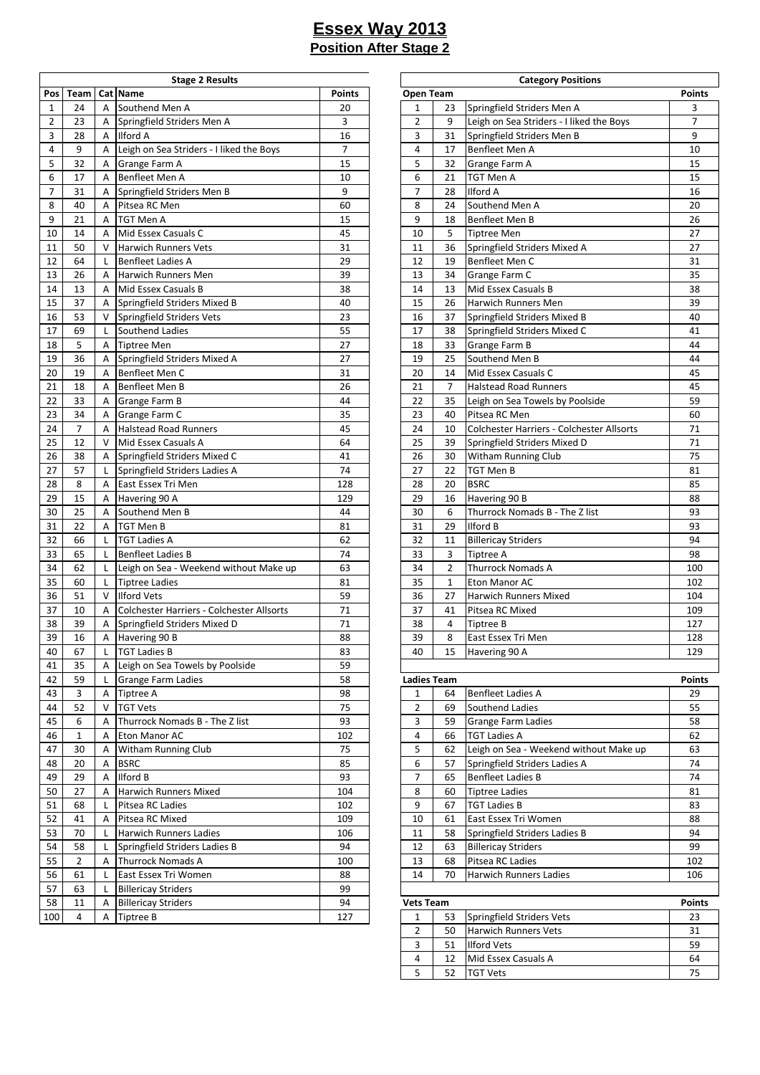|                |                |              | <b>Stage 2 Results</b>                    |                |                    |                | <b>Category Positions</b>                 |                |
|----------------|----------------|--------------|-------------------------------------------|----------------|--------------------|----------------|-------------------------------------------|----------------|
| Pos            | Team           |              | Cat Name                                  | <b>Points</b>  | <b>Open Team</b>   |                |                                           | <b>Points</b>  |
| $\mathbf{1}$   | 24             | A            | Southend Men A                            | 20             | $\mathbf{1}$       | 23             | Springfield Striders Men A                | 3              |
| $\overline{2}$ | 23             | Α            | Springfield Striders Men A                | 3              | $\overline{2}$     | 9              | Leigh on Sea Striders - I liked the Boys  | $\overline{7}$ |
| 3              | 28             | A            | <b>Ilford A</b>                           | 16             | 3                  | 31             | Springfield Striders Men B                | 9              |
| 4              | 9              | A            | Leigh on Sea Striders - I liked the Boys  | $\overline{7}$ | 4                  | 17             | Benfleet Men A                            | 10             |
| 5              | 32             | A            | Grange Farm A                             | 15             | 5                  | 32             | Grange Farm A                             | 15             |
| 6              | 17             | A            | Benfleet Men A                            | 10             | 6                  | 21             | <b>TGT Men A</b>                          | 15             |
| $\overline{7}$ | 31             |              | Springfield Striders Men B                | 9              | $\overline{7}$     | 28             | <b>Ilford A</b>                           | 16             |
|                |                | Α            |                                           | 60             |                    |                |                                           |                |
| 8              | 40             | A            | Pitsea RC Men                             |                | 8                  | 24             | Southend Men A                            | 20             |
| 9              | 21             | Α            | <b>TGT Men A</b>                          | 15             | 9                  | 18             | Benfleet Men B                            | 26             |
| 10             | 14             | A            | Mid Essex Casuals C                       | 45             | 10                 | 5              | <b>Tiptree Men</b>                        | 27             |
| 11             | 50             | V            | <b>Harwich Runners Vets</b>               | 31             | 11                 | 36             | Springfield Striders Mixed A              | 27             |
| 12             | 64             | L            | <b>Benfleet Ladies A</b>                  | 29             | 12                 | 19             | Benfleet Men C                            | 31             |
| 13             | 26             | A            | Harwich Runners Men                       | 39             | 13                 | 34             | Grange Farm C                             | 35             |
| 14             | 13             | A            | Mid Essex Casuals B                       | 38             | 14                 | 13             | Mid Essex Casuals B                       | 38             |
| 15             | 37             | Α            | Springfield Striders Mixed B              | 40             | 15                 | 26             | Harwich Runners Men                       | 39             |
| 16             | 53             | V            | Springfield Striders Vets                 | 23             | 16                 | 37             | Springfield Striders Mixed B              | 40             |
| 17             | 69             | $\mathsf{L}$ | Southend Ladies                           | 55             | 17                 | 38             | Springfield Striders Mixed C              | 41             |
| 18             | 5              | A            | <b>Tiptree Men</b>                        | 27             | 18                 | 33             | Grange Farm B                             | 44             |
| 19             | 36             | Α            | Springfield Striders Mixed A              | 27             | 19                 | 25             | Southend Men B                            | 44             |
| 20             | 19             | Α            | Benfleet Men C                            | 31             | 20                 | 14             | Mid Essex Casuals C                       | 45             |
| 21             | 18             | A            | Benfleet Men B                            | 26             | 21                 | $\overline{7}$ | <b>Halstead Road Runners</b>              | 45             |
| 22             | 33             | A            | <b>Grange Farm B</b>                      | 44             | 22                 | 35             | Leigh on Sea Towels by Poolside           | 59             |
| 23             | 34             | A            | Grange Farm C                             | 35             | 23                 | 40             | Pitsea RC Men                             | 60             |
| 24             | $\overline{7}$ | A            | <b>Halstead Road Runners</b>              | 45             | 24                 | 10             | Colchester Harriers - Colchester Allsorts | 71             |
| 25             | 12             | V            | Mid Essex Casuals A                       | 64             | 25                 | 39             | Springfield Striders Mixed D              | 71             |
| 26             | 38             | A            | Springfield Striders Mixed C              | 41             | 26                 | 30             | Witham Running Club                       | 75             |
| 27             | 57             | L            | Springfield Striders Ladies A             | 74             | 27                 | 22             | TGT Men B                                 | 81             |
| 28             | 8              | A            | East Essex Tri Men                        | 128            | 28                 | 20             | <b>BSRC</b>                               | 85             |
| 29             | 15             | Α            | Havering 90 A                             | 129            | 29                 | 16             | Havering 90 B                             | 88             |
| 30             | 25             | Α            | Southend Men B                            | 44             | 30                 | 6              | Thurrock Nomads B - The Z list            | 93             |
| 31             | 22             | Α            | <b>TGT Men B</b>                          | 81             | 31                 | 29             | <b>Ilford B</b>                           | 93             |
| 32             | 66             | L            | <b>TGT Ladies A</b>                       | 62             | 32                 | 11             | <b>Billericay Striders</b>                | 94             |
| 33             | 65             | L            | <b>Benfleet Ladies B</b>                  | 74             | 33                 | 3              | <b>Tiptree A</b>                          | 98             |
| 34             | 62             | L            | Leigh on Sea - Weekend without Make up    | 63             | 34                 | $\overline{2}$ | <b>Thurrock Nomads A</b>                  | 100            |
| 35             | 60             | L            | <b>Tiptree Ladies</b>                     | 81             | 35                 | $\mathbf{1}$   | Eton Manor AC                             | 102            |
| 36             | 51             | $\vee$       | <b>Ilford Vets</b>                        | 59             | 36                 | 27             | <b>Harwich Runners Mixed</b>              | 104            |
| 37             | 10             | A            | Colchester Harriers - Colchester Allsorts | 71             | 37                 | 41             | Pitsea RC Mixed                           | 109            |
| 38             | 39             | Α            | Springfield Striders Mixed D              | 71             | 38                 | 4              | <b>Tiptree B</b>                          | 127            |
|                |                |              |                                           |                |                    | 8              |                                           |                |
| 39             | $16\,$         | $\mathsf A$  | Havering 90 B                             | 88             | 39                 |                | East Essex Tri Men                        | 128            |
| 40             | 67             | L.           | <b>TGT Ladies B</b>                       | 83             | 40                 | 15             | Havering 90 A                             | 129            |
| 41             | 35             | A            | Leigh on Sea Towels by Poolside           | 59             |                    |                |                                           |                |
| 42             | 59             | L            | Grange Farm Ladies                        | 58             | <b>Ladies Team</b> |                |                                           | <b>Points</b>  |
| 43             | 3              | Α            | <b>Tiptree A</b>                          | 98             | $\mathbf{1}$       | 64             | <b>Benfleet Ladies A</b>                  | 29             |
| 44             | 52             | V            | <b>TGT Vets</b>                           | 75             | $\overline{2}$     | 69             | Southend Ladies                           | 55             |
| 45             | 6              | A            | Thurrock Nomads B - The Z list            | 93             | 3                  | 59             | <b>Grange Farm Ladies</b>                 | 58             |
| 46             | 1              | Α            | Eton Manor AC                             | 102            | 4                  | 66             | <b>TGT Ladies A</b>                       | 62             |
| 47             | 30             | Α            | <b>Witham Running Club</b>                | 75             | 5                  | 62             | Leigh on Sea - Weekend without Make up    | 63             |
| 48             | 20             | Α            | <b>BSRC</b>                               | 85             | 6                  | 57             | Springfield Striders Ladies A             | 74             |
| 49             | 29             | Α            | <b>Ilford B</b>                           | 93             | $\overline{7}$     | 65             | <b>Benfleet Ladies B</b>                  | 74             |
| 50             | 27             | Α            | <b>Harwich Runners Mixed</b>              | 104            | 8                  | 60             | <b>Tiptree Ladies</b>                     | 81             |
| 51             | 68             | L            | Pitsea RC Ladies                          | 102            | 9                  | 67             | <b>TGT Ladies B</b>                       | 83             |
| 52             | 41             | Α            | Pitsea RC Mixed                           | 109            | 10                 | 61             | East Essex Tri Women                      | 88             |
| 53             | 70             | L            | <b>Harwich Runners Ladies</b>             | 106            | 11                 | 58             | Springfield Striders Ladies B             | 94             |
| 54             | 58             | L            | Springfield Striders Ladies B             | 94             | 12                 | 63             | <b>Billericay Striders</b>                | 99             |
| 55             | $\overline{2}$ | A            | <b>Thurrock Nomads A</b>                  | 100            | 13                 | 68             | Pitsea RC Ladies                          | 102            |
| 56             | 61             | L            | East Essex Tri Women                      | 88             | 14                 | 70             | <b>Harwich Runners Ladies</b>             | 106            |
| 57             | 63             | L            | <b>Billericay Striders</b>                | 99             |                    |                |                                           |                |
| 58             | 11             | Α            | <b>Billericay Striders</b>                | 94             | <b>Vets Team</b>   |                |                                           | <b>Points</b>  |
| 100            | 4              | Α            | <b>Tiptree B</b>                          | 127            | $\mathbf{1}$       | 53             | Springfield Striders Vets                 | 23             |
|                |                |              |                                           |                |                    |                |                                           |                |

| <b>Stage 2 Results</b>        |                |                    |                | <b>Category Positions</b>                 |               |
|-------------------------------|----------------|--------------------|----------------|-------------------------------------------|---------------|
|                               | <b>Points</b>  | Open Team          |                |                                           | <b>Points</b> |
| en A                          | 20             | 1                  | 23             | Springfield Striders Men A                | 3             |
| triders Men A                 | 3              | 2                  | 9              | Leigh on Sea Striders - I liked the Boys  | 7             |
|                               | 16             | 3                  | 31             | Springfield Striders Men B                | 9             |
| Striders - I liked the Boys   | $\overline{7}$ | 4                  | 17             | Benfleet Men A                            | 10            |
| ۱A                            | 15             | 5                  | 32             | Grange Farm A                             | 15            |
| n A                           | 10             | 6                  | 21             | TGT Men A                                 | 15            |
| triders Men B                 | 9              | 7                  | 28             | Ilford A                                  | 16            |
| эn                            | 60             | 8                  | 24             | Southend Men A                            | 20            |
|                               | 15             | 9                  | 18             | Benfleet Men B                            | 26            |
| asuals C                      | 45             | 10                 | 5              | <b>Tiptree Men</b>                        | 27            |
| ners Vets                     | 31             | 11                 | 36             | Springfield Striders Mixed A              | 27            |
| ies A                         | 29             | 12                 | 19             | Benfleet Men C                            | 31            |
| ners Men                      | 39             | 13                 | 34             | Grange Farm C                             | 35            |
| asuals B                      | 38             | 14                 | 13             | Mid Essex Casuals B                       | 38            |
| triders Mixed B               | 40             | 15                 | 26             | Harwich Runners Men                       | 39            |
| triders Vets                  | 23             | 16                 | 37             | Springfield Striders Mixed B              | 40            |
| dies                          | 55             | 17                 | 38             | Springfield Striders Mixed C              | 41            |
|                               | 27             | 18                 | 33             | Grange Farm B                             | 44            |
| triders Mixed A               | 27             | 19                 | 25             | Southend Men B                            | 44            |
| n C                           | 31             | 20                 | 14             | Mid Essex Casuals C                       | 45            |
| n B                           | 26             | 21                 | 7              | <b>Halstead Road Runners</b>              | 45            |
| ìΒ                            | 44             | 22                 | 35             | Leigh on Sea Towels by Poolside           | 59            |
| ۱C                            | 35             | 23                 | 40             | Pitsea RC Men                             | 60            |
| ad Runners                    | 45             | 24                 | 10             | Colchester Harriers - Colchester Allsorts | 71            |
| asuals A                      | 64             | 25                 | 39             | Springfield Striders Mixed D              | 71            |
| triders Mixed C               | 41             | 26                 | 30             | Witham Running Club                       | 75            |
| triders Ladies A              | 74             | 27                 | 22             | TGT Men B                                 | 81            |
| i Men                         | 128            | 28                 | 20             | <b>BSRC</b>                               | 85            |
| A                             | 129            | 29                 | 16             | Havering 90 B                             | 88            |
| en B                          | 44             | 30                 | 6              | Thurrock Nomads B - The Z list            | 93            |
|                               | 81             | 31                 | 29             | Ilford B                                  | 93            |
|                               | 62             | 32                 | 11             | <b>Billericay Striders</b>                | 94            |
| ies B                         | 74             | 33                 | 3              | Tiptree A                                 | 98            |
| - Weekend without Make up     | 63             | 34                 | $\overline{2}$ | <b>Thurrock Nomads A</b>                  | 100           |
| эs                            | 81             | 35                 | 1              | Eton Manor AC                             | 102           |
|                               | 59             | 36                 | 27             | Harwich Runners Mixed                     | 104           |
| arriers - Colchester Allsorts | 71             | 37                 | 41             | Pitsea RC Mixed                           | 109           |
| triders Mixed D               | 71             | 38                 | 4              | Tiptree B                                 | 127           |
| В                             | 88             | 39                 | 8              | East Essex Tri Men                        | 128           |
|                               | 83             | 40                 | 15             | Havering 90 A                             | 129           |
| Towels by Poolside            | 59             |                    |                |                                           |               |
| າ Ladies                      | 58             | <b>Ladies Team</b> |                |                                           | <b>Points</b> |
|                               | 98             | 1                  | 64             | Benfleet Ladies A                         | 29            |
|                               | 75             | 2                  | 69             | Southend Ladies                           | 55            |
| mads B - The Z list           | 93             | 3                  | 59             | <b>Grange Farm Ladies</b>                 | 58            |
| AC                            | 102            | 4                  | 66             | <b>TGT Ladies A</b>                       | 62            |
| ning Club                     | 75             | 5                  | 62             | Leigh on Sea - Weekend without Make up    | 63            |
|                               | 85             | 6                  | 57             | Springfield Striders Ladies A             | 74            |
|                               | 93             | 7                  | 65             | <b>Benfleet Ladies B</b>                  | 74            |
| ners Mixed                    | 104            | 8                  | 60             | <b>Tiptree Ladies</b>                     | 81            |
| dies                          | 102            | 9                  | 67             | <b>TGT Ladies B</b>                       | 83            |
| xed                           | 109            | 10                 | 61             | East Essex Tri Women                      | 88            |
| ners Ladies                   | 106            | 11                 | 58             | Springfield Striders Ladies B             | 94            |
| triders Ladies B              | 94             | 12                 | 63             | <b>Billericay Striders</b>                | 99            |
| mads A                        | 100            | 13                 | 68             | Pitsea RC Ladies                          | 102           |
| i Women                       | 88             | 14                 | 70             | Harwich Runners Ladies                    | 106           |
| iders                         | 99             |                    |                |                                           |               |
| iders                         | 94             | <b>Vets Team</b>   |                |                                           | <b>Points</b> |
|                               | 127            | 1                  | 53             | Springfield Striders Vets                 | 23            |
|                               |                | 2                  | 50             | Harwich Runners Vets                      | 31            |
|                               |                | 3                  | 51             | <b>Ilford Vets</b>                        | 59            |
|                               |                | 4                  | 12             | Mid Essex Casuals A                       | 64            |
|                               |                | 5                  | 52             | <b>TGT Vets</b>                           | 75            |
|                               |                |                    |                |                                           |               |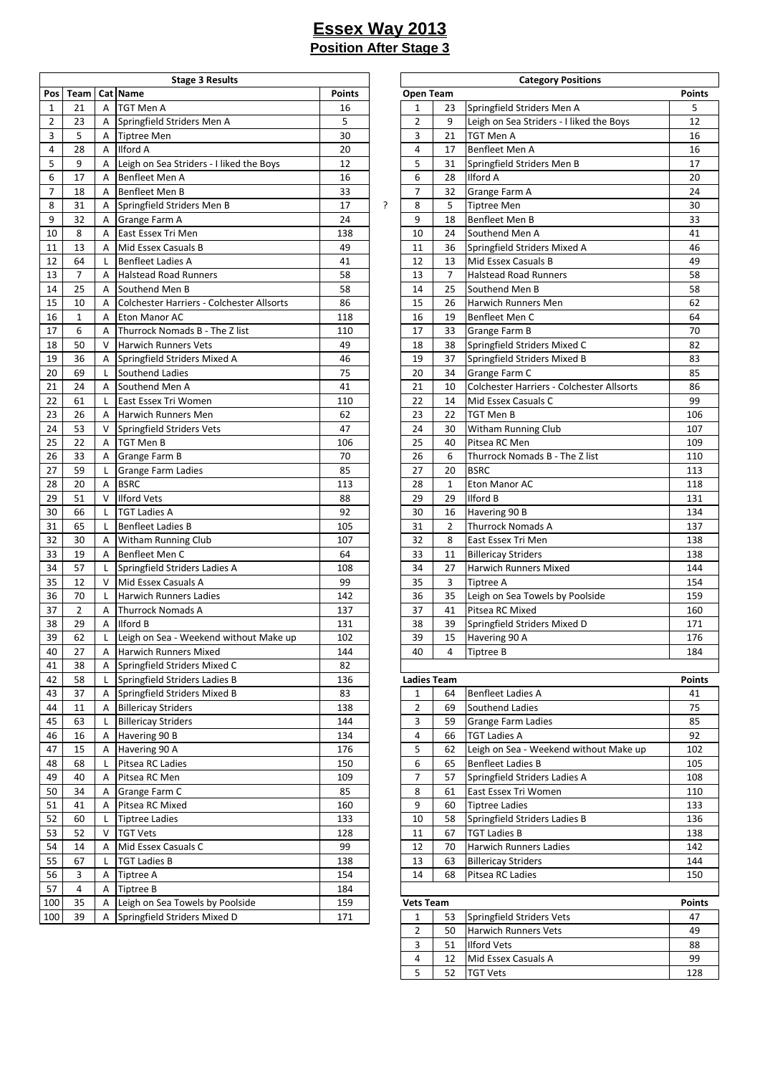|                |                |        | <b>Stage 3 Results</b>                    |               |   |                    |                | <b>Category Positions</b>                 |               |
|----------------|----------------|--------|-------------------------------------------|---------------|---|--------------------|----------------|-------------------------------------------|---------------|
| Pos            | Team           |        | Cat Name                                  | <b>Points</b> |   | <b>Open Team</b>   |                |                                           | <b>Points</b> |
| $\mathbf{1}$   | 21             | A      | <b>TGT Men A</b>                          | 16            |   | 1                  | 23             | Springfield Striders Men A                | 5             |
| $\overline{2}$ | 23             | A      | Springfield Striders Men A                | 5             |   | $\overline{2}$     | 9              | Leigh on Sea Striders - I liked the Boys  | 12            |
| 3              | 5              | A      | <b>Tiptree Men</b>                        | 30            |   | 3                  | 21             | TGT Men A                                 | 16            |
| 4              | 28             | A      | Ilford A                                  | 20            |   | $\overline{4}$     | 17             | Benfleet Men A                            | 16            |
| 5              | 9              | A      | Leigh on Sea Striders - I liked the Boys  | 12            |   | 5                  | 31             | Springfield Striders Men B                | 17            |
| 6              | 17             | A      | Benfleet Men A                            | 16            |   | 6                  | 28             | Ilford A                                  | 20            |
| $\overline{7}$ | 18             | A      | Benfleet Men B                            | 33            |   | $\overline{7}$     | 32             | Grange Farm A                             | 24            |
| 8              | 31             | A      | Springfield Striders Men B                | 17            | ? | 8                  | 5              | <b>Tiptree Men</b>                        | 30            |
| 9              | 32             | Α      | Grange Farm A                             | 24            |   | 9                  | 18             | <b>Benfleet Men B</b>                     | 33            |
| 10             | 8              | A      | East Essex Tri Men                        | 138           |   | 10                 | 24             | Southend Men A                            | 41            |
| 11             | 13             | A      | Mid Essex Casuals B                       | 49            |   | 11                 | 36             | Springfield Striders Mixed A              | 46            |
| 12             | 64             | L      | <b>Benfleet Ladies A</b>                  | 41            |   | 12                 | 13             | Mid Essex Casuals B                       | 49            |
| 13             | $\overline{7}$ | A      | <b>Halstead Road Runners</b>              | 58            |   | 13                 | $\overline{7}$ | <b>Halstead Road Runners</b>              | 58            |
| 14             | 25             | Α      | Southend Men B                            | 58            |   | 14                 | 25             | Southend Men B                            | 58            |
| 15             | 10             | A      | Colchester Harriers - Colchester Allsorts | 86            |   | 15                 | 26             | Harwich Runners Men                       | 62            |
| 16             | $\mathbf{1}$   | A      | Eton Manor AC                             | 118           |   | 16                 | 19             | Benfleet Men C                            | 64            |
| 17             | 6              | A      | Thurrock Nomads B - The Z list            | 110           |   | 17                 | 33             | Grange Farm B                             | 70            |
| 18             | 50             | $\vee$ | <b>Harwich Runners Vets</b>               | 49            |   | 18                 | 38             | Springfield Striders Mixed C              | 82            |
|                |                |        |                                           |               |   |                    |                |                                           |               |
| 19             | 36             | A      | Springfield Striders Mixed A              | 46<br>75      |   | 19                 | 37             | Springfield Striders Mixed B              | 83            |
| 20             | 69             | L      | Southend Ladies                           |               |   | 20                 | 34             | Grange Farm C                             | 85            |
| 21             | 24             | A      | Southend Men A                            | 41            |   | 21                 | 10             | Colchester Harriers - Colchester Allsorts | 86            |
| 22             | 61             | L      | East Essex Tri Women                      | 110           |   | 22                 | 14             | Mid Essex Casuals C                       | 99            |
| 23             | 26             | A      | <b>Harwich Runners Men</b>                | 62            |   | 23                 | 22             | <b>TGT Men B</b>                          | 106           |
| 24             | 53             | V      | Springfield Striders Vets                 | 47            |   | 24                 | 30             | Witham Running Club                       | 107           |
| 25             | 22             | A      | <b>TGT Men B</b>                          | 106           |   | 25                 | 40             | Pitsea RC Men                             | 109           |
| 26             | 33             | Α      | Grange Farm B                             | 70            |   | 26                 | 6              | Thurrock Nomads B - The Z list            | 110           |
| 27             | 59             | L      | <b>Grange Farm Ladies</b>                 | 85            |   | 27                 | 20             | <b>BSRC</b>                               | 113           |
| 28             | 20             | Α      | <b>BSRC</b>                               | 113           |   | 28                 | $\mathbf{1}$   | Eton Manor AC                             | 118           |
| 29             | 51             | $\vee$ | <b>Ilford Vets</b>                        | 88            |   | 29                 | 29             | <b>Ilford B</b>                           | 131           |
| 30             | 66             | L      | <b>TGT Ladies A</b>                       | 92            |   | 30                 | 16             | Havering 90 B                             | 134           |
| 31             | 65             | L      | <b>Benfleet Ladies B</b>                  | 105           |   | 31                 | $\overline{2}$ | <b>Thurrock Nomads A</b>                  | 137           |
| 32             | 30             | A      | <b>Witham Running Club</b>                | 107           |   | 32                 | 8              | East Essex Tri Men                        | 138           |
| 33             | 19             | A      | Benfleet Men C                            | 64            |   | 33                 | 11             | <b>Billericay Striders</b>                | 138           |
| 34             | 57             | L      | Springfield Striders Ladies A             | 108           |   | 34                 | 27             | <b>Harwich Runners Mixed</b>              | 144           |
| 35             | 12             | V      | Mid Essex Casuals A                       | 99            |   | 35                 | 3              | <b>Tiptree A</b>                          | 154           |
| 36             | 70             | L      | <b>Harwich Runners Ladies</b>             | 142           |   | 36                 | 35             | Leigh on Sea Towels by Poolside           | 159           |
| 37             | $\overline{2}$ | A      | <b>Thurrock Nomads A</b>                  | 137           |   | 37                 | 41             | Pitsea RC Mixed                           | 160           |
| 38             | 29             | A      | <b>Ilford B</b>                           | 131           |   | 38                 | 39             | Springfield Striders Mixed D              | 171           |
| 39             | 62             | L      | Leigh on Sea - Weekend without Make up    | 102           |   | 39                 | 15             | Havering 90 A                             | 176           |
| 40             | 27             | A      | <b>Harwich Runners Mixed</b>              | 144           |   | 40                 | 4              | Tiptree B                                 | 184           |
| 41             | 38             | A      | Springfield Striders Mixed C              | 82            |   |                    |                |                                           |               |
| 42             | 58             | L      | Springfield Striders Ladies B             | 136           |   | <b>Ladies Team</b> |                |                                           | <b>Points</b> |
| 43             | 37             | A      | Springfield Striders Mixed B              | 83            |   | $\mathbf{1}$       | 64             | <b>Benfleet Ladies A</b>                  | 41            |
| 44             | 11             | A      | <b>Billericay Striders</b>                | 138           |   | $\overline{2}$     | 69             | Southend Ladies                           | 75            |
| 45             | 63             | L      | <b>Billericay Striders</b>                | 144           |   | 3                  | 59             | <b>Grange Farm Ladies</b>                 | 85            |
| 46             | 16             | Α      | Havering 90 B                             | 134           |   | 4                  | 66             | <b>TGT Ladies A</b>                       | 92            |
| 47             | 15             | Α      | Havering 90 A                             | 176           |   | 5                  | 62             | Leigh on Sea - Weekend without Make up    | 102           |
| 48             | 68             | L      | Pitsea RC Ladies                          | 150           |   | 6                  | 65             | <b>Benfleet Ladies B</b>                  | 105           |
| 49             | 40             | Α      | Pitsea RC Men                             | 109           |   | $\overline{7}$     | 57             | Springfield Striders Ladies A             | 108           |
| 50             | 34             | Α      | Grange Farm C                             | 85            |   | 8                  | 61             | East Essex Tri Women                      | 110           |
|                |                | A      | Pitsea RC Mixed                           |               |   | 9                  | 60             | <b>Tiptree Ladies</b>                     |               |
| 51<br>52       | 41             |        |                                           | 160<br>133    |   | $10\,$             | 58             |                                           | 133<br>136    |
|                | 60             | L      | <b>Tiptree Ladies</b>                     |               |   |                    |                | Springfield Striders Ladies B             |               |
| 53             | 52             | V      | <b>TGT Vets</b>                           | 128           |   | 11                 | 67             | <b>TGT Ladies B</b>                       | 138           |
| 54             | 14             | A      | Mid Essex Casuals C                       | 99            |   | 12                 | 70             | <b>Harwich Runners Ladies</b>             | 142           |
| 55             | 67             | L      | <b>TGT Ladies B</b>                       | 138           |   | 13                 | 63             | <b>Billericay Striders</b>                | 144           |
| 56             | 3              | Α      | <b>Tiptree A</b>                          | 154           |   | 14                 | 68             | Pitsea RC Ladies                          | 150           |
| 57             | 4              | A      | <b>Tiptree B</b>                          | 184           |   |                    |                |                                           |               |
| 100            | 35             | Α      | Leigh on Sea Towels by Poolside           | 159           |   | <b>Vets Team</b>   |                |                                           | <b>Points</b> |
| 100            | 39             |        | Springfield Striders Mixed D              | 171           |   | $\mathbf{1}$       | 53             | Springfield Striders Vets                 | 47            |

| <b>Stage 3 Results</b>         |               |   |                    |    | <b>Category Positions</b>                 |               |
|--------------------------------|---------------|---|--------------------|----|-------------------------------------------|---------------|
|                                | <b>Points</b> |   | Open Team          |    |                                           | <b>Points</b> |
|                                | 16            |   | 1                  | 23 | Springfield Striders Men A                | 5             |
| triders Men A                  | 5             |   | 2                  | 9  | Leigh on Sea Striders - I liked the Boys  | 12            |
|                                | 30            |   | 3                  | 21 | TGT Men A                                 | 16            |
|                                | 20            |   | 4                  | 17 | Benfleet Men A                            | 16            |
| Striders - I liked the Boys    | 12            |   | 5                  | 31 | Springfield Striders Men B                | 17            |
| n A                            | 16            |   | 6                  | 28 | Ilford A                                  | 20            |
| n B                            | 33            |   | 7                  | 32 | Grange Farm A                             | 24            |
| triders Men B                  | 17            | ? | 8                  | 5  | <b>Tiptree Men</b>                        | 30            |
| ۱A                             | 24            |   | 9                  | 18 | Benfleet Men B                            | 33            |
| i Men                          | 138           |   | 10                 | 24 | Southend Men A                            | 41            |
| asuals B                       | 49            |   | 11                 | 36 | Springfield Striders Mixed A              | 46            |
| ies A                          | 41            |   | 12                 | 13 | Mid Essex Casuals B                       | 49            |
| ad Runners                     | 58            |   | 13                 | 7  | <b>Halstead Road Runners</b>              | 58            |
| en B                           | 58            |   | 14                 | 25 | Southend Men B                            | 58            |
| larriers - Colchester Allsorts | 86            |   | 15                 | 26 | Harwich Runners Men                       | 62            |
| AC                             | 118           |   | 16                 | 19 | Benfleet Men C                            | 64            |
| mads B - The Z list            | 110           |   | 17                 | 33 | Grange Farm B                             | 70            |
| ners Vets                      | 49            |   | 18                 | 38 | Springfield Striders Mixed C              | 82            |
| triders Mixed A                | 46            |   | 19                 | 37 | Springfield Striders Mixed B              | 83            |
| dies                           | 75            |   | 20                 | 34 | Grange Farm C                             | 85            |
| en A                           | 41            |   | 21                 | 10 | Colchester Harriers - Colchester Allsorts | 86            |
| i Women                        | 110           |   | 22                 | 14 | Mid Essex Casuals C                       | 99            |
| ners Men                       | 62            |   | 23                 | 22 | TGT Men B                                 | 106           |
| triders Vets                   | 47            |   | 24                 | 30 | <b>Witham Running Club</b>                | 107           |
|                                | 106           |   | 25                 | 40 | Pitsea RC Men                             | 109           |
| ١B                             | 70            |   | 26                 | 6  | Thurrock Nomads B - The Z list            | 110           |
| າ Ladies                       | 85            |   | 27                 | 20 | <b>BSRC</b>                               | 113           |
|                                | 113           |   | 28                 | 1  | Eton Manor AC                             | 118           |
|                                | 88            |   | 29                 | 29 | <b>Ilford B</b>                           | 131           |
|                                | 92            |   | 30                 | 16 | Havering 90 B                             | 134           |
| ies B                          | 105           |   | 31                 | 2  | <b>Thurrock Nomads A</b>                  | 137           |
| ning Club                      | 107           |   | 32                 | 8  | East Essex Tri Men                        | 138           |
| n C                            | 64            |   | 33                 | 11 | <b>Billericay Striders</b>                | 138           |
| triders Ladies A               | 108           |   | 34                 | 27 | Harwich Runners Mixed                     | 144           |
| asuals A                       | 99            |   | 35                 | 3  | Tiptree A                                 | 154           |
| ners Ladies                    | 142           |   | 36                 | 35 | Leigh on Sea Towels by Poolside           | 159           |
| mads A                         | 137           |   | 37                 | 41 | Pitsea RC Mixed                           | 160           |
|                                | 131           |   | 38                 | 39 | Springfield Striders Mixed D              | 171           |
| - Weekend without Make up      | 102           |   | 39                 | 15 | Havering 90 A                             | 176           |
| ners Mixed                     | 144           |   | 40                 | 4  | Tiptree B                                 | 184           |
| triders Mixed C                | 82            |   |                    |    |                                           |               |
| triders Ladies B               | 136           |   | <b>Ladies Team</b> |    |                                           | Points        |
| triders Mixed B                | 83            |   | 1                  | 64 | <b>Benfleet Ladies A</b>                  | 41            |
| iders                          | 138           |   | 2                  | 69 | Southend Ladies                           | 75            |
| iders                          | 144           |   | 3                  | 59 | Grange Farm Ladies                        | 85            |
| В                              | 134           |   | 4                  | 66 | <b>TGT Ladies A</b>                       | 92            |
| Α                              | 176           |   | 5                  | 62 | Leigh on Sea - Weekend without Make up    | 102           |
|                                | 150           |   | 6                  | 65 | <b>Benfleet Ladies B</b>                  | 105           |
| dies                           | 109           |   | 7                  | 57 | Springfield Striders Ladies A             | 108           |
| эn<br>ı C                      | 85            |   | 8                  | 61 | East Essex Tri Women                      | 110           |
|                                | 160           |   | 9                  | 60 | <b>Tiptree Ladies</b>                     | 133           |
| xed                            | 133           |   | 10                 |    | Springfield Striders Ladies B             | 136           |
| $\overline{\mathbf{S}}$        | 128           |   |                    | 58 |                                           | 138           |
|                                |               |   | 11                 | 67 | <b>TGT Ladies B</b>                       |               |
| asuals C                       | 99            |   | 12                 | 70 | Harwich Runners Ladies                    | 142           |
|                                | 138           |   | 13                 | 63 | <b>Billericay Striders</b>                | 144           |
|                                | 154           |   | 14                 | 68 | Pitsea RC Ladies                          | 150           |
|                                | 184           |   |                    |    |                                           |               |
| Towels by Poolside             | 159           |   | <b>Vets Team</b>   |    |                                           | <b>Points</b> |
| triders Mixed D                | 171           |   | 1                  | 53 | Springfield Striders Vets                 | 47            |
|                                |               |   | 2                  | 50 | Harwich Runners Vets                      | 49            |
|                                |               |   | 3                  | 51 | <b>Ilford Vets</b>                        | 88            |
|                                |               |   | 4                  | 12 | Mid Essex Casuals A                       | 99            |
|                                |               |   | 5                  | 52 | <b>TGT Vets</b>                           | 128           |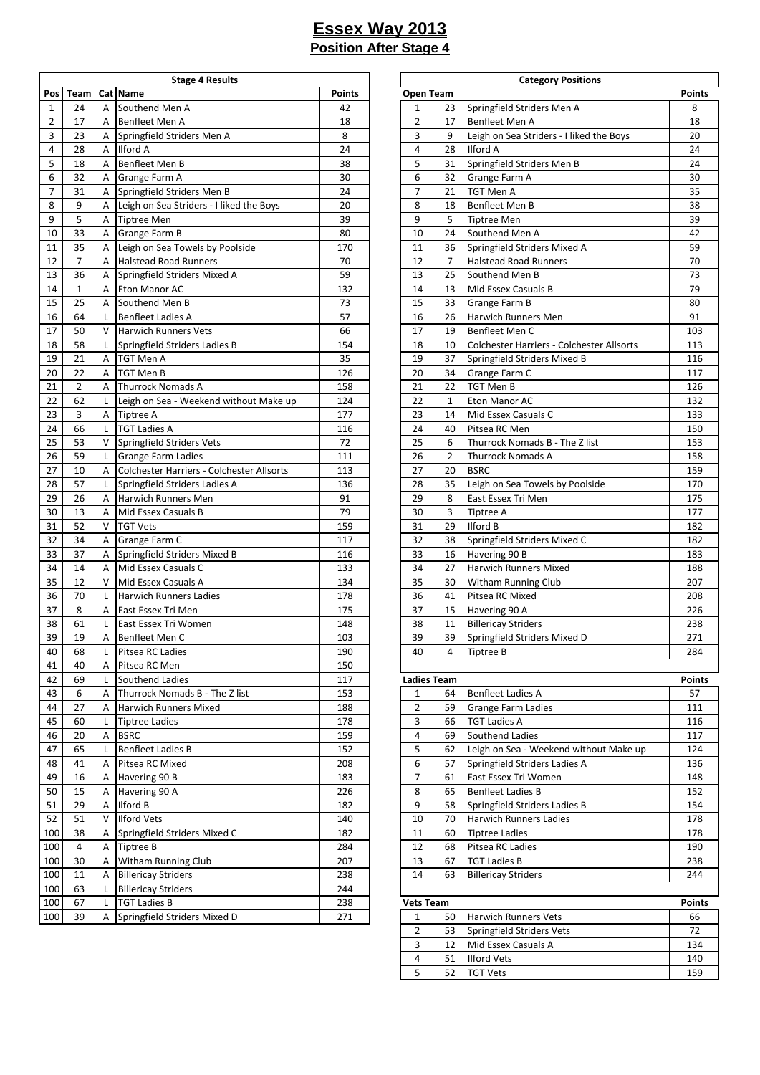|                |                |        | <b>Stage 4 Results</b>                            |               |                                |                | <b>Category Positions</b>                 |               |
|----------------|----------------|--------|---------------------------------------------------|---------------|--------------------------------|----------------|-------------------------------------------|---------------|
| Pos            | Team           |        | Cat Name                                          | <b>Points</b> | Open Team                      |                |                                           | <b>Points</b> |
| $\mathbf{1}$   | 24             | A      | Southend Men A                                    | 42            | $\mathbf{1}$                   | 23             | Springfield Striders Men A                | 8             |
| $\overline{2}$ | 17             | A      | Benfleet Men A                                    | 18            | $\overline{2}$                 | 17             | Benfleet Men A                            | 18            |
| 3              | 23             | Α      | Springfield Striders Men A                        | 8             | 3                              | 9              | Leigh on Sea Striders - I liked the Boys  | 20            |
| 4              | 28             | Α      | Ilford A                                          | 24            | 4                              | 28             | <b>Ilford A</b>                           | 24            |
| 5              | 18             | A      | Benfleet Men B                                    | 38            | 5                              | 31             | Springfield Striders Men B                | 24            |
| 6              | 32             | A      | Grange Farm A                                     | 30            | 6                              | 32             | Grange Farm A                             | 30            |
| 7              | 31             | A      | Springfield Striders Men B                        | 24            | $\overline{7}$                 | 21             | TGT Men A                                 | 35            |
| 8              | 9              | Α      | Leigh on Sea Striders - I liked the Boys          | 20            | 8                              | 18             | Benfleet Men B                            | 38            |
| 9              | 5              | Α      | <b>Tiptree Men</b>                                | 39            | 9                              | 5              | Tiptree Men                               | 39            |
| 10             | 33             | A      | Grange Farm B                                     | 80            | 10                             | 24             | Southend Men A                            | 42            |
| 11             | 35             | Α      | Leigh on Sea Towels by Poolside                   | 170           | 11                             | 36             | Springfield Striders Mixed A              | 59            |
| 12             | $\overline{7}$ | A      | <b>Halstead Road Runners</b>                      | 70            | 12                             | $\overline{7}$ | <b>Halstead Road Runners</b>              | 70            |
| 13             | 36             | Α      | Springfield Striders Mixed A                      | 59            | 13                             | 25             | Southend Men B                            | 73            |
| 14             | $\mathbf{1}$   | A      | Eton Manor AC                                     | 132           | 14                             | 13             | Mid Essex Casuals B                       | 79            |
| 15             | 25             | A      | Southend Men B                                    | 73            | 15                             | 33             | Grange Farm B                             | 80            |
| 16             | 64             | L      | <b>Benfleet Ladies A</b>                          | 57            | 16                             | 26             | Harwich Runners Men                       | 91            |
| 17             | 50             | V      | <b>Harwich Runners Vets</b>                       | 66            | 17                             | 19             | Benfleet Men C                            | 103           |
| 18             | 58             | L      | Springfield Striders Ladies B                     | 154           | 18                             | 10             | Colchester Harriers - Colchester Allsorts | 113           |
| 19             | 21             | A      | <b>TGT Men A</b>                                  | 35            | 19                             | 37             | Springfield Striders Mixed B              | 116           |
| 20             | 22             | Α      | <b>TGT Men B</b>                                  | 126           | 20                             | 34             | Grange Farm C                             | 117           |
| 21             | $\overline{2}$ | A      | <b>Thurrock Nomads A</b>                          | 158           | 21                             | 22             | TGT Men B                                 | 126           |
| 22             | 62             | L      | Leigh on Sea - Weekend without Make up            | 124           | 22                             | $\mathbf{1}$   | Eton Manor AC                             | 132           |
| 23             | 3              | A      | <b>Tiptree A</b>                                  | 177           | 23                             | 14             | Mid Essex Casuals C                       | 133           |
| 24             | 66             | L      | <b>TGT Ladies A</b>                               | 116           | 24                             | 40             | Pitsea RC Men                             | 150           |
| 25             | 53             | V      | Springfield Striders Vets                         | 72            | 25                             | 6              | Thurrock Nomads B - The Z list            | 153           |
| 26             | 59             | L      | <b>Grange Farm Ladies</b>                         | 111           | 26                             | $\overline{2}$ | <b>Thurrock Nomads A</b>                  | 158           |
| 27             | 10             | A      | Colchester Harriers - Colchester Allsorts         | 113           | 27                             | 20             | <b>BSRC</b>                               | 159           |
| 28             | 57             | L      | Springfield Striders Ladies A                     | 136           | 28                             | 35             | Leigh on Sea Towels by Poolside           | 170           |
| 29             | 26             | A      | Harwich Runners Men                               | 91            | 29                             | 8              | East Essex Tri Men                        | 175           |
| 30             | 13             | A      | Mid Essex Casuals B                               | 79            | 30                             | 3              | <b>Tiptree A</b>                          | 177           |
| 31             | 52             | V      | <b>TGT Vets</b>                                   | 159           | 31                             | 29             | <b>Ilford B</b>                           | 182           |
| 32             | 34             | Α      | Grange Farm C                                     | 117           | 32                             | 38             | Springfield Striders Mixed C              | 182           |
| 33             | 37             | A      | Springfield Striders Mixed B                      | 116           | 33                             | 16             | Havering 90 B                             | 183           |
| 34             | 14             | A      | Mid Essex Casuals C                               | 133           | 34                             | 27             | Harwich Runners Mixed                     | 188           |
| 35             | 12             | $\vee$ | Mid Essex Casuals A                               | 134           | 35                             | 30             | Witham Running Club                       | 207           |
| 36             | 70             | L      | <b>Harwich Runners Ladies</b>                     | 178           | 36                             | 41             | Pitsea RC Mixed                           | 208           |
| 37             | 8              | A      | East Essex Tri Men                                | 175           | 37                             | 15             | Havering 90 A                             | 226           |
| 38             | 61             | L      | East Essex Tri Women                              | 148           | 38                             | 11             | <b>Billericay Striders</b>                | 238           |
| 39             | 19             |        |                                                   |               | 39                             | 39             |                                           | 271           |
|                |                | Α      | Benfleet Men C                                    | 103           |                                |                | Springfield Striders Mixed D              |               |
| 40             | 68             | L      | Pitsea RC Ladies<br>Pitsea RC Men                 | 190<br>150    | 40                             | 4              | Tiptree B                                 | 284           |
| 41<br>42       | 40<br>69       | A      |                                                   |               |                                |                |                                           |               |
|                |                | L      | Southend Ladies<br>Thurrock Nomads B - The Z list | 117<br>153    | <b>Ladies Team</b>             | 64             | <b>Benfleet Ladies A</b>                  | <b>Points</b> |
| 43             | 6              | Α      |                                                   |               | $\mathbf{1}$<br>$\overline{2}$ |                |                                           | 57            |
| 44             | 27             | A      | Harwich Runners Mixed                             | 188           |                                | 59             | Grange Farm Ladies                        | 111           |
| 45             | 60             | L      | <b>Tiptree Ladies</b>                             | 178           | 3                              | 66             | <b>TGT Ladies A</b>                       | 116           |
| 46             | 20             | A      | <b>BSRC</b>                                       | 159           | 4                              | 69             | Southend Ladies                           | 117           |
| 47             | 65             | L      | <b>Benfleet Ladies B</b>                          | 152           | 5                              | 62             | Leigh on Sea - Weekend without Make up    | 124           |
| 48             | 41             | Α      | Pitsea RC Mixed                                   | 208           | 6                              | 57             | Springfield Striders Ladies A             | 136           |
| 49             | 16             | A      | Havering 90 B                                     | 183           | $\overline{7}$                 | 61             | East Essex Tri Women                      | 148           |
| 50             | 15             | Α      | Havering 90 A                                     | 226           | 8                              | 65             | <b>Benfleet Ladies B</b>                  | 152           |
| 51             | 29             | A      | Ilford B                                          | 182           | 9                              | 58             | Springfield Striders Ladies B             | 154           |
| 52             | 51             | V      | <b>Ilford Vets</b>                                | 140           | 10                             | 70             | Harwich Runners Ladies                    | 178           |
| 100            | 38             | Α      | Springfield Striders Mixed C                      | 182           | 11                             | 60             | Tiptree Ladies                            | 178           |
| 100            | 4              | Α      | <b>Tiptree B</b>                                  | 284           | 12                             | 68             | Pitsea RC Ladies                          | 190           |
| 100            | 30             | A      | Witham Running Club                               | 207           | 13                             | 67             | <b>TGT Ladies B</b>                       | 238           |
| 100            | 11             | A      | <b>Billericay Striders</b>                        | 238           | 14                             | 63             | <b>Billericay Striders</b>                | 244           |
| 100            | 63             | L      | <b>Billericay Striders</b>                        | 244           |                                |                |                                           |               |
| 100            | 67             | L      | <b>TGT Ladies B</b>                               | 238           | <b>Vets Team</b>               |                |                                           | <b>Points</b> |
| 100            | 39             | A      | Springfield Striders Mixed D                      | 271           | $\mathbf{1}$                   | 50             | Harwich Runners Vets                      | 66            |

| <b>Points</b><br><b>Points</b><br>Open Team<br>Springfield Striders Men A<br>42<br>1<br>23<br>8<br>en A<br>$\overline{2}$<br>18<br>18<br>17<br>Benfleet Men A<br>n A<br>8<br>triders Men A<br>3<br>9<br>Leigh on Sea Striders - I liked the Boys<br>20<br>24<br>4<br>28<br><b>Ilford A</b><br>24<br>38<br>5<br>31<br>Springfield Striders Men B<br>24<br>n B<br>۱A<br>30<br>6<br>30<br>32<br>Grange Farm A<br>triders Men B<br>24<br>7<br>35<br>21<br>TGT Men A<br>20<br>Benfleet Men B<br>38<br>Striders - I liked the Boys<br>8<br>18<br>39<br>9<br>39<br>5<br><b>Tiptree Men</b><br>80<br>24<br>Southend Men A<br>42<br>١B<br>10<br>170<br>Springfield Striders Mixed A<br>59<br>Towels by Poolside<br>11<br>36<br>70<br>12<br><b>Halstead Road Runners</b><br>70<br>ad Runners<br>7<br>59<br>13<br>25<br>73<br>triders Mixed A<br>Southend Men B<br>79<br>132<br>14<br>Mid Essex Casuals B<br>АC<br>13<br>73<br>15<br>33<br>Grange Farm B<br>80<br>en B<br>57<br>91<br>ies A<br>16<br>26<br>Harwich Runners Men<br>Benfleet Men C<br>66<br>17<br>103<br>ners Vets<br>19<br>triders Ladies B<br>154<br>18<br>Colchester Harriers - Colchester Allsorts<br>113<br>10<br>35<br>19<br>Springfield Striders Mixed B<br>116<br>37<br>126<br>20<br>117<br>34<br>Grange Farm C<br>158<br>21<br>22<br>TGT Men B<br>126<br>mads A<br>124<br>Eton Manor AC<br>132<br>- Weekend without Make up<br>22<br>$\mathbf{1}$<br>177<br>23<br>Mid Essex Casuals C<br>133<br>14<br>24<br>Pitsea RC Men<br>150<br>116<br>40<br>72<br>153<br>triders Vets<br>25<br>Thurrock Nomads B - The Z list<br>6<br>111<br>26<br>158<br>າ Ladies<br>2<br>Thurrock Nomads A<br>113<br><b>BSRC</b><br>159<br>arriers - Colchester Allsorts<br>27<br>20<br>triders Ladies A<br>136<br>Leigh on Sea Towels by Poolside<br>170<br>28<br>35<br>175<br>91<br>29<br>East Essex Tri Men<br>ners Men<br>8<br>79<br>30<br>177<br>asuals B<br>3<br>Tiptree A<br>159<br>31<br>29<br><b>Ilford B</b><br>182<br>۱C<br>117<br>32<br>38<br>Springfield Striders Mixed C<br>182<br>triders Mixed B<br>116<br>33<br>Havering 90 B<br>183<br>16<br><b>Harwich Runners Mixed</b><br>188<br>133<br>34<br>asuals C<br>27<br>134<br>35<br>207<br>asuals A<br>30<br><b>Witham Running Club</b><br>178<br>208<br>ners Ladies<br>36<br>41<br>Pitsea RC Mixed<br>i Men<br>175<br>37<br>226<br>15<br>Havering 90 A<br>238<br>i Women<br>148<br>38<br>11<br><b>Billericay Striders</b><br>103<br>39<br>39<br>Springfield Striders Mixed D<br>271<br>n C<br>190<br>40<br>4<br><b>Tiptree B</b><br>284<br>dies<br>150<br>эn<br>dies<br>117<br><b>Ladies Team</b><br>Points<br>mads B - The Z list<br>153<br><b>Benfleet Ladies A</b><br>57<br>1<br>64<br>188<br>2<br>59<br>Grange Farm Ladies<br>111<br>ners Mixed<br>178<br>3<br><b>TGT Ladies A</b><br>116<br>66<br>эs<br>Southend Ladies<br>117<br>159<br>4<br>69<br>5<br>ies B<br>152<br>62<br>Leigh on Sea - Weekend without Make up<br>124<br>Springfield Striders Ladies A<br>208<br>6<br>136<br>xed<br>57<br>В<br>East Essex Tri Women<br>148<br>183<br>7<br>61<br><b>Benfleet Ladies B</b><br>152<br>226<br>8<br>65<br>Α<br>9<br>Springfield Striders Ladies B<br>154<br>182<br>58<br>10<br>Harwich Runners Ladies<br>178<br>140<br>70<br>182<br>11<br><b>Tiptree Ladies</b><br>178<br>triders Mixed C<br>60<br>284<br>12<br>Pitsea RC Ladies<br>190<br>68<br>207<br><b>TGT Ladies B</b><br>238<br>ning Club<br>13<br>67<br>iders<br>238<br>14<br><b>Billericay Striders</b><br>244<br>63<br>244<br>iders<br>238<br><b>Vets Team</b><br><b>Points</b><br>271<br>triders Mixed D<br>50<br><b>Harwich Runners Vets</b><br>66<br>1<br>2<br>72<br>53<br>Springfield Striders Vets<br>Mid Essex Casuals A<br>3<br>12<br>134<br><b>Ilford Vets</b><br>140<br>4<br>51<br>5<br>52<br>159<br><b>TGT Vets</b> | Stage 4 Results |  | <b>Category Positions</b> |  |
|-------------------------------------------------------------------------------------------------------------------------------------------------------------------------------------------------------------------------------------------------------------------------------------------------------------------------------------------------------------------------------------------------------------------------------------------------------------------------------------------------------------------------------------------------------------------------------------------------------------------------------------------------------------------------------------------------------------------------------------------------------------------------------------------------------------------------------------------------------------------------------------------------------------------------------------------------------------------------------------------------------------------------------------------------------------------------------------------------------------------------------------------------------------------------------------------------------------------------------------------------------------------------------------------------------------------------------------------------------------------------------------------------------------------------------------------------------------------------------------------------------------------------------------------------------------------------------------------------------------------------------------------------------------------------------------------------------------------------------------------------------------------------------------------------------------------------------------------------------------------------------------------------------------------------------------------------------------------------------------------------------------------------------------------------------------------------------------------------------------------------------------------------------------------------------------------------------------------------------------------------------------------------------------------------------------------------------------------------------------------------------------------------------------------------------------------------------------------------------------------------------------------------------------------------------------------------------------------------------------------------------------------------------------------------------------------------------------------------------------------------------------------------------------------------------------------------------------------------------------------------------------------------------------------------------------------------------------------------------------------------------------------------------------------------------------------------------------------------------------------------------------------------------------------------------------------------------------------------------------------------------------------------------------------------------------------------------------------------------------------------------------------------------------------------------------------------------------------------------------------------------------------------------------------------------------------------------------------------------------------------------------------------------------------------------------------------------------------------------------------------------------------------------------------------|-----------------|--|---------------------------|--|
|                                                                                                                                                                                                                                                                                                                                                                                                                                                                                                                                                                                                                                                                                                                                                                                                                                                                                                                                                                                                                                                                                                                                                                                                                                                                                                                                                                                                                                                                                                                                                                                                                                                                                                                                                                                                                                                                                                                                                                                                                                                                                                                                                                                                                                                                                                                                                                                                                                                                                                                                                                                                                                                                                                                                                                                                                                                                                                                                                                                                                                                                                                                                                                                                                                                                                                                                                                                                                                                                                                                                                                                                                                                                                                                                                                                                 |                 |  |                           |  |
|                                                                                                                                                                                                                                                                                                                                                                                                                                                                                                                                                                                                                                                                                                                                                                                                                                                                                                                                                                                                                                                                                                                                                                                                                                                                                                                                                                                                                                                                                                                                                                                                                                                                                                                                                                                                                                                                                                                                                                                                                                                                                                                                                                                                                                                                                                                                                                                                                                                                                                                                                                                                                                                                                                                                                                                                                                                                                                                                                                                                                                                                                                                                                                                                                                                                                                                                                                                                                                                                                                                                                                                                                                                                                                                                                                                                 |                 |  |                           |  |
|                                                                                                                                                                                                                                                                                                                                                                                                                                                                                                                                                                                                                                                                                                                                                                                                                                                                                                                                                                                                                                                                                                                                                                                                                                                                                                                                                                                                                                                                                                                                                                                                                                                                                                                                                                                                                                                                                                                                                                                                                                                                                                                                                                                                                                                                                                                                                                                                                                                                                                                                                                                                                                                                                                                                                                                                                                                                                                                                                                                                                                                                                                                                                                                                                                                                                                                                                                                                                                                                                                                                                                                                                                                                                                                                                                                                 |                 |  |                           |  |
|                                                                                                                                                                                                                                                                                                                                                                                                                                                                                                                                                                                                                                                                                                                                                                                                                                                                                                                                                                                                                                                                                                                                                                                                                                                                                                                                                                                                                                                                                                                                                                                                                                                                                                                                                                                                                                                                                                                                                                                                                                                                                                                                                                                                                                                                                                                                                                                                                                                                                                                                                                                                                                                                                                                                                                                                                                                                                                                                                                                                                                                                                                                                                                                                                                                                                                                                                                                                                                                                                                                                                                                                                                                                                                                                                                                                 |                 |  |                           |  |
|                                                                                                                                                                                                                                                                                                                                                                                                                                                                                                                                                                                                                                                                                                                                                                                                                                                                                                                                                                                                                                                                                                                                                                                                                                                                                                                                                                                                                                                                                                                                                                                                                                                                                                                                                                                                                                                                                                                                                                                                                                                                                                                                                                                                                                                                                                                                                                                                                                                                                                                                                                                                                                                                                                                                                                                                                                                                                                                                                                                                                                                                                                                                                                                                                                                                                                                                                                                                                                                                                                                                                                                                                                                                                                                                                                                                 |                 |  |                           |  |
|                                                                                                                                                                                                                                                                                                                                                                                                                                                                                                                                                                                                                                                                                                                                                                                                                                                                                                                                                                                                                                                                                                                                                                                                                                                                                                                                                                                                                                                                                                                                                                                                                                                                                                                                                                                                                                                                                                                                                                                                                                                                                                                                                                                                                                                                                                                                                                                                                                                                                                                                                                                                                                                                                                                                                                                                                                                                                                                                                                                                                                                                                                                                                                                                                                                                                                                                                                                                                                                                                                                                                                                                                                                                                                                                                                                                 |                 |  |                           |  |
|                                                                                                                                                                                                                                                                                                                                                                                                                                                                                                                                                                                                                                                                                                                                                                                                                                                                                                                                                                                                                                                                                                                                                                                                                                                                                                                                                                                                                                                                                                                                                                                                                                                                                                                                                                                                                                                                                                                                                                                                                                                                                                                                                                                                                                                                                                                                                                                                                                                                                                                                                                                                                                                                                                                                                                                                                                                                                                                                                                                                                                                                                                                                                                                                                                                                                                                                                                                                                                                                                                                                                                                                                                                                                                                                                                                                 |                 |  |                           |  |
|                                                                                                                                                                                                                                                                                                                                                                                                                                                                                                                                                                                                                                                                                                                                                                                                                                                                                                                                                                                                                                                                                                                                                                                                                                                                                                                                                                                                                                                                                                                                                                                                                                                                                                                                                                                                                                                                                                                                                                                                                                                                                                                                                                                                                                                                                                                                                                                                                                                                                                                                                                                                                                                                                                                                                                                                                                                                                                                                                                                                                                                                                                                                                                                                                                                                                                                                                                                                                                                                                                                                                                                                                                                                                                                                                                                                 |                 |  |                           |  |
|                                                                                                                                                                                                                                                                                                                                                                                                                                                                                                                                                                                                                                                                                                                                                                                                                                                                                                                                                                                                                                                                                                                                                                                                                                                                                                                                                                                                                                                                                                                                                                                                                                                                                                                                                                                                                                                                                                                                                                                                                                                                                                                                                                                                                                                                                                                                                                                                                                                                                                                                                                                                                                                                                                                                                                                                                                                                                                                                                                                                                                                                                                                                                                                                                                                                                                                                                                                                                                                                                                                                                                                                                                                                                                                                                                                                 |                 |  |                           |  |
|                                                                                                                                                                                                                                                                                                                                                                                                                                                                                                                                                                                                                                                                                                                                                                                                                                                                                                                                                                                                                                                                                                                                                                                                                                                                                                                                                                                                                                                                                                                                                                                                                                                                                                                                                                                                                                                                                                                                                                                                                                                                                                                                                                                                                                                                                                                                                                                                                                                                                                                                                                                                                                                                                                                                                                                                                                                                                                                                                                                                                                                                                                                                                                                                                                                                                                                                                                                                                                                                                                                                                                                                                                                                                                                                                                                                 |                 |  |                           |  |
|                                                                                                                                                                                                                                                                                                                                                                                                                                                                                                                                                                                                                                                                                                                                                                                                                                                                                                                                                                                                                                                                                                                                                                                                                                                                                                                                                                                                                                                                                                                                                                                                                                                                                                                                                                                                                                                                                                                                                                                                                                                                                                                                                                                                                                                                                                                                                                                                                                                                                                                                                                                                                                                                                                                                                                                                                                                                                                                                                                                                                                                                                                                                                                                                                                                                                                                                                                                                                                                                                                                                                                                                                                                                                                                                                                                                 |                 |  |                           |  |
|                                                                                                                                                                                                                                                                                                                                                                                                                                                                                                                                                                                                                                                                                                                                                                                                                                                                                                                                                                                                                                                                                                                                                                                                                                                                                                                                                                                                                                                                                                                                                                                                                                                                                                                                                                                                                                                                                                                                                                                                                                                                                                                                                                                                                                                                                                                                                                                                                                                                                                                                                                                                                                                                                                                                                                                                                                                                                                                                                                                                                                                                                                                                                                                                                                                                                                                                                                                                                                                                                                                                                                                                                                                                                                                                                                                                 |                 |  |                           |  |
|                                                                                                                                                                                                                                                                                                                                                                                                                                                                                                                                                                                                                                                                                                                                                                                                                                                                                                                                                                                                                                                                                                                                                                                                                                                                                                                                                                                                                                                                                                                                                                                                                                                                                                                                                                                                                                                                                                                                                                                                                                                                                                                                                                                                                                                                                                                                                                                                                                                                                                                                                                                                                                                                                                                                                                                                                                                                                                                                                                                                                                                                                                                                                                                                                                                                                                                                                                                                                                                                                                                                                                                                                                                                                                                                                                                                 |                 |  |                           |  |
|                                                                                                                                                                                                                                                                                                                                                                                                                                                                                                                                                                                                                                                                                                                                                                                                                                                                                                                                                                                                                                                                                                                                                                                                                                                                                                                                                                                                                                                                                                                                                                                                                                                                                                                                                                                                                                                                                                                                                                                                                                                                                                                                                                                                                                                                                                                                                                                                                                                                                                                                                                                                                                                                                                                                                                                                                                                                                                                                                                                                                                                                                                                                                                                                                                                                                                                                                                                                                                                                                                                                                                                                                                                                                                                                                                                                 |                 |  |                           |  |
|                                                                                                                                                                                                                                                                                                                                                                                                                                                                                                                                                                                                                                                                                                                                                                                                                                                                                                                                                                                                                                                                                                                                                                                                                                                                                                                                                                                                                                                                                                                                                                                                                                                                                                                                                                                                                                                                                                                                                                                                                                                                                                                                                                                                                                                                                                                                                                                                                                                                                                                                                                                                                                                                                                                                                                                                                                                                                                                                                                                                                                                                                                                                                                                                                                                                                                                                                                                                                                                                                                                                                                                                                                                                                                                                                                                                 |                 |  |                           |  |
|                                                                                                                                                                                                                                                                                                                                                                                                                                                                                                                                                                                                                                                                                                                                                                                                                                                                                                                                                                                                                                                                                                                                                                                                                                                                                                                                                                                                                                                                                                                                                                                                                                                                                                                                                                                                                                                                                                                                                                                                                                                                                                                                                                                                                                                                                                                                                                                                                                                                                                                                                                                                                                                                                                                                                                                                                                                                                                                                                                                                                                                                                                                                                                                                                                                                                                                                                                                                                                                                                                                                                                                                                                                                                                                                                                                                 |                 |  |                           |  |
|                                                                                                                                                                                                                                                                                                                                                                                                                                                                                                                                                                                                                                                                                                                                                                                                                                                                                                                                                                                                                                                                                                                                                                                                                                                                                                                                                                                                                                                                                                                                                                                                                                                                                                                                                                                                                                                                                                                                                                                                                                                                                                                                                                                                                                                                                                                                                                                                                                                                                                                                                                                                                                                                                                                                                                                                                                                                                                                                                                                                                                                                                                                                                                                                                                                                                                                                                                                                                                                                                                                                                                                                                                                                                                                                                                                                 |                 |  |                           |  |
|                                                                                                                                                                                                                                                                                                                                                                                                                                                                                                                                                                                                                                                                                                                                                                                                                                                                                                                                                                                                                                                                                                                                                                                                                                                                                                                                                                                                                                                                                                                                                                                                                                                                                                                                                                                                                                                                                                                                                                                                                                                                                                                                                                                                                                                                                                                                                                                                                                                                                                                                                                                                                                                                                                                                                                                                                                                                                                                                                                                                                                                                                                                                                                                                                                                                                                                                                                                                                                                                                                                                                                                                                                                                                                                                                                                                 |                 |  |                           |  |
|                                                                                                                                                                                                                                                                                                                                                                                                                                                                                                                                                                                                                                                                                                                                                                                                                                                                                                                                                                                                                                                                                                                                                                                                                                                                                                                                                                                                                                                                                                                                                                                                                                                                                                                                                                                                                                                                                                                                                                                                                                                                                                                                                                                                                                                                                                                                                                                                                                                                                                                                                                                                                                                                                                                                                                                                                                                                                                                                                                                                                                                                                                                                                                                                                                                                                                                                                                                                                                                                                                                                                                                                                                                                                                                                                                                                 |                 |  |                           |  |
|                                                                                                                                                                                                                                                                                                                                                                                                                                                                                                                                                                                                                                                                                                                                                                                                                                                                                                                                                                                                                                                                                                                                                                                                                                                                                                                                                                                                                                                                                                                                                                                                                                                                                                                                                                                                                                                                                                                                                                                                                                                                                                                                                                                                                                                                                                                                                                                                                                                                                                                                                                                                                                                                                                                                                                                                                                                                                                                                                                                                                                                                                                                                                                                                                                                                                                                                                                                                                                                                                                                                                                                                                                                                                                                                                                                                 |                 |  |                           |  |
|                                                                                                                                                                                                                                                                                                                                                                                                                                                                                                                                                                                                                                                                                                                                                                                                                                                                                                                                                                                                                                                                                                                                                                                                                                                                                                                                                                                                                                                                                                                                                                                                                                                                                                                                                                                                                                                                                                                                                                                                                                                                                                                                                                                                                                                                                                                                                                                                                                                                                                                                                                                                                                                                                                                                                                                                                                                                                                                                                                                                                                                                                                                                                                                                                                                                                                                                                                                                                                                                                                                                                                                                                                                                                                                                                                                                 |                 |  |                           |  |
|                                                                                                                                                                                                                                                                                                                                                                                                                                                                                                                                                                                                                                                                                                                                                                                                                                                                                                                                                                                                                                                                                                                                                                                                                                                                                                                                                                                                                                                                                                                                                                                                                                                                                                                                                                                                                                                                                                                                                                                                                                                                                                                                                                                                                                                                                                                                                                                                                                                                                                                                                                                                                                                                                                                                                                                                                                                                                                                                                                                                                                                                                                                                                                                                                                                                                                                                                                                                                                                                                                                                                                                                                                                                                                                                                                                                 |                 |  |                           |  |
|                                                                                                                                                                                                                                                                                                                                                                                                                                                                                                                                                                                                                                                                                                                                                                                                                                                                                                                                                                                                                                                                                                                                                                                                                                                                                                                                                                                                                                                                                                                                                                                                                                                                                                                                                                                                                                                                                                                                                                                                                                                                                                                                                                                                                                                                                                                                                                                                                                                                                                                                                                                                                                                                                                                                                                                                                                                                                                                                                                                                                                                                                                                                                                                                                                                                                                                                                                                                                                                                                                                                                                                                                                                                                                                                                                                                 |                 |  |                           |  |
|                                                                                                                                                                                                                                                                                                                                                                                                                                                                                                                                                                                                                                                                                                                                                                                                                                                                                                                                                                                                                                                                                                                                                                                                                                                                                                                                                                                                                                                                                                                                                                                                                                                                                                                                                                                                                                                                                                                                                                                                                                                                                                                                                                                                                                                                                                                                                                                                                                                                                                                                                                                                                                                                                                                                                                                                                                                                                                                                                                                                                                                                                                                                                                                                                                                                                                                                                                                                                                                                                                                                                                                                                                                                                                                                                                                                 |                 |  |                           |  |
|                                                                                                                                                                                                                                                                                                                                                                                                                                                                                                                                                                                                                                                                                                                                                                                                                                                                                                                                                                                                                                                                                                                                                                                                                                                                                                                                                                                                                                                                                                                                                                                                                                                                                                                                                                                                                                                                                                                                                                                                                                                                                                                                                                                                                                                                                                                                                                                                                                                                                                                                                                                                                                                                                                                                                                                                                                                                                                                                                                                                                                                                                                                                                                                                                                                                                                                                                                                                                                                                                                                                                                                                                                                                                                                                                                                                 |                 |  |                           |  |
|                                                                                                                                                                                                                                                                                                                                                                                                                                                                                                                                                                                                                                                                                                                                                                                                                                                                                                                                                                                                                                                                                                                                                                                                                                                                                                                                                                                                                                                                                                                                                                                                                                                                                                                                                                                                                                                                                                                                                                                                                                                                                                                                                                                                                                                                                                                                                                                                                                                                                                                                                                                                                                                                                                                                                                                                                                                                                                                                                                                                                                                                                                                                                                                                                                                                                                                                                                                                                                                                                                                                                                                                                                                                                                                                                                                                 |                 |  |                           |  |
|                                                                                                                                                                                                                                                                                                                                                                                                                                                                                                                                                                                                                                                                                                                                                                                                                                                                                                                                                                                                                                                                                                                                                                                                                                                                                                                                                                                                                                                                                                                                                                                                                                                                                                                                                                                                                                                                                                                                                                                                                                                                                                                                                                                                                                                                                                                                                                                                                                                                                                                                                                                                                                                                                                                                                                                                                                                                                                                                                                                                                                                                                                                                                                                                                                                                                                                                                                                                                                                                                                                                                                                                                                                                                                                                                                                                 |                 |  |                           |  |
|                                                                                                                                                                                                                                                                                                                                                                                                                                                                                                                                                                                                                                                                                                                                                                                                                                                                                                                                                                                                                                                                                                                                                                                                                                                                                                                                                                                                                                                                                                                                                                                                                                                                                                                                                                                                                                                                                                                                                                                                                                                                                                                                                                                                                                                                                                                                                                                                                                                                                                                                                                                                                                                                                                                                                                                                                                                                                                                                                                                                                                                                                                                                                                                                                                                                                                                                                                                                                                                                                                                                                                                                                                                                                                                                                                                                 |                 |  |                           |  |
|                                                                                                                                                                                                                                                                                                                                                                                                                                                                                                                                                                                                                                                                                                                                                                                                                                                                                                                                                                                                                                                                                                                                                                                                                                                                                                                                                                                                                                                                                                                                                                                                                                                                                                                                                                                                                                                                                                                                                                                                                                                                                                                                                                                                                                                                                                                                                                                                                                                                                                                                                                                                                                                                                                                                                                                                                                                                                                                                                                                                                                                                                                                                                                                                                                                                                                                                                                                                                                                                                                                                                                                                                                                                                                                                                                                                 |                 |  |                           |  |
|                                                                                                                                                                                                                                                                                                                                                                                                                                                                                                                                                                                                                                                                                                                                                                                                                                                                                                                                                                                                                                                                                                                                                                                                                                                                                                                                                                                                                                                                                                                                                                                                                                                                                                                                                                                                                                                                                                                                                                                                                                                                                                                                                                                                                                                                                                                                                                                                                                                                                                                                                                                                                                                                                                                                                                                                                                                                                                                                                                                                                                                                                                                                                                                                                                                                                                                                                                                                                                                                                                                                                                                                                                                                                                                                                                                                 |                 |  |                           |  |
|                                                                                                                                                                                                                                                                                                                                                                                                                                                                                                                                                                                                                                                                                                                                                                                                                                                                                                                                                                                                                                                                                                                                                                                                                                                                                                                                                                                                                                                                                                                                                                                                                                                                                                                                                                                                                                                                                                                                                                                                                                                                                                                                                                                                                                                                                                                                                                                                                                                                                                                                                                                                                                                                                                                                                                                                                                                                                                                                                                                                                                                                                                                                                                                                                                                                                                                                                                                                                                                                                                                                                                                                                                                                                                                                                                                                 |                 |  |                           |  |
|                                                                                                                                                                                                                                                                                                                                                                                                                                                                                                                                                                                                                                                                                                                                                                                                                                                                                                                                                                                                                                                                                                                                                                                                                                                                                                                                                                                                                                                                                                                                                                                                                                                                                                                                                                                                                                                                                                                                                                                                                                                                                                                                                                                                                                                                                                                                                                                                                                                                                                                                                                                                                                                                                                                                                                                                                                                                                                                                                                                                                                                                                                                                                                                                                                                                                                                                                                                                                                                                                                                                                                                                                                                                                                                                                                                                 |                 |  |                           |  |
|                                                                                                                                                                                                                                                                                                                                                                                                                                                                                                                                                                                                                                                                                                                                                                                                                                                                                                                                                                                                                                                                                                                                                                                                                                                                                                                                                                                                                                                                                                                                                                                                                                                                                                                                                                                                                                                                                                                                                                                                                                                                                                                                                                                                                                                                                                                                                                                                                                                                                                                                                                                                                                                                                                                                                                                                                                                                                                                                                                                                                                                                                                                                                                                                                                                                                                                                                                                                                                                                                                                                                                                                                                                                                                                                                                                                 |                 |  |                           |  |
|                                                                                                                                                                                                                                                                                                                                                                                                                                                                                                                                                                                                                                                                                                                                                                                                                                                                                                                                                                                                                                                                                                                                                                                                                                                                                                                                                                                                                                                                                                                                                                                                                                                                                                                                                                                                                                                                                                                                                                                                                                                                                                                                                                                                                                                                                                                                                                                                                                                                                                                                                                                                                                                                                                                                                                                                                                                                                                                                                                                                                                                                                                                                                                                                                                                                                                                                                                                                                                                                                                                                                                                                                                                                                                                                                                                                 |                 |  |                           |  |
|                                                                                                                                                                                                                                                                                                                                                                                                                                                                                                                                                                                                                                                                                                                                                                                                                                                                                                                                                                                                                                                                                                                                                                                                                                                                                                                                                                                                                                                                                                                                                                                                                                                                                                                                                                                                                                                                                                                                                                                                                                                                                                                                                                                                                                                                                                                                                                                                                                                                                                                                                                                                                                                                                                                                                                                                                                                                                                                                                                                                                                                                                                                                                                                                                                                                                                                                                                                                                                                                                                                                                                                                                                                                                                                                                                                                 |                 |  |                           |  |
|                                                                                                                                                                                                                                                                                                                                                                                                                                                                                                                                                                                                                                                                                                                                                                                                                                                                                                                                                                                                                                                                                                                                                                                                                                                                                                                                                                                                                                                                                                                                                                                                                                                                                                                                                                                                                                                                                                                                                                                                                                                                                                                                                                                                                                                                                                                                                                                                                                                                                                                                                                                                                                                                                                                                                                                                                                                                                                                                                                                                                                                                                                                                                                                                                                                                                                                                                                                                                                                                                                                                                                                                                                                                                                                                                                                                 |                 |  |                           |  |
|                                                                                                                                                                                                                                                                                                                                                                                                                                                                                                                                                                                                                                                                                                                                                                                                                                                                                                                                                                                                                                                                                                                                                                                                                                                                                                                                                                                                                                                                                                                                                                                                                                                                                                                                                                                                                                                                                                                                                                                                                                                                                                                                                                                                                                                                                                                                                                                                                                                                                                                                                                                                                                                                                                                                                                                                                                                                                                                                                                                                                                                                                                                                                                                                                                                                                                                                                                                                                                                                                                                                                                                                                                                                                                                                                                                                 |                 |  |                           |  |
|                                                                                                                                                                                                                                                                                                                                                                                                                                                                                                                                                                                                                                                                                                                                                                                                                                                                                                                                                                                                                                                                                                                                                                                                                                                                                                                                                                                                                                                                                                                                                                                                                                                                                                                                                                                                                                                                                                                                                                                                                                                                                                                                                                                                                                                                                                                                                                                                                                                                                                                                                                                                                                                                                                                                                                                                                                                                                                                                                                                                                                                                                                                                                                                                                                                                                                                                                                                                                                                                                                                                                                                                                                                                                                                                                                                                 |                 |  |                           |  |
|                                                                                                                                                                                                                                                                                                                                                                                                                                                                                                                                                                                                                                                                                                                                                                                                                                                                                                                                                                                                                                                                                                                                                                                                                                                                                                                                                                                                                                                                                                                                                                                                                                                                                                                                                                                                                                                                                                                                                                                                                                                                                                                                                                                                                                                                                                                                                                                                                                                                                                                                                                                                                                                                                                                                                                                                                                                                                                                                                                                                                                                                                                                                                                                                                                                                                                                                                                                                                                                                                                                                                                                                                                                                                                                                                                                                 |                 |  |                           |  |
|                                                                                                                                                                                                                                                                                                                                                                                                                                                                                                                                                                                                                                                                                                                                                                                                                                                                                                                                                                                                                                                                                                                                                                                                                                                                                                                                                                                                                                                                                                                                                                                                                                                                                                                                                                                                                                                                                                                                                                                                                                                                                                                                                                                                                                                                                                                                                                                                                                                                                                                                                                                                                                                                                                                                                                                                                                                                                                                                                                                                                                                                                                                                                                                                                                                                                                                                                                                                                                                                                                                                                                                                                                                                                                                                                                                                 |                 |  |                           |  |
|                                                                                                                                                                                                                                                                                                                                                                                                                                                                                                                                                                                                                                                                                                                                                                                                                                                                                                                                                                                                                                                                                                                                                                                                                                                                                                                                                                                                                                                                                                                                                                                                                                                                                                                                                                                                                                                                                                                                                                                                                                                                                                                                                                                                                                                                                                                                                                                                                                                                                                                                                                                                                                                                                                                                                                                                                                                                                                                                                                                                                                                                                                                                                                                                                                                                                                                                                                                                                                                                                                                                                                                                                                                                                                                                                                                                 |                 |  |                           |  |
|                                                                                                                                                                                                                                                                                                                                                                                                                                                                                                                                                                                                                                                                                                                                                                                                                                                                                                                                                                                                                                                                                                                                                                                                                                                                                                                                                                                                                                                                                                                                                                                                                                                                                                                                                                                                                                                                                                                                                                                                                                                                                                                                                                                                                                                                                                                                                                                                                                                                                                                                                                                                                                                                                                                                                                                                                                                                                                                                                                                                                                                                                                                                                                                                                                                                                                                                                                                                                                                                                                                                                                                                                                                                                                                                                                                                 |                 |  |                           |  |
|                                                                                                                                                                                                                                                                                                                                                                                                                                                                                                                                                                                                                                                                                                                                                                                                                                                                                                                                                                                                                                                                                                                                                                                                                                                                                                                                                                                                                                                                                                                                                                                                                                                                                                                                                                                                                                                                                                                                                                                                                                                                                                                                                                                                                                                                                                                                                                                                                                                                                                                                                                                                                                                                                                                                                                                                                                                                                                                                                                                                                                                                                                                                                                                                                                                                                                                                                                                                                                                                                                                                                                                                                                                                                                                                                                                                 |                 |  |                           |  |
|                                                                                                                                                                                                                                                                                                                                                                                                                                                                                                                                                                                                                                                                                                                                                                                                                                                                                                                                                                                                                                                                                                                                                                                                                                                                                                                                                                                                                                                                                                                                                                                                                                                                                                                                                                                                                                                                                                                                                                                                                                                                                                                                                                                                                                                                                                                                                                                                                                                                                                                                                                                                                                                                                                                                                                                                                                                                                                                                                                                                                                                                                                                                                                                                                                                                                                                                                                                                                                                                                                                                                                                                                                                                                                                                                                                                 |                 |  |                           |  |
|                                                                                                                                                                                                                                                                                                                                                                                                                                                                                                                                                                                                                                                                                                                                                                                                                                                                                                                                                                                                                                                                                                                                                                                                                                                                                                                                                                                                                                                                                                                                                                                                                                                                                                                                                                                                                                                                                                                                                                                                                                                                                                                                                                                                                                                                                                                                                                                                                                                                                                                                                                                                                                                                                                                                                                                                                                                                                                                                                                                                                                                                                                                                                                                                                                                                                                                                                                                                                                                                                                                                                                                                                                                                                                                                                                                                 |                 |  |                           |  |
|                                                                                                                                                                                                                                                                                                                                                                                                                                                                                                                                                                                                                                                                                                                                                                                                                                                                                                                                                                                                                                                                                                                                                                                                                                                                                                                                                                                                                                                                                                                                                                                                                                                                                                                                                                                                                                                                                                                                                                                                                                                                                                                                                                                                                                                                                                                                                                                                                                                                                                                                                                                                                                                                                                                                                                                                                                                                                                                                                                                                                                                                                                                                                                                                                                                                                                                                                                                                                                                                                                                                                                                                                                                                                                                                                                                                 |                 |  |                           |  |
|                                                                                                                                                                                                                                                                                                                                                                                                                                                                                                                                                                                                                                                                                                                                                                                                                                                                                                                                                                                                                                                                                                                                                                                                                                                                                                                                                                                                                                                                                                                                                                                                                                                                                                                                                                                                                                                                                                                                                                                                                                                                                                                                                                                                                                                                                                                                                                                                                                                                                                                                                                                                                                                                                                                                                                                                                                                                                                                                                                                                                                                                                                                                                                                                                                                                                                                                                                                                                                                                                                                                                                                                                                                                                                                                                                                                 |                 |  |                           |  |
|                                                                                                                                                                                                                                                                                                                                                                                                                                                                                                                                                                                                                                                                                                                                                                                                                                                                                                                                                                                                                                                                                                                                                                                                                                                                                                                                                                                                                                                                                                                                                                                                                                                                                                                                                                                                                                                                                                                                                                                                                                                                                                                                                                                                                                                                                                                                                                                                                                                                                                                                                                                                                                                                                                                                                                                                                                                                                                                                                                                                                                                                                                                                                                                                                                                                                                                                                                                                                                                                                                                                                                                                                                                                                                                                                                                                 |                 |  |                           |  |
|                                                                                                                                                                                                                                                                                                                                                                                                                                                                                                                                                                                                                                                                                                                                                                                                                                                                                                                                                                                                                                                                                                                                                                                                                                                                                                                                                                                                                                                                                                                                                                                                                                                                                                                                                                                                                                                                                                                                                                                                                                                                                                                                                                                                                                                                                                                                                                                                                                                                                                                                                                                                                                                                                                                                                                                                                                                                                                                                                                                                                                                                                                                                                                                                                                                                                                                                                                                                                                                                                                                                                                                                                                                                                                                                                                                                 |                 |  |                           |  |
|                                                                                                                                                                                                                                                                                                                                                                                                                                                                                                                                                                                                                                                                                                                                                                                                                                                                                                                                                                                                                                                                                                                                                                                                                                                                                                                                                                                                                                                                                                                                                                                                                                                                                                                                                                                                                                                                                                                                                                                                                                                                                                                                                                                                                                                                                                                                                                                                                                                                                                                                                                                                                                                                                                                                                                                                                                                                                                                                                                                                                                                                                                                                                                                                                                                                                                                                                                                                                                                                                                                                                                                                                                                                                                                                                                                                 |                 |  |                           |  |
|                                                                                                                                                                                                                                                                                                                                                                                                                                                                                                                                                                                                                                                                                                                                                                                                                                                                                                                                                                                                                                                                                                                                                                                                                                                                                                                                                                                                                                                                                                                                                                                                                                                                                                                                                                                                                                                                                                                                                                                                                                                                                                                                                                                                                                                                                                                                                                                                                                                                                                                                                                                                                                                                                                                                                                                                                                                                                                                                                                                                                                                                                                                                                                                                                                                                                                                                                                                                                                                                                                                                                                                                                                                                                                                                                                                                 |                 |  |                           |  |
|                                                                                                                                                                                                                                                                                                                                                                                                                                                                                                                                                                                                                                                                                                                                                                                                                                                                                                                                                                                                                                                                                                                                                                                                                                                                                                                                                                                                                                                                                                                                                                                                                                                                                                                                                                                                                                                                                                                                                                                                                                                                                                                                                                                                                                                                                                                                                                                                                                                                                                                                                                                                                                                                                                                                                                                                                                                                                                                                                                                                                                                                                                                                                                                                                                                                                                                                                                                                                                                                                                                                                                                                                                                                                                                                                                                                 |                 |  |                           |  |
|                                                                                                                                                                                                                                                                                                                                                                                                                                                                                                                                                                                                                                                                                                                                                                                                                                                                                                                                                                                                                                                                                                                                                                                                                                                                                                                                                                                                                                                                                                                                                                                                                                                                                                                                                                                                                                                                                                                                                                                                                                                                                                                                                                                                                                                                                                                                                                                                                                                                                                                                                                                                                                                                                                                                                                                                                                                                                                                                                                                                                                                                                                                                                                                                                                                                                                                                                                                                                                                                                                                                                                                                                                                                                                                                                                                                 |                 |  |                           |  |
|                                                                                                                                                                                                                                                                                                                                                                                                                                                                                                                                                                                                                                                                                                                                                                                                                                                                                                                                                                                                                                                                                                                                                                                                                                                                                                                                                                                                                                                                                                                                                                                                                                                                                                                                                                                                                                                                                                                                                                                                                                                                                                                                                                                                                                                                                                                                                                                                                                                                                                                                                                                                                                                                                                                                                                                                                                                                                                                                                                                                                                                                                                                                                                                                                                                                                                                                                                                                                                                                                                                                                                                                                                                                                                                                                                                                 |                 |  |                           |  |
|                                                                                                                                                                                                                                                                                                                                                                                                                                                                                                                                                                                                                                                                                                                                                                                                                                                                                                                                                                                                                                                                                                                                                                                                                                                                                                                                                                                                                                                                                                                                                                                                                                                                                                                                                                                                                                                                                                                                                                                                                                                                                                                                                                                                                                                                                                                                                                                                                                                                                                                                                                                                                                                                                                                                                                                                                                                                                                                                                                                                                                                                                                                                                                                                                                                                                                                                                                                                                                                                                                                                                                                                                                                                                                                                                                                                 |                 |  |                           |  |
|                                                                                                                                                                                                                                                                                                                                                                                                                                                                                                                                                                                                                                                                                                                                                                                                                                                                                                                                                                                                                                                                                                                                                                                                                                                                                                                                                                                                                                                                                                                                                                                                                                                                                                                                                                                                                                                                                                                                                                                                                                                                                                                                                                                                                                                                                                                                                                                                                                                                                                                                                                                                                                                                                                                                                                                                                                                                                                                                                                                                                                                                                                                                                                                                                                                                                                                                                                                                                                                                                                                                                                                                                                                                                                                                                                                                 |                 |  |                           |  |
|                                                                                                                                                                                                                                                                                                                                                                                                                                                                                                                                                                                                                                                                                                                                                                                                                                                                                                                                                                                                                                                                                                                                                                                                                                                                                                                                                                                                                                                                                                                                                                                                                                                                                                                                                                                                                                                                                                                                                                                                                                                                                                                                                                                                                                                                                                                                                                                                                                                                                                                                                                                                                                                                                                                                                                                                                                                                                                                                                                                                                                                                                                                                                                                                                                                                                                                                                                                                                                                                                                                                                                                                                                                                                                                                                                                                 |                 |  |                           |  |
|                                                                                                                                                                                                                                                                                                                                                                                                                                                                                                                                                                                                                                                                                                                                                                                                                                                                                                                                                                                                                                                                                                                                                                                                                                                                                                                                                                                                                                                                                                                                                                                                                                                                                                                                                                                                                                                                                                                                                                                                                                                                                                                                                                                                                                                                                                                                                                                                                                                                                                                                                                                                                                                                                                                                                                                                                                                                                                                                                                                                                                                                                                                                                                                                                                                                                                                                                                                                                                                                                                                                                                                                                                                                                                                                                                                                 |                 |  |                           |  |
|                                                                                                                                                                                                                                                                                                                                                                                                                                                                                                                                                                                                                                                                                                                                                                                                                                                                                                                                                                                                                                                                                                                                                                                                                                                                                                                                                                                                                                                                                                                                                                                                                                                                                                                                                                                                                                                                                                                                                                                                                                                                                                                                                                                                                                                                                                                                                                                                                                                                                                                                                                                                                                                                                                                                                                                                                                                                                                                                                                                                                                                                                                                                                                                                                                                                                                                                                                                                                                                                                                                                                                                                                                                                                                                                                                                                 |                 |  |                           |  |
|                                                                                                                                                                                                                                                                                                                                                                                                                                                                                                                                                                                                                                                                                                                                                                                                                                                                                                                                                                                                                                                                                                                                                                                                                                                                                                                                                                                                                                                                                                                                                                                                                                                                                                                                                                                                                                                                                                                                                                                                                                                                                                                                                                                                                                                                                                                                                                                                                                                                                                                                                                                                                                                                                                                                                                                                                                                                                                                                                                                                                                                                                                                                                                                                                                                                                                                                                                                                                                                                                                                                                                                                                                                                                                                                                                                                 |                 |  |                           |  |
|                                                                                                                                                                                                                                                                                                                                                                                                                                                                                                                                                                                                                                                                                                                                                                                                                                                                                                                                                                                                                                                                                                                                                                                                                                                                                                                                                                                                                                                                                                                                                                                                                                                                                                                                                                                                                                                                                                                                                                                                                                                                                                                                                                                                                                                                                                                                                                                                                                                                                                                                                                                                                                                                                                                                                                                                                                                                                                                                                                                                                                                                                                                                                                                                                                                                                                                                                                                                                                                                                                                                                                                                                                                                                                                                                                                                 |                 |  |                           |  |
|                                                                                                                                                                                                                                                                                                                                                                                                                                                                                                                                                                                                                                                                                                                                                                                                                                                                                                                                                                                                                                                                                                                                                                                                                                                                                                                                                                                                                                                                                                                                                                                                                                                                                                                                                                                                                                                                                                                                                                                                                                                                                                                                                                                                                                                                                                                                                                                                                                                                                                                                                                                                                                                                                                                                                                                                                                                                                                                                                                                                                                                                                                                                                                                                                                                                                                                                                                                                                                                                                                                                                                                                                                                                                                                                                                                                 |                 |  |                           |  |
|                                                                                                                                                                                                                                                                                                                                                                                                                                                                                                                                                                                                                                                                                                                                                                                                                                                                                                                                                                                                                                                                                                                                                                                                                                                                                                                                                                                                                                                                                                                                                                                                                                                                                                                                                                                                                                                                                                                                                                                                                                                                                                                                                                                                                                                                                                                                                                                                                                                                                                                                                                                                                                                                                                                                                                                                                                                                                                                                                                                                                                                                                                                                                                                                                                                                                                                                                                                                                                                                                                                                                                                                                                                                                                                                                                                                 |                 |  |                           |  |
|                                                                                                                                                                                                                                                                                                                                                                                                                                                                                                                                                                                                                                                                                                                                                                                                                                                                                                                                                                                                                                                                                                                                                                                                                                                                                                                                                                                                                                                                                                                                                                                                                                                                                                                                                                                                                                                                                                                                                                                                                                                                                                                                                                                                                                                                                                                                                                                                                                                                                                                                                                                                                                                                                                                                                                                                                                                                                                                                                                                                                                                                                                                                                                                                                                                                                                                                                                                                                                                                                                                                                                                                                                                                                                                                                                                                 |                 |  |                           |  |
|                                                                                                                                                                                                                                                                                                                                                                                                                                                                                                                                                                                                                                                                                                                                                                                                                                                                                                                                                                                                                                                                                                                                                                                                                                                                                                                                                                                                                                                                                                                                                                                                                                                                                                                                                                                                                                                                                                                                                                                                                                                                                                                                                                                                                                                                                                                                                                                                                                                                                                                                                                                                                                                                                                                                                                                                                                                                                                                                                                                                                                                                                                                                                                                                                                                                                                                                                                                                                                                                                                                                                                                                                                                                                                                                                                                                 |                 |  |                           |  |
|                                                                                                                                                                                                                                                                                                                                                                                                                                                                                                                                                                                                                                                                                                                                                                                                                                                                                                                                                                                                                                                                                                                                                                                                                                                                                                                                                                                                                                                                                                                                                                                                                                                                                                                                                                                                                                                                                                                                                                                                                                                                                                                                                                                                                                                                                                                                                                                                                                                                                                                                                                                                                                                                                                                                                                                                                                                                                                                                                                                                                                                                                                                                                                                                                                                                                                                                                                                                                                                                                                                                                                                                                                                                                                                                                                                                 |                 |  |                           |  |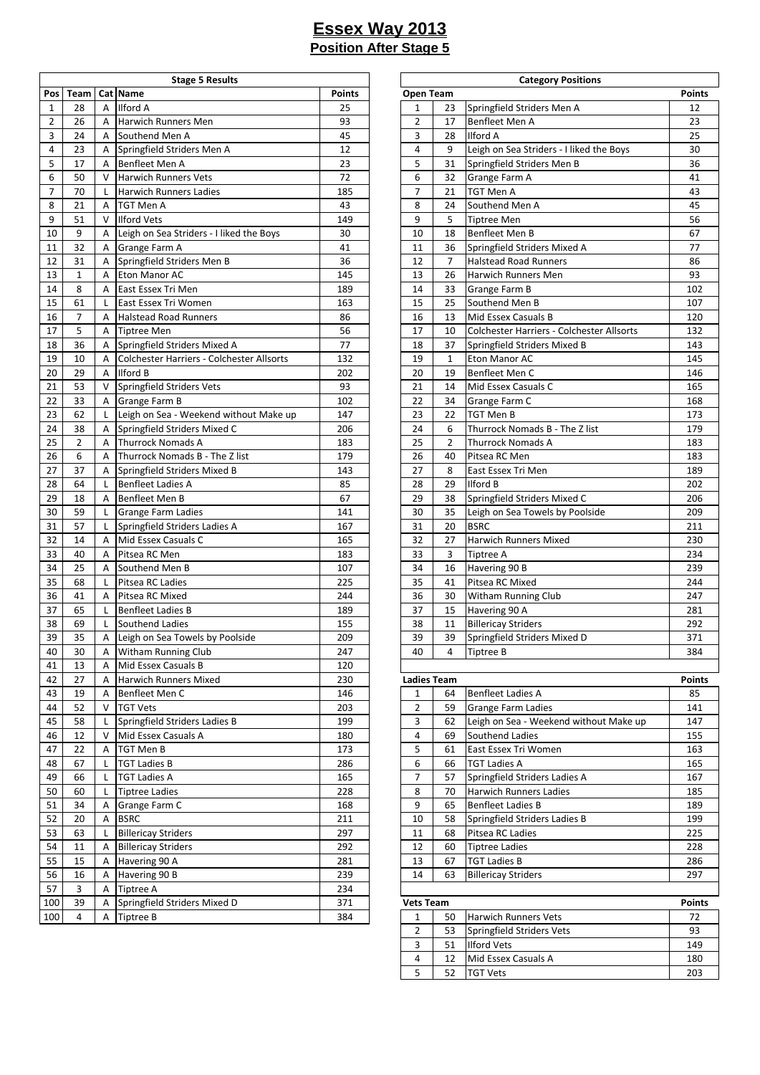|                |                |              | <b>Stage 5 Results</b>                    |               |                    |                | <b>Category Positions</b>                 |               |
|----------------|----------------|--------------|-------------------------------------------|---------------|--------------------|----------------|-------------------------------------------|---------------|
| Pos            | Team           |              | Cat Name                                  | <b>Points</b> | Open Team          |                |                                           | <b>Points</b> |
| $\mathbf{1}$   | 28             | A            | Ilford A                                  | 25            | 1                  | 23             | Springfield Striders Men A                | 12            |
| $\overline{2}$ | 26             | A            | Harwich Runners Men                       | 93            | $\overline{2}$     | 17             | Benfleet Men A                            | 23            |
| 3              | 24             | A            | Southend Men A                            | 45            | 3                  | 28             | <b>Ilford A</b>                           | 25            |
| 4              | 23             | A            | Springfield Striders Men A                | 12            | 4                  | 9              | Leigh on Sea Striders - I liked the Boys  | 30            |
| 5              | 17             | A            | Benfleet Men A                            | 23            | 5                  | 31             | Springfield Striders Men B                | 36            |
| 6              | 50             | V            | <b>Harwich Runners Vets</b>               | 72            | 6                  | 32             | Grange Farm A                             | 41            |
| 7              | 70             | L            | <b>Harwich Runners Ladies</b>             | 185           | $\overline{7}$     | 21             | TGT Men A                                 | 43            |
| 8              | 21             | A            | <b>TGT Men A</b>                          | 43            | 8                  | 24             | Southend Men A                            | 45            |
| 9              | 51             | $\vee$       | <b>Ilford Vets</b>                        | 149           | 9                  | 5              | Tiptree Men                               | 56            |
| 10             | 9              | A            | Leigh on Sea Striders - I liked the Boys  | 30            | 10                 | 18             | Benfleet Men B                            | 67            |
| 11             | 32             | A            | Grange Farm A                             | 41            | 11                 | 36             | Springfield Striders Mixed A              | 77            |
| 12             | 31             | A            | Springfield Striders Men B                | 36            | 12                 | 7              | <b>Halstead Road Runners</b>              | 86            |
| 13             | $\mathbf{1}$   | A            | Eton Manor AC                             | 145           | 13                 | 26             | Harwich Runners Men                       | 93            |
|                |                |              |                                           | 189           |                    |                |                                           |               |
| 14             | 8              | A            | East Essex Tri Men                        |               | 14                 | 33             | Grange Farm B                             | 102           |
| 15             | 61             | L            | East Essex Tri Women                      | 163           | 15                 | 25             | Southend Men B                            | 107           |
| 16             | $\overline{7}$ | A            | <b>Halstead Road Runners</b>              | 86            | 16                 | 13             | Mid Essex Casuals B                       | 120           |
| 17             | 5              | A            | <b>Tiptree Men</b>                        | 56            | 17                 | 10             | Colchester Harriers - Colchester Allsorts | 132           |
| 18             | 36             | A            | Springfield Striders Mixed A              | 77            | 18                 | 37             | Springfield Striders Mixed B              | 143           |
| 19             | 10             | Α            | Colchester Harriers - Colchester Allsorts | 132           | 19                 | $\mathbf{1}$   | Eton Manor AC                             | 145           |
| 20             | 29             | A            | <b>Ilford B</b>                           | 202           | 20                 | 19             | Benfleet Men C                            | 146           |
| 21             | 53             | V            | Springfield Striders Vets                 | 93            | 21                 | 14             | Mid Essex Casuals C                       | 165           |
| 22             | 33             | A            | <b>Grange Farm B</b>                      | 102           | 22                 | 34             | Grange Farm C                             | 168           |
| 23             | 62             | L            | Leigh on Sea - Weekend without Make up    | 147           | 23                 | 22             | TGT Men B                                 | 173           |
| 24             | 38             | A            | Springfield Striders Mixed C              | 206           | 24                 | 6              | Thurrock Nomads B - The Z list            | 179           |
| 25             | $\overline{2}$ | A            | <b>Thurrock Nomads A</b>                  | 183           | 25                 | $\overline{2}$ | <b>Thurrock Nomads A</b>                  | 183           |
| 26             | 6              | A            | Thurrock Nomads B - The Z list            | 179           | 26                 | 40             | Pitsea RC Men                             | 183           |
| 27             | 37             | Α            | Springfield Striders Mixed B              | 143           | 27                 | 8              | East Essex Tri Men                        | 189           |
| 28             | 64             | $\mathsf{L}$ | <b>Benfleet Ladies A</b>                  | 85            | 28                 | 29             | <b>Ilford B</b>                           | 202           |
| 29             | 18             | A            | Benfleet Men B                            | 67            | 29                 | 38             | Springfield Striders Mixed C              | 206           |
| 30             | 59             | L            | <b>Grange Farm Ladies</b>                 | 141           | 30                 | 35             | Leigh on Sea Towels by Poolside           | 209           |
| 31             | 57             | L            | Springfield Striders Ladies A             | 167           | 31                 | 20             | <b>BSRC</b>                               | 211           |
| 32             | 14             | A            | Mid Essex Casuals C                       | 165           | 32                 | 27             | <b>Harwich Runners Mixed</b>              | 230           |
| 33             | 40             | A            | Pitsea RC Men                             | 183           | 33                 | 3              | Tiptree A                                 | 234           |
| 34             | 25             | A            | Southend Men B                            | 107           | 34                 | 16             | Havering 90 B                             | 239           |
| 35             | 68             | L            | Pitsea RC Ladies                          | 225           | 35                 | 41             | Pitsea RC Mixed                           | 244           |
| 36             | 41             | A            |                                           | 244           | 36                 | 30             |                                           | 247           |
|                |                |              | Pitsea RC Mixed                           |               | 37                 |                | Witham Running Club                       |               |
| 37             | 65             | L            | <b>Benfleet Ladies B</b>                  | 189           |                    | 15             | Havering 90 A                             | 281           |
| 38             | 69             | L            | Southend Ladies                           | 155           | 38                 | 11             | <b>Billericay Striders</b>                | 292           |
| 39             | 35             | Α            | Leigh on Sea Towels by Poolside           | 209           | 39                 | 39             | Springfield Striders Mixed D              | 371           |
| 40             | 30             | A            | <b>Witham Running Club</b>                | 247           | 40                 | 4              | Tiptree B                                 | 384           |
| 41             | 13             | A            | Mid Essex Casuals B                       | 120           |                    |                |                                           |               |
| 42             | 27             | Α            | Harwich Runners Mixed                     | 230           | <b>Ladies Team</b> |                |                                           | <b>Points</b> |
| 43             | 19             | A            | Benfleet Men C                            | 146           | 1                  | 64             | <b>Benfleet Ladies A</b>                  | 85            |
| 44             | 52             | V            | <b>TGT Vets</b>                           | 203           | $\overline{2}$     | 59             | <b>Grange Farm Ladies</b>                 | 141           |
| 45             | 58             | L            | Springfield Striders Ladies B             | 199           | 3                  | 62             | Leigh on Sea - Weekend without Make up    | 147           |
| 46             | 12             | V            | Mid Essex Casuals A                       | 180           | 4                  | 69             | Southend Ladies                           | 155           |
| 47             | 22             | Α            | TGT Men B                                 | 173           | 5                  | 61             | East Essex Tri Women                      | 163           |
| 48             | 67             | L            | <b>TGT Ladies B</b>                       | 286           | 6                  | 66             | <b>TGT Ladies A</b>                       | 165           |
| 49             | 66             | L            | <b>TGT Ladies A</b>                       | 165           | $\overline{7}$     | 57             | Springfield Striders Ladies A             | 167           |
| 50             | 60             | L            | <b>Tiptree Ladies</b>                     | 228           | 8                  | 70             | <b>Harwich Runners Ladies</b>             | 185           |
| 51             | 34             | Α            | Grange Farm C                             | 168           | 9                  | 65             | <b>Benfleet Ladies B</b>                  | 189           |
| 52             | 20             | Α            | <b>BSRC</b>                               | 211           | 10                 | 58             | Springfield Striders Ladies B             | 199           |
| 53             | 63             | L            | <b>Billericay Striders</b>                | 297           | 11                 | 68             | Pitsea RC Ladies                          | 225           |
| 54             | 11             | A            | <b>Billericay Striders</b>                | 292           | 12                 | 60             | <b>Tiptree Ladies</b>                     | 228           |
| 55             |                |              |                                           |               | 13                 |                | <b>TGT Ladies B</b>                       |               |
|                | 15             | Α            | Havering 90 A                             | 281           |                    | 67             |                                           | 286           |
| 56             | 16             | Α            | Havering 90 B                             | 239           | 14                 | 63             | <b>Billericay Striders</b>                | 297           |
| 57             | 3              | A            | Tiptree A                                 | 234           |                    |                |                                           |               |
| 100            | 39             | Α            | Springfield Striders Mixed D              | 371           | <b>Vets Team</b>   |                |                                           | <b>Points</b> |
| 100            | 4              | A            | Tiptree B                                 | 384           | $\mathbf{1}$       | 50             | Harwich Runners Vets                      | 72            |

| <b>Stage 5 Results</b>        |        |                    |    | <b>Category Positions</b>                 |               |
|-------------------------------|--------|--------------------|----|-------------------------------------------|---------------|
|                               | Points | Open Team          |    |                                           | <b>Points</b> |
|                               | 25     | 1                  | 23 | Springfield Striders Men A                | 12            |
| ners Men                      | 93     | 2                  | 17 | Benfleet Men A                            | 23            |
| en A                          | 45     | 3                  | 28 | <b>Ilford A</b>                           | 25            |
| triders Men A                 | 12     | 4                  | 9  | Leigh on Sea Striders - I liked the Boys  | 30            |
| n A                           | 23     | 5                  | 31 | Springfield Striders Men B                | 36            |
| ners Vets                     | 72     | 6                  | 32 | Grange Farm A                             | 41            |
| ners Ladies                   | 185    | 7                  | 21 | TGT Men A                                 | 43            |
|                               | 43     |                    |    |                                           | 45            |
|                               |        | 8                  | 24 | Southend Men A                            |               |
|                               | 149    | 9                  | 5  | <b>Tiptree Men</b>                        | 56            |
| Striders - I liked the Boys   | 30     | 10                 | 18 | Benfleet Men B                            | 67            |
| ۱A                            | 41     | 11                 | 36 | Springfield Striders Mixed A              | 77            |
| triders Men B                 | 36     | 12                 | 7  | <b>Halstead Road Runners</b>              | 86            |
| АC                            | 145    | 13                 | 26 | Harwich Runners Men                       | 93            |
| i Men                         | 189    | 14                 | 33 | Grange Farm B                             | 102           |
| i Women                       | 163    | 15                 | 25 | Southend Men B                            | 107           |
| ad Runners                    | 86     | 16                 | 13 | Mid Essex Casuals B                       | 120           |
|                               | 56     | 17                 | 10 | Colchester Harriers - Colchester Allsorts | 132           |
| triders Mixed A               | 77     | 18                 | 37 | Springfield Striders Mixed B              | 143           |
| arriers - Colchester Allsorts | 132    | 19                 | 1  | Eton Manor AC                             | 145           |
|                               | 202    | 20                 | 19 | Benfleet Men C                            | 146           |
| triders Vets                  | 93     | 21                 | 14 | Mid Essex Casuals C                       | 165           |
| ıΒ                            | 102    | 22                 | 34 | Grange Farm C                             | 168           |
| - Weekend without Make up     | 147    | 23                 | 22 | TGT Men B                                 | 173           |
| triders Mixed C               | 206    | 24                 | 6  | Thurrock Nomads B - The Z list            | 179           |
| mads A                        | 183    | 25                 | 2  | <b>Thurrock Nomads A</b>                  | 183           |
|                               |        |                    |    |                                           |               |
| mads B - The Z list           | 179    | 26                 | 40 | Pitsea RC Men                             | 183           |
| triders Mixed B               | 143    | 27                 | 8  | East Essex Tri Men                        | 189           |
| ies A                         | 85     | 28                 | 29 | <b>Ilford B</b>                           | 202           |
| n B                           | 67     | 29                 | 38 | Springfield Striders Mixed C              | 206           |
| າ Ladies                      | 141    | 30                 | 35 | Leigh on Sea Towels by Poolside           | 209           |
| triders Ladies A              | 167    | 31                 | 20 | <b>BSRC</b>                               | 211           |
| asuals C                      | 165    | 32                 | 27 | Harwich Runners Mixed                     | 230           |
| эn                            | 183    | 33                 | 3  | Tiptree A                                 | 234           |
| en B                          | 107    | 34                 | 16 | Havering 90 B                             | 239           |
| dies                          | 225    | 35                 | 41 | Pitsea RC Mixed                           | 244           |
| xed                           | 244    | 36                 | 30 | <b>Witham Running Club</b>                | 247           |
| ies B                         | 189    | 37                 | 15 | Havering 90 A                             | 281           |
| dies                          | 155    | 38                 | 11 | <b>Billericay Striders</b>                | 292           |
| Towels by Poolside            | 209    | 39                 | 39 | Springfield Striders Mixed D              | 371           |
| ning Club                     | 247    | 40                 | 4  | <b>Tiptree B</b>                          | 384           |
| asuals B                      | 120    |                    |    |                                           |               |
| ners Mixed                    | 230    | <b>Ladies Team</b> |    |                                           | <b>Points</b> |
| n C                           | 146    | 1                  | 64 | <b>Benfleet Ladies A</b>                  | 85            |
|                               | 203    | 2                  | 59 | <b>Grange Farm Ladies</b>                 | 141           |
| triders Ladies B              | 199    | 3                  | 62 | Leigh on Sea - Weekend without Make up    | 147           |
| asuals A                      | 180    | 4                  | 69 | Southend Ladies                           | 155           |
|                               |        |                    |    | East Essex Tri Women                      |               |
|                               | 173    | 5                  | 61 |                                           | 163           |
|                               | 286    | 6                  | 66 | <b>TGT Ladies A</b>                       | 165           |
|                               | 165    | 7                  | 57 | Springfield Striders Ladies A             | 167           |
| 9S.                           | 228    | 8                  | 70 | Harwich Runners Ladies                    | 185           |
| ۱C                            | 168    | 9                  | 65 | <b>Benfleet Ladies B</b>                  | 189           |
|                               | 211    | 10                 | 58 | Springfield Striders Ladies B             | 199           |
| iders                         | 297    | 11                 | 68 | Pitsea RC Ladies                          | 225           |
| iders                         | 292    | 12                 | 60 | <b>Tiptree Ladies</b>                     | 228           |
| Α                             | 281    | 13                 | 67 | <b>TGT Ladies B</b>                       | 286           |
| B                             | 239    | 14                 | 63 | <b>Billericay Striders</b>                | 297           |
|                               | 234    |                    |    |                                           |               |
| triders Mixed D               | 371    | <b>Vets Team</b>   |    |                                           | Points        |
|                               | 384    | 1                  | 50 | <b>Harwich Runners Vets</b>               | 72            |
|                               |        | 2                  | 53 | Springfield Striders Vets                 | 93            |
|                               |        | 3                  | 51 | <b>Ilford Vets</b>                        | 149           |
|                               |        | 4                  | 12 | Mid Essex Casuals A                       | 180           |
|                               |        | 5                  | 52 | <b>TGT Vets</b>                           | 203           |
|                               |        |                    |    |                                           |               |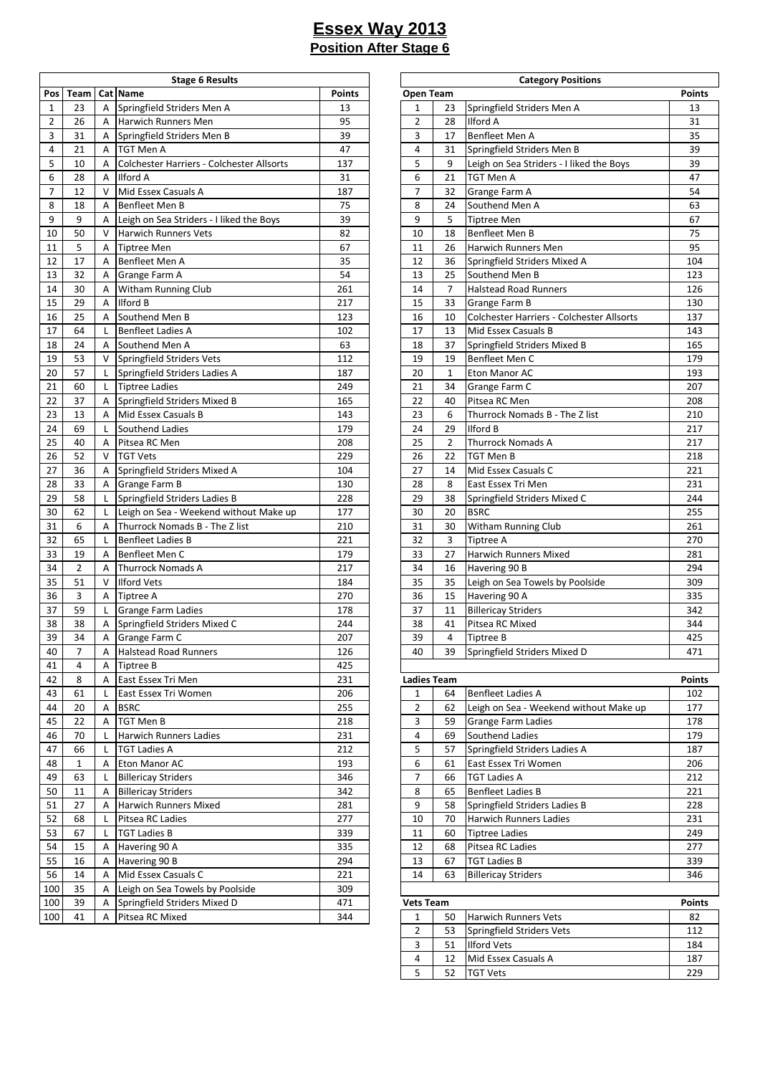|                |                |                | <b>Stage 6 Results</b>                    |               |                    |                | <b>Category Positions</b>                 |               |
|----------------|----------------|----------------|-------------------------------------------|---------------|--------------------|----------------|-------------------------------------------|---------------|
| Pos            | Team           |                | Cat Name                                  | <b>Points</b> | Open Team          |                |                                           | <b>Points</b> |
| $\mathbf{1}$   | 23             | A              | Springfield Striders Men A                | 13            | 1                  | 23             | Springfield Striders Men A                | 13            |
| $\overline{2}$ | 26             | A              | Harwich Runners Men                       | 95            | $\overline{2}$     | 28             | <b>Ilford A</b>                           | 31            |
| 3              | 31             | Α              | Springfield Striders Men B                | 39            | 3                  | 17             | <b>Benfleet Men A</b>                     | 35            |
| 4              | 21             | A              | TGT Men A                                 | 47            | $\overline{4}$     | 31             | Springfield Striders Men B                | 39            |
| 5              | 10             | A              | Colchester Harriers - Colchester Allsorts | 137           | 5                  | 9              | Leigh on Sea Striders - I liked the Boys  | 39            |
| 6              | 28             | A              | Ilford A                                  | 31            | 6                  | 21             | <b>TGT Men A</b>                          | 47            |
| 7              | 12             | $\vee$         | Mid Essex Casuals A                       | 187           | $\overline{7}$     | 32             | Grange Farm A                             | 54            |
| 8              | 18             | $\overline{A}$ | Benfleet Men B                            | 75            | 8                  | 24             | Southend Men A                            | 63            |
| 9              | 9              | Α              | Leigh on Sea Striders - I liked the Boys  | 39            | 9                  | 5              | <b>Tiptree Men</b>                        | 67            |
| 10             | 50             | V              | <b>Harwich Runners Vets</b>               | 82            | 10                 | 18             | <b>Benfleet Men B</b>                     | 75            |
| 11             | 5              | A              | <b>Tiptree Men</b>                        | 67            | 11                 | 26             | Harwich Runners Men                       | 95            |
| 12             | 17             | A              | Benfleet Men A                            | 35            | 12                 | 36             | Springfield Striders Mixed A              | 104           |
| 13             | 32             | A              | Grange Farm A                             | 54            | 13                 | 25             | Southend Men B                            | 123           |
| 14             | 30             |                |                                           | 261           | 14                 | $\overline{7}$ | <b>Halstead Road Runners</b>              | 126           |
| 15             | 29             | Α              | Witham Running Club                       | 217           | 15                 | 33             |                                           |               |
|                |                | A              | Ilford B                                  |               |                    |                | <b>Grange Farm B</b>                      | 130           |
| 16             | 25             | A              | Southend Men B                            | 123           | 16                 | 10             | Colchester Harriers - Colchester Allsorts | 137           |
| 17             | 64             | L              | <b>Benfleet Ladies A</b>                  | 102           | 17                 | 13             | Mid Essex Casuals B                       | 143           |
| 18             | 24             | A              | Southend Men A                            | 63            | 18                 | 37             | Springfield Striders Mixed B              | 165           |
| 19             | 53             | V              | Springfield Striders Vets                 | 112           | 19                 | 19             | Benfleet Men C                            | 179           |
| 20             | 57             | L              | Springfield Striders Ladies A             | 187           | 20                 | $\mathbf{1}$   | Eton Manor AC                             | 193           |
| 21             | 60             | L              | <b>Tiptree Ladies</b>                     | 249           | 21                 | 34             | Grange Farm C                             | 207           |
| 22             | 37             | A              | Springfield Striders Mixed B              | 165           | 22                 | 40             | Pitsea RC Men                             | 208           |
| 23             | 13             | A              | Mid Essex Casuals B                       | 143           | 23                 | 6              | Thurrock Nomads B - The Z list            | 210           |
| 24             | 69             | L              | Southend Ladies                           | 179           | 24                 | 29             | <b>Ilford B</b>                           | 217           |
| 25             | 40             | A              | Pitsea RC Men                             | 208           | 25                 | $\overline{2}$ | <b>Thurrock Nomads A</b>                  | 217           |
| 26             | 52             | V              | <b>TGT Vets</b>                           | 229           | 26                 | 22             | TGT Men B                                 | 218           |
| 27             | 36             | A              | Springfield Striders Mixed A              | 104           | 27                 | 14             | Mid Essex Casuals C                       | 221           |
| 28             | 33             | A              | Grange Farm B                             | 130           | 28                 | 8              | East Essex Tri Men                        | 231           |
| 29             | 58             | L              | Springfield Striders Ladies B             | 228           | 29                 | 38             | Springfield Striders Mixed C              | 244           |
| 30             | 62             | L              | Leigh on Sea - Weekend without Make up    | 177           | 30                 | 20             | <b>BSRC</b>                               | 255           |
| 31             | 6              | A              | Thurrock Nomads B - The Z list            | 210           | 31                 | 30             | Witham Running Club                       | 261           |
| 32             | 65             | L              | <b>Benfleet Ladies B</b>                  | 221           | 32                 | $\overline{3}$ | Tiptree A                                 | 270           |
| 33             | 19             | A              | Benfleet Men C                            | 179           | 33                 | 27             | <b>Harwich Runners Mixed</b>              | 281           |
| 34             | $\overline{2}$ | A              | <b>Thurrock Nomads A</b>                  | 217           | 34                 | 16             | Havering 90 B                             | 294           |
| 35             | 51             | $\vee$         | <b>Ilford Vets</b>                        | 184           | 35                 | 35             | Leigh on Sea Towels by Poolside           | 309           |
| 36             | 3              | A              | Tiptree A                                 | 270           | 36                 | 15             | Havering 90 A                             | 335           |
| 37             | 59             | L              | Grange Farm Ladies                        | 178           | 37                 | 11             | <b>Billericay Striders</b>                | 342           |
| 38             | 38             | A              |                                           | 244           | 38                 | 41             | Pitsea RC Mixed                           | 344           |
|                |                |                | Springfield Striders Mixed C              |               |                    |                |                                           |               |
| 39             | 34             | Α              | Grange Farm C                             | 207           | 39                 | 4              | <b>Tiptree B</b>                          | 425           |
| 40             | 7              | Α              | Halstead Road Runners                     | 126           | 40                 | 39             | Springfield Striders Mixed D              | 471           |
| 41             | 4              | A              | Tiptree B                                 | 425           |                    |                |                                           |               |
| 42             | 8              | Α              | East Essex Tri Men                        | 231           | <b>Ladies Team</b> |                |                                           | <b>Points</b> |
| 43             | 61             | L              | East Essex Tri Women                      | 206           | $\mathbf{1}$       | 64             | <b>Benfleet Ladies A</b>                  | 102           |
| 44             | 20             | Α              | <b>BSRC</b>                               | 255           | 2                  | 62             | Leigh on Sea - Weekend without Make up    | 177           |
| 45             | 22             | Α              | TGT Men B                                 | 218           | 3                  | 59             | <b>Grange Farm Ladies</b>                 | 178           |
| 46             | 70             | L              | Harwich Runners Ladies                    | 231           | 4                  | 69             | Southend Ladies                           | 179           |
| 47             | 66             | L              | TGT Ladies A                              | 212           | 5                  | 57             | Springfield Striders Ladies A             | 187           |
| 48             | $\mathbf{1}$   | Α              | Eton Manor AC                             | 193           | 6                  | 61             | East Essex Tri Women                      | 206           |
| 49             | 63             | L              | <b>Billericay Striders</b>                | 346           | 7                  | 66             | <b>TGT Ladies A</b>                       | 212           |
| 50             | 11             | Α              | <b>Billericay Striders</b>                | 342           | 8                  | 65             | <b>Benfleet Ladies B</b>                  | 221           |
| 51             | 27             | A              | Harwich Runners Mixed                     | 281           | 9                  | 58             | Springfield Striders Ladies B             | 228           |
| 52             | 68             | L              | Pitsea RC Ladies                          | 277           | 10                 | 70             | <b>Harwich Runners Ladies</b>             | 231           |
| 53             | 67             | L              | <b>TGT Ladies B</b>                       | 339           | 11                 | 60             | <b>Tiptree Ladies</b>                     | 249           |
| 54             | 15             | Α              | Havering 90 A                             | 335           | 12                 | 68             | Pitsea RC Ladies                          | 277           |
| 55             | 16             | A              | Havering 90 B                             | 294           | 13                 | 67             | <b>TGT Ladies B</b>                       | 339           |
| 56             | 14             | A              | Mid Essex Casuals C                       | 221           | 14                 | 63             | <b>Billericay Striders</b>                | 346           |
| 100            | 35             | A              | Leigh on Sea Towels by Poolside           | 309           |                    |                |                                           |               |
| 100            | 39             | Α              | Springfield Striders Mixed D              | 471           | <b>Vets Team</b>   |                |                                           | <b>Points</b> |
| 100            | 41             | Α              | Pitsea RC Mixed                           | 344           | $\mathbf{1}$       | 50             | <b>Harwich Runners Vets</b>               | 82            |
|                |                |                |                                           |               |                    |                |                                           |               |

| <b>Stage 6 Results</b>         |               | <b>Category Positions</b> |              |                                           |               |  |  |  |  |
|--------------------------------|---------------|---------------------------|--------------|-------------------------------------------|---------------|--|--|--|--|
|                                | <b>Points</b> | Open Team                 |              |                                           | <b>Points</b> |  |  |  |  |
| triders Men A                  | 13            | 1                         | 23           | Springfield Striders Men A                | 13            |  |  |  |  |
| ners Men                       | 95            | 2                         | 28           | <b>Ilford A</b>                           | 31            |  |  |  |  |
| triders Men B                  | 39            | 3                         | 17           | Benfleet Men A                            | 35            |  |  |  |  |
|                                | 47            | 4                         | 31           | Springfield Striders Men B                | 39            |  |  |  |  |
| larriers - Colchester Allsorts | 137           | 5                         | 9            | Leigh on Sea Striders - I liked the Boys  | 39            |  |  |  |  |
|                                | 31            | 6                         | 21           | TGT Men A                                 | 47            |  |  |  |  |
| asuals A                       | 187           | 7                         | 32           | Grange Farm A                             | 54            |  |  |  |  |
| n B                            | 75            | 8                         | 24           | Southend Men A                            | 63            |  |  |  |  |
| Striders - I liked the Boys    | 39            | 9                         | 5            | <b>Tiptree Men</b>                        | 67            |  |  |  |  |
| ners Vets                      | 82            | 10                        | 18           | Benfleet Men B                            | 75            |  |  |  |  |
|                                | 67            | 11                        | 26           | Harwich Runners Men                       | 95            |  |  |  |  |
| n A                            | 35            | 12                        | 36           | Springfield Striders Mixed A              | 104           |  |  |  |  |
| ۱A                             | 54            | 13                        | 25           | Southend Men B                            | 123           |  |  |  |  |
| ning Club                      | 261           | 14                        | 7            | <b>Halstead Road Runners</b>              | 126           |  |  |  |  |
|                                | 217           | 15                        | 33           | Grange Farm B                             | 130           |  |  |  |  |
| en B                           | 123           | 16                        | 10           | Colchester Harriers - Colchester Allsorts | 137           |  |  |  |  |
| ies A                          | 102           | 17                        | 13           | Mid Essex Casuals B                       | 143           |  |  |  |  |
| en A                           | 63            | 18                        | 37           | Springfield Striders Mixed B              | 165           |  |  |  |  |
| triders Vets                   | 112           | 19                        | 19           | Benfleet Men C                            | 179           |  |  |  |  |
| triders Ladies A               | 187           | 20                        | $\mathbf{1}$ | <b>Eton Manor AC</b>                      | 193           |  |  |  |  |
| эs                             | 249           | 21                        | 34           | Grange Farm C                             | 207           |  |  |  |  |
| triders Mixed B                | 165           | 22                        | 40           | Pitsea RC Men                             | 208           |  |  |  |  |
| asuals B                       | 143           | 23                        | 6            | Thurrock Nomads B - The Z list            | 210           |  |  |  |  |
| dies                           | 179           | 24                        | 29           | <b>Ilford B</b>                           | 217           |  |  |  |  |
| эn                             | 208           | 25                        | 2            | <b>Thurrock Nomads A</b>                  | 217           |  |  |  |  |
|                                | 229           | 26                        | 22           | TGT Men B                                 | 218           |  |  |  |  |
| triders Mixed A                | 104           | 27                        | 14           | Mid Essex Casuals C                       | 221           |  |  |  |  |
| ìΒ                             | 130           | 28                        | 8            | East Essex Tri Men                        | 231           |  |  |  |  |
| triders Ladies B               | 228           | 29                        | 38           | Springfield Striders Mixed C              | 244           |  |  |  |  |
| - Weekend without Make up      | 177           | 30                        | 20           | <b>BSRC</b>                               | 255           |  |  |  |  |
| mads B - The Z list            | 210           | 31                        | 30           | Witham Running Club                       | 261           |  |  |  |  |
| ies B                          | 221           | 32                        | 3            | Tiptree A                                 | 270           |  |  |  |  |
| n C                            | 179           | 33                        | 27           | Harwich Runners Mixed                     | 281           |  |  |  |  |
| mads A                         | 217           | 34                        | 16           | Havering 90 B                             | 294           |  |  |  |  |
|                                | 184           | 35                        | 35           | Leigh on Sea Towels by Poolside           | 309           |  |  |  |  |
|                                | 270           | 36                        | 15           | Havering 90 A                             | 335           |  |  |  |  |
| າ Ladies                       | 178           | 37                        | 11           | <b>Billericay Striders</b>                | 342           |  |  |  |  |
| triders Mixed C                | 244           | 38                        | 41           | Pitsea RC Mixed                           | 344           |  |  |  |  |
| ۱C                             | 207           | 39                        | 4            | Tiptree B                                 | 425           |  |  |  |  |
| ad Runners                     | 126           | 40                        | 39           | Springfield Striders Mixed D              | 471           |  |  |  |  |
|                                | 425           |                           |              |                                           |               |  |  |  |  |
| i Men                          | 231           | <b>Ladies Team</b>        |              |                                           | <b>Points</b> |  |  |  |  |
| i Women                        | 206           | 1                         | 64           | <b>Benfleet Ladies A</b>                  | 102           |  |  |  |  |
|                                | 255           | 2                         | 62           | Leigh on Sea - Weekend without Make up    | 177           |  |  |  |  |
|                                | 218           | 3                         | 59           | Grange Farm Ladies                        | 178           |  |  |  |  |
| ners Ladies                    | 231           | 4                         | 69           | Southend Ladies                           | 179           |  |  |  |  |
|                                | 212           | 5                         | 57           | Springfield Striders Ladies A             | 187           |  |  |  |  |
| АC                             | 193           | 6                         | 61           | East Essex Tri Women                      | 206           |  |  |  |  |
| iders                          | 346           | 7                         | 66           | <b>TGT Ladies A</b>                       | 212           |  |  |  |  |
| iders                          | 342           | 8                         | 65           | <b>Benfleet Ladies B</b>                  | 221           |  |  |  |  |
| ners Mixed                     | 281           | 9                         | 58           | Springfield Striders Ladies B             | 228           |  |  |  |  |
| dies                           | 277           | 10                        | 70           | Harwich Runners Ladies                    | 231           |  |  |  |  |
|                                | 339           | 11                        | 60           | <b>Tiptree Ladies</b>                     | 249           |  |  |  |  |
| Α                              | 335           | 12                        | 68           | Pitsea RC Ladies                          | 277           |  |  |  |  |
| В                              | 294           | 13                        | 67           | <b>TGT Ladies B</b>                       | 339           |  |  |  |  |
| asuals C                       | 221           | 14                        | 63           | <b>Billericay Striders</b>                | 346           |  |  |  |  |
| Towels by Poolside             | 309           |                           |              |                                           |               |  |  |  |  |
| triders Mixed D                | 471           | <b>Vets Team</b>          |              |                                           | <b>Points</b> |  |  |  |  |
| xed                            | 344           | 1                         | 50           | <b>Harwich Runners Vets</b>               | 82            |  |  |  |  |
|                                |               | 2                         | 53           | Springfield Striders Vets                 | 112           |  |  |  |  |
|                                |               | 3                         | 51           | <b>Ilford Vets</b>                        | 184           |  |  |  |  |
|                                |               | 4                         | 12           | Mid Essex Casuals A                       | 187           |  |  |  |  |

52 TGT Vets 229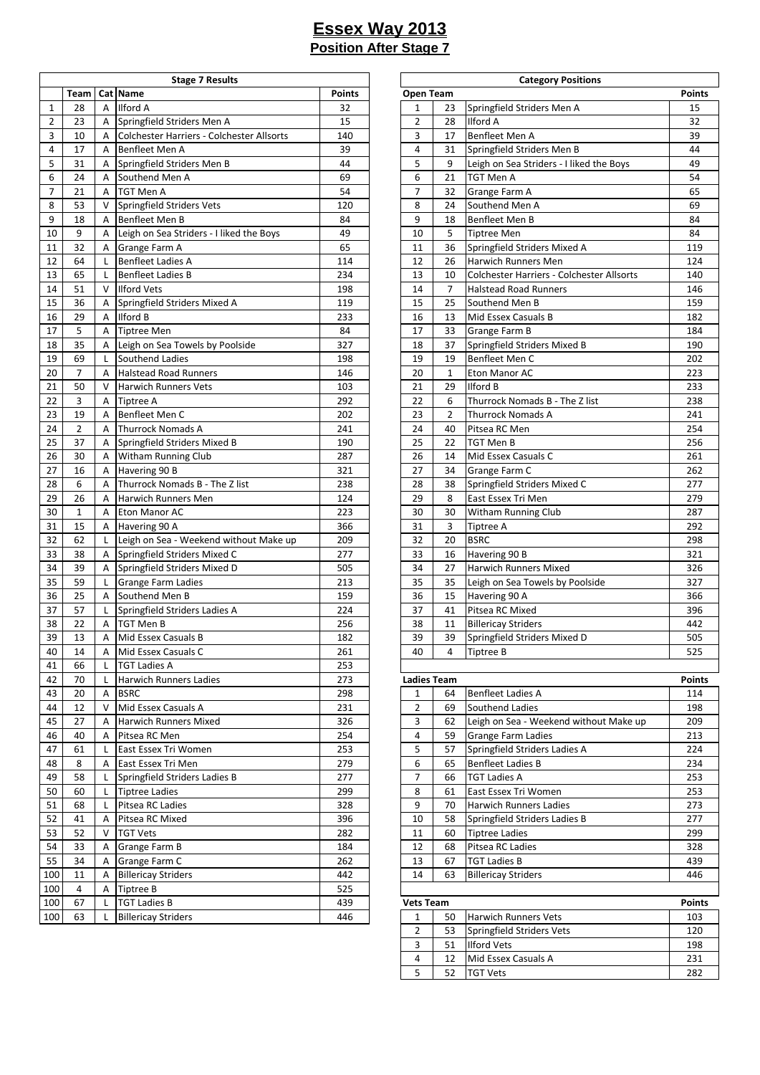|                |                |                | <b>Stage 7 Results</b>                    |               |                    |                | <b>Category Positions</b>                 |               |
|----------------|----------------|----------------|-------------------------------------------|---------------|--------------------|----------------|-------------------------------------------|---------------|
|                | Team           |                | Cat Name                                  | <b>Points</b> | Open Team          |                |                                           | <b>Points</b> |
| $\mathbf{1}$   | 28             | A              | Ilford A                                  | 32            | 1                  | 23             | Springfield Striders Men A                | 15            |
| $\overline{2}$ | 23             | $\overline{A}$ | Springfield Striders Men A                | 15            | $\overline{2}$     | 28             | <b>Ilford A</b>                           | 32            |
| 3              | 10             | A              | Colchester Harriers - Colchester Allsorts | 140           | 3                  | 17             | Benfleet Men A                            | 39            |
| $\overline{4}$ | 17             | A              | Benfleet Men A                            | 39            | $\overline{4}$     | 31             | Springfield Striders Men B                | 44            |
| 5              | 31             | Α              | Springfield Striders Men B                | 44            | 5                  | 9              | Leigh on Sea Striders - I liked the Boys  | 49            |
| 6              | 24             | A              | Southend Men A                            | 69            | 6                  | 21             | <b>TGT Men A</b>                          | 54            |
| $\overline{7}$ | 21             | A              | TGT Men A                                 | 54            | $\overline{7}$     | 32             | Grange Farm A                             | 65            |
| 8              | 53             | V              | Springfield Striders Vets                 | 120           | 8                  | 24             | Southend Men A                            | 69            |
| 9              | 18             | Α              | Benfleet Men B                            | 84            | 9                  | 18             | Benfleet Men B                            | 84            |
| 10             | 9              | Α              | Leigh on Sea Striders - I liked the Boys  | 49            | 10                 | 5              | <b>Tiptree Men</b>                        | 84            |
| 11             | 32             | Α              | Grange Farm A                             | 65            | 11                 | 36             | Springfield Striders Mixed A              | 119           |
| 12             | 64             | L              | <b>Benfleet Ladies A</b>                  | 114           | 12                 | 26             | Harwich Runners Men                       | 124           |
| 13             | 65             | L              | <b>Benfleet Ladies B</b>                  | 234           | 13                 | 10             | Colchester Harriers - Colchester Allsorts | 140           |
| 14             | 51             | $\vee$         | <b>Ilford Vets</b>                        | 198           | 14                 | 7              | <b>Halstead Road Runners</b>              | 146           |
| 15             | 36             | A              | Springfield Striders Mixed A              | 119           | 15                 | 25             | Southend Men B                            | 159           |
| 16             | 29             | A              | Ilford B                                  | 233           | 16                 | 13             | Mid Essex Casuals B                       | 182           |
| 17             | 5              | A              | <b>Tiptree Men</b>                        | 84            | 17                 | 33             | Grange Farm B                             | 184           |
| 18             | 35             | A              | Leigh on Sea Towels by Poolside           | 327           | 18                 | 37             | Springfield Striders Mixed B              | 190           |
| 19             | 69             | L              | Southend Ladies                           | 198           | 19                 | 19             | Benfleet Men C                            | 202           |
| 20             | $\overline{7}$ | A              | <b>Halstead Road Runners</b>              | 146           | 20                 | $\mathbf{1}$   | Eton Manor AC                             | 223           |
| 21             | 50             | V              | <b>Harwich Runners Vets</b>               | 103           | 21                 | 29             | <b>Ilford B</b>                           | 233           |
| 22             | 3              | Α              | Tiptree A                                 | 292           | 22                 | 6              | Thurrock Nomads B - The Z list            | 238           |
| 23             | 19             | A              | Benfleet Men C                            | 202           | 23                 | $\overline{2}$ | <b>Thurrock Nomads A</b>                  | 241           |
|                |                | A              |                                           |               | 24                 | 40             | Pitsea RC Men                             |               |
| 24             | $\overline{2}$ |                | <b>Thurrock Nomads A</b>                  | 241           | 25                 |                | <b>TGT Men B</b>                          | 254<br>256    |
| 25             | 37             | Α              | Springfield Striders Mixed B              | 190           |                    | 22             |                                           |               |
| 26             | 30             | Α              | Witham Running Club                       | 287           | 26                 | 14             | Mid Essex Casuals C                       | 261           |
| 27             | 16             | Α              | Havering 90 B                             | 321           | 27                 | 34             | Grange Farm C                             | 262           |
| 28             | 6              | A              | Thurrock Nomads B - The Z list            | 238           | 28                 | 38             | Springfield Striders Mixed C              | 277           |
| 29             | 26             | A              | Harwich Runners Men                       | 124           | 29                 | 8              | East Essex Tri Men                        | 279           |
| 30             | $\mathbf{1}$   | A              | Eton Manor AC                             | 223           | 30                 | 30             | Witham Running Club                       | 287           |
| 31             | 15             | Α              | Havering 90 A                             | 366           | 31                 | 3              | <b>Tiptree A</b>                          | 292           |
| 32             | 62             | L              | Leigh on Sea - Weekend without Make up    | 209           | 32                 | 20             | <b>BSRC</b>                               | 298           |
| 33             | 38             | A              | Springfield Striders Mixed C              | 277           | 33                 | 16             | Havering 90 B                             | 321           |
| 34             | 39             | Α              | Springfield Striders Mixed D              | 505           | 34                 | 27             | <b>Harwich Runners Mixed</b>              | 326           |
| 35             | 59             | L              | <b>Grange Farm Ladies</b>                 | 213           | 35                 | 35             | Leigh on Sea Towels by Poolside           | 327           |
| 36             | 25             | A              | Southend Men B                            | 159           | 36                 | 15             | Havering 90 A                             | 366           |
| 37             | 57             | L              | Springfield Striders Ladies A             | 224           | 37                 | 41             | Pitsea RC Mixed                           | 396           |
| 38             | 22             | A              | TGT Men B                                 | 256           | 38                 | 11             | <b>Billericay Striders</b>                | 442           |
| 39             | 13             | Α              | Mid Essex Casuals B                       | 182           | 39                 | 39             | Springfield Striders Mixed D              | 505           |
| 40             | 14             | A              | Mid Essex Casuals C                       | 261           | 40                 | 4              | Tiptree B                                 | 525           |
| 41             | 66             | L              | <b>TGT Ladies A</b>                       | 253           |                    |                |                                           |               |
| 42             | 70             | L              | Harwich Runners Ladies                    | 273           | <b>Ladies Team</b> |                |                                           | <b>Points</b> |
| 43             | 20             | A              | <b>BSRC</b>                               | 298           | $\mathbf{1}$       | 64             | <b>Benfleet Ladies A</b>                  | 114           |
| 44             | 12             | $\vee$         | Mid Essex Casuals A                       | 231           | $\overline{2}$     | 69             | Southend Ladies                           | 198           |
| 45             | 27             | A              | Harwich Runners Mixed                     | 326           | 3                  | 62             | Leigh on Sea - Weekend without Make up    | 209           |
| 46             | 40             | A              | Pitsea RC Men                             | 254           | 4                  | 59             | <b>Grange Farm Ladies</b>                 | 213           |
| 47             | 61             | L.             | East Essex Tri Women                      | 253           | 5                  | 57             | Springfield Striders Ladies A             | 224           |
| 48             | 8              | Α              | East Essex Tri Men                        | 279           | 6                  | 65             | <b>Benfleet Ladies B</b>                  | 234           |
| 49             | 58             | L              | Springfield Striders Ladies B             | 277           | $\overline{7}$     | 66             | <b>TGT Ladies A</b>                       | 253           |
| 50             | 60             | L              | Tiptree Ladies                            | 299           | 8                  | 61             | East Essex Tri Women                      | 253           |
| 51             | 68             | L              | Pitsea RC Ladies                          | 328           | 9                  | 70             | <b>Harwich Runners Ladies</b>             | 273           |
| 52             | 41             | A              | Pitsea RC Mixed                           | 396           | 10                 | 58             | Springfield Striders Ladies B             | 277           |
| 53             | 52             | V              | <b>TGT Vets</b>                           | 282           | 11                 | 60             | <b>Tiptree Ladies</b>                     | 299           |
| 54             | 33             | Α              | Grange Farm B                             | 184           | 12                 | 68             | Pitsea RC Ladies                          | 328           |
| 55             | 34             | A              | Grange Farm C                             | 262           | 13                 | 67             | <b>TGT Ladies B</b>                       | 439           |
| 100            | 11             | A              | <b>Billericay Striders</b>                | 442           | 14                 | 63             | <b>Billericay Striders</b>                | 446           |
| 100            | 4              | Α              | <b>Tiptree B</b>                          | 525           |                    |                |                                           |               |
| 100            | 67             | L              | <b>TGT Ladies B</b>                       | 439           | <b>Vets Team</b>   |                |                                           | <b>Points</b> |
| 100            | 63             | L              | <b>Billericay Striders</b>                | 446           | $\mathbf{1}$       | 50             | <b>Harwich Runners Vets</b>               | 103           |
|                |                |                |                                           |               |                    |                |                                           |               |

| <b>Stage 7 Results</b>        |               |                |                    | <b>Category Positions</b>                     |               |
|-------------------------------|---------------|----------------|--------------------|-----------------------------------------------|---------------|
|                               | <b>Points</b> | Open Team      |                    |                                               | <b>Points</b> |
|                               | 32            | 1              | 23                 | Springfield Striders Men A                    | 15            |
| triders Men A                 | 15            | 2              | 28                 | <b>Ilford A</b>                               | 32            |
| arriers - Colchester Allsorts | 140           | 3              | 17                 | Benfleet Men A                                | 39            |
| n A                           | 39            | 4              | 31                 | Springfield Striders Men B                    | 44            |
| triders Men B                 | 44            | 5              | 9                  | Leigh on Sea Striders - I liked the Boys      | 49            |
| en A                          | 69            | 6              | 21                 | <b>TGT Men A</b>                              | 54            |
|                               | 54            | 7              | 32                 | Grange Farm A                                 | 65            |
| triders Vets                  | 120           | 8              | 24                 | Southend Men A                                | 69            |
| n B                           | 84            | 9              | 18                 | <b>Benfleet Men B</b>                         | 84            |
| Striders - I liked the Boys   | 49            | 10             | 5                  | <b>Tiptree Men</b>                            | 84            |
| ۱A                            | 65            | 11             | 36                 | Springfield Striders Mixed A                  | 119           |
| ies A                         | 114           | 12             | 26                 | Harwich Runners Men                           | 124           |
| ies B                         | 234           | 13             | 10                 | Colchester Harriers - Colchester Allsorts     | 140           |
|                               | 198           | 14             | 7                  | <b>Halstead Road Runners</b>                  | 146           |
| triders Mixed A               | 119           | 15             | 25                 | Southend Men B                                | 159           |
|                               | 233           | 16             | 13                 | Mid Essex Casuals B                           | 182           |
|                               | 84            | 17             | 33                 | Grange Farm B                                 | 184           |
| Towels by Poolside            | 327           | 18             | 37                 | Springfield Striders Mixed B                  | 190           |
| dies                          | 198           | 19             | 19                 | <b>Benfleet Men C</b>                         | 202           |
| ad Runners                    | 146           | 20             | $\mathbf{1}$       | <b>Eton Manor AC</b>                          | 223           |
| ners Vets                     | 103           | 21             | 29                 | <b>Ilford B</b>                               | 233           |
|                               | 292           | 22             | 6                  | Thurrock Nomads B - The Z list                | 238           |
| n C                           | 202           | 23             | $\overline{2}$     | <b>Thurrock Nomads A</b>                      | 241           |
| mads A                        | 241           | 24             | 40                 | Pitsea RC Men                                 | 254           |
| triders Mixed B               | 190           | 25             | 22                 | <b>TGT Men B</b>                              | 256           |
| ning Club                     | 287           | 26             | 14                 | Mid Essex Casuals C                           | 261           |
| B                             | 321           | 27             | 34                 | Grange Farm C                                 | 262           |
| mads B - The Z list           | 238           | 28             | 38                 | Springfield Striders Mixed C                  | 277           |
| ners Men                      | 124           | 29             | 8                  | East Essex Tri Men                            | 279           |
| АC                            | 223           | 30             | 30                 | <b>Witham Running Club</b>                    | 287           |
| A                             | 366           | 31             | 3                  | Tiptree A                                     | 292           |
| - Weekend without Make up     |               |                |                    |                                               | 298           |
|                               | 209<br>277    | 32<br>33       | 20                 | <b>BSRC</b>                                   | 321           |
| triders Mixed C               | 505           | 34             | 16<br>27           | Havering 90 B<br><b>Harwich Runners Mixed</b> | 326           |
| triders Mixed D               | 213           |                |                    |                                               | 327           |
| ı Ladies                      |               | 35             | 35                 | Leigh on Sea Towels by Poolside               |               |
| en B<br>triders Ladies A      | 159<br>224    | 36             | 15                 | Havering 90 A<br>Pitsea RC Mixed              | 366           |
|                               |               | 37             | 41                 |                                               | 396           |
|                               | 256           | 38             | 11                 | <b>Billericay Striders</b>                    | 442           |
| asuals B                      | 182           | 39             | 39                 | Springfield Striders Mixed D                  | 505           |
| asuals C                      | 261           | 40             | 4                  | Tiptree B                                     | 525           |
|                               | 253           |                |                    |                                               |               |
| ners Ladies                   | 273           |                | <b>Ladies Team</b> |                                               | <b>Points</b> |
|                               | 298           | 1              | 64                 | <b>Benfleet Ladies A</b>                      | 114           |
| asuals A                      | 231           | $\overline{2}$ | 69                 | Southend Ladies                               | 198           |
| ners Mixed                    | 326           | 3              | 62                 | Leigh on Sea - Weekend without Make up        | 209           |
| en                            | 254           | 4              | 59                 | <b>Grange Farm Ladies</b>                     | 213           |
| i Women                       | 253           | 5              | 57                 | Springfield Striders Ladies A                 | 224           |
| i Men                         | 279           | 6              | 65                 | <b>Benfleet Ladies B</b>                      | 234           |
| triders Ladies B              | 277           | 7              | 66                 | <b>TGT Ladies A</b>                           | 253           |
| 9S                            | 299           | 8              | 61                 | East Essex Tri Women                          | 253           |
| dies                          | 328           | 9              | 70                 | <b>Harwich Runners Ladies</b>                 | 273           |
| xed                           | 396           | 10             | 58                 | Springfield Striders Ladies B                 | 277           |
|                               | 282           | 11             | 60                 | <b>Tiptree Ladies</b>                         | 299           |
| ıΒ                            | 184           | 12             | 68                 | Pitsea RC Ladies                              | 328           |
| ١C                            | 262           | 13             | 67                 | <b>TGT Ladies B</b>                           | 439           |
| iders                         | 442           | 14             | 63                 | <b>Billericay Striders</b>                    | 446           |
|                               | 525           |                |                    |                                               |               |

| <b>Vets Team</b> |    |                             |     |  |  |  |
|------------------|----|-----------------------------|-----|--|--|--|
|                  | 50 | <b>Harwich Runners Vets</b> | 103 |  |  |  |
|                  | 53 | Springfield Striders Vets   | 120 |  |  |  |
| 3                | 51 | <b>Ilford Vets</b>          | 198 |  |  |  |
| 4                | 12 | Mid Essex Casuals A         | 231 |  |  |  |
|                  |    | ITGT Vets                   | 282 |  |  |  |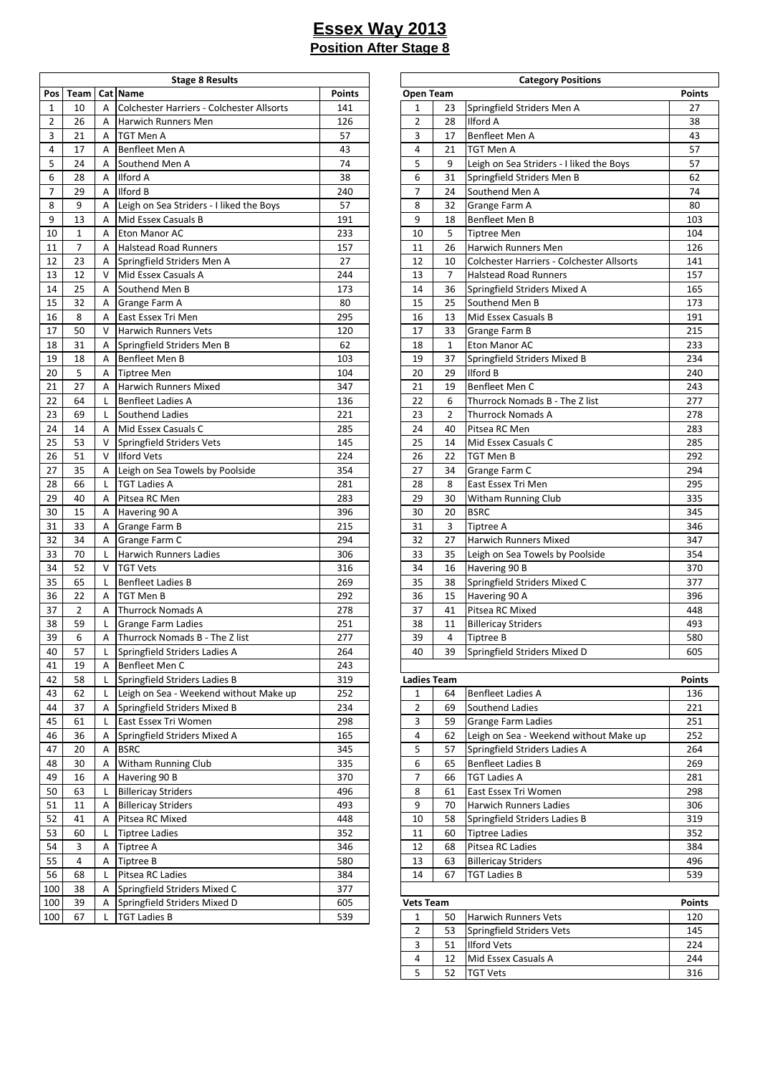|                |                |        | <b>Stage 8 Results</b>                    |               |                    |                | <b>Category Positions</b>                 |               |
|----------------|----------------|--------|-------------------------------------------|---------------|--------------------|----------------|-------------------------------------------|---------------|
| Pos            | Team           |        | Cat Name                                  | <b>Points</b> | Open Team          |                |                                           | <b>Points</b> |
| $\mathbf{1}$   | 10             | A      | Colchester Harriers - Colchester Allsorts | 141           | 1                  | 23             | Springfield Striders Men A                | 27            |
| $\overline{2}$ | 26             | A      | Harwich Runners Men                       | 126           | $\overline{2}$     | 28             | <b>Ilford A</b>                           | 38            |
| 3              | 21             | A      | TGT Men A                                 | 57            | 3                  | 17             | Benfleet Men A                            | 43            |
| 4              | 17             | A      | Benfleet Men A                            | 43            | 4                  | 21             | <b>TGT Men A</b>                          | 57            |
| 5              | 24             | Α      | Southend Men A                            | 74            | 5                  | 9              | Leigh on Sea Striders - I liked the Boys  | 57            |
| 6              | 28             | Α      | Ilford A                                  | 38            | 6                  | 31             | Springfield Striders Men B                | 62            |
| $\overline{7}$ | 29             | A      | Ilford B                                  | 240           | $\overline{7}$     | 24             | Southend Men A                            | 74            |
| 8              | 9              | A      | Leigh on Sea Striders - I liked the Boys  | 57            | 8                  | 32             | Grange Farm A                             | 80            |
| 9              | 13             | A      | Mid Essex Casuals B                       | 191           | 9                  | 18             | Benfleet Men B                            | 103           |
| 10             | $\mathbf{1}$   | A      | Eton Manor AC                             | 233           | 10                 | 5              | <b>Tiptree Men</b>                        | 104           |
| 11             | $\overline{7}$ | A      | <b>Halstead Road Runners</b>              | 157           | 11                 | 26             | Harwich Runners Men                       | 126           |
| 12             | 23             | Α      | Springfield Striders Men A                | 27            | 12                 | 10             | Colchester Harriers - Colchester Allsorts | 141           |
| 13             | 12             | $\vee$ | Mid Essex Casuals A                       | 244           | 13                 | $\overline{7}$ | <b>Halstead Road Runners</b>              | 157           |
| 14             | 25             | A      | Southend Men B                            | 173           | 14                 | 36             | Springfield Striders Mixed A              | 165           |
| 15             | 32             | Α      | Grange Farm A                             | 80            | 15                 | 25             | Southend Men B                            | 173           |
| 16             | 8              | A      | East Essex Tri Men                        | 295           | 16                 | 13             | Mid Essex Casuals B                       | 191           |
| 17             | 50             | V      | <b>Harwich Runners Vets</b>               | 120           | 17                 | 33             | Grange Farm B                             | 215           |
| 18             | 31             | Α      | Springfield Striders Men B                | 62            | 18                 | $\mathbf{1}$   | Eton Manor AC                             | 233           |
| 19             | 18             | A      | Benfleet Men B                            | 103           | 19                 | 37             | Springfield Striders Mixed B              | 234           |
| 20             | 5              | A      | <b>Tiptree Men</b>                        | 104           | 20                 | 29             | <b>Ilford B</b>                           | 240           |
| 21             | 27             | A      | <b>Harwich Runners Mixed</b>              | 347           | 21                 | 19             | Benfleet Men C                            | 243           |
|                |                |        |                                           | 136           | 22                 | 6              | Thurrock Nomads B - The Z list            |               |
| 22             | 64             | L      | <b>Benfleet Ladies A</b>                  |               |                    |                |                                           | 277           |
| 23             | 69             | L      | Southend Ladies                           | 221           | 23                 | $\overline{2}$ | <b>Thurrock Nomads A</b>                  | 278           |
| 24             | 14             | A      | Mid Essex Casuals C                       | 285           | 24                 | 40             | Pitsea RC Men                             | 283           |
| 25             | 53             | V      | Springfield Striders Vets                 | 145           | 25                 | 14             | Mid Essex Casuals C                       | 285           |
| 26             | 51             | V      | <b>Ilford Vets</b>                        | 224           | 26                 | 22             | TGT Men B                                 | 292           |
| 27             | 35             | A      | Leigh on Sea Towels by Poolside           | 354           | 27                 | 34             | Grange Farm C                             | 294           |
| 28             | 66             | L      | <b>TGT Ladies A</b>                       | 281           | 28                 | 8              | East Essex Tri Men                        | 295           |
| 29             | 40             | A      | Pitsea RC Men                             | 283           | 29                 | 30             | Witham Running Club                       | 335           |
| 30             | 15             | Α      | Havering 90 A                             | 396           | 30                 | 20             | <b>BSRC</b>                               | 345           |
| 31             | 33             | Α      | Grange Farm B                             | 215           | 31                 | 3              | <b>Tiptree A</b>                          | 346           |
| 32             | 34             | Α      | Grange Farm C                             | 294           | 32                 | 27             | <b>Harwich Runners Mixed</b>              | 347           |
| 33             | 70             | L      | <b>Harwich Runners Ladies</b>             | 306           | 33                 | 35             | Leigh on Sea Towels by Poolside           | 354           |
| 34             | 52             | V      | <b>TGT Vets</b>                           | 316           | 34                 | 16             | Havering 90 B                             | 370           |
| 35             | 65             | L      | <b>Benfleet Ladies B</b>                  | 269           | 35                 | 38             | Springfield Striders Mixed C              | 377           |
| 36             | 22             | A      | TGT Men B                                 | 292           | 36                 | 15             | Havering 90 A                             | 396           |
| 37             | $\overline{2}$ | A      | Thurrock Nomads A                         | 278           | 37                 | 41             | Pitsea RC Mixed                           | 448           |
| 38             | 59             | L      | Grange Farm Ladies                        | 251           | 38                 | 11             | <b>Billericay Striders</b>                | 493           |
| 39             | 6              | Α      | Thurrock Nomads B - The Z list            | 277           | 39                 | 4              | Tiptree B                                 | 580           |
| 40             | 57             | L      | Springfield Striders Ladies A             | 264           | 40                 | 39             | Springfield Striders Mixed D              | 605           |
| 41             | 19             | A      | Benfleet Men C                            | 243           |                    |                |                                           |               |
| 42             | 58             | L      | Springfield Striders Ladies B             | 319           | <b>Ladies Team</b> |                |                                           | <b>Points</b> |
| 43             | 62             | L      | Leigh on Sea - Weekend without Make up    | 252           | 1                  | 64             | <b>Benfleet Ladies A</b>                  | 136           |
| 44             | 37             | A      | Springfield Striders Mixed B              | 234           | $\overline{2}$     | 69             | Southend Ladies                           | 221           |
| 45             | 61             | L      | East Essex Tri Women                      | 298           | 3                  | 59             | <b>Grange Farm Ladies</b>                 | 251           |
| 46             | 36             | Α      | Springfield Striders Mixed A              | 165           | 4                  | 62             | Leigh on Sea - Weekend without Make up    | 252           |
| 47             | 20             | Α      | <b>BSRC</b>                               | 345           | 5                  | 57             | Springfield Striders Ladies A             | 264           |
| 48             | 30             | Α      | <b>Witham Running Club</b>                | 335           | 6                  | 65             | <b>Benfleet Ladies B</b>                  | 269           |
| 49             | 16             | Α      | Havering 90 B                             | 370           | 7                  | 66             | <b>TGT Ladies A</b>                       | 281           |
| 50             | 63             | L      | <b>Billericay Striders</b>                | 496           | 8                  | 61             | East Essex Tri Women                      | 298           |
| 51             | 11             | Α      | <b>Billericay Striders</b>                | 493           | 9                  | 70             | <b>Harwich Runners Ladies</b>             | 306           |
| 52             | 41             | A      | Pitsea RC Mixed                           | 448           | 10                 | 58             | Springfield Striders Ladies B             | 319           |
| 53             | 60             | L      | <b>Tiptree Ladies</b>                     | 352           | 11                 | 60             | <b>Tiptree Ladies</b>                     | 352           |
| 54             | 3              |        |                                           | 346           | 12                 |                |                                           | 384           |
|                |                | Α      | Tiptree A                                 |               |                    | 68             | Pitsea RC Ladies                          |               |
| 55             | 4              | Α      | <b>Tiptree B</b>                          | 580           | 13                 | 63             | <b>Billericay Striders</b>                | 496           |
| 56             | 68             | L      | Pitsea RC Ladies                          | 384           | 14                 | 67             | <b>TGT Ladies B</b>                       | 539           |
| 100            | 38             | Α      | Springfield Striders Mixed C              | 377           |                    |                |                                           |               |
| 100            | 39             | Α      | Springfield Striders Mixed D              | 605           | <b>Vets Team</b>   |                |                                           | <b>Points</b> |
| 100            | 67             | L      | <b>TGT Ladies B</b>                       | 539           | $\mathbf{1}$       | 50             | Harwich Runners Vets                      | 120           |

| <b>Stage 8 Results</b>        |               |                |                    | <b>Category Positions</b>                 |               |
|-------------------------------|---------------|----------------|--------------------|-------------------------------------------|---------------|
|                               | <b>Points</b> |                | Open Team          |                                           | <b>Points</b> |
| arriers - Colchester Allsorts | 141           | 1              | 23                 | Springfield Striders Men A                | 27            |
| ners Men                      | 126           | 2              | 28                 | Ilford A                                  | 38            |
|                               | 57            | 3              | 17                 | Benfleet Men A                            | 43            |
| n A                           | 43            | 4              | 21                 | TGT Men A                                 | 57            |
| en A                          | 74            | 5              | 9                  | Leigh on Sea Striders - I liked the Boys  | 57            |
|                               | 38            | 6              | 31                 | Springfield Striders Men B                | 62            |
|                               | 240           | 7              | 24                 | Southend Men A                            | 74            |
| Striders - I liked the Boys   | 57            | 8              | 32                 | Grange Farm A                             | 80            |
| asuals B                      | 191           | 9              | 18                 | Benfleet Men B                            | 103           |
| АC                            | 233           | 10             | 5                  | <b>Tiptree Men</b>                        | 104           |
| ad Runners                    | 157           | 11             | 26                 | Harwich Runners Men                       | 126           |
| triders Men A                 | 27            | 12             | 10                 | Colchester Harriers - Colchester Allsorts | 141           |
| asuals A                      | 244           | 13             | 7                  | <b>Halstead Road Runners</b>              | 157           |
| en B                          | 173           | 14             | 36                 | Springfield Striders Mixed A              | 165           |
| ۱A                            | 80            | 15             | 25                 | Southend Men B                            | 173           |
| i Men                         | 295           | 16             | 13                 | Mid Essex Casuals B                       | 191           |
| ners Vets                     | 120           | 17             | 33                 | Grange Farm B                             | 215           |
| triders Men B                 | 62            | 18             | 1                  | Eton Manor AC                             | 233           |
| n B                           | 103           | 19             | 37                 | Springfield Striders Mixed B              | 234           |
|                               | 104           | 20             | 29                 | Ilford B                                  | 240           |
| ners Mixed                    | 347           | 21             | 19                 | Benfleet Men C                            | 243           |
| ies A                         | 136           | 22             | 6                  | Thurrock Nomads B - The Z list            | 277           |
| dies                          | 221           | 23             | 2                  | <b>Thurrock Nomads A</b>                  | 278           |
| asuals C                      | 285           | 24             | 40                 | Pitsea RC Men                             | 283           |
| triders Vets                  | 145           | 25             | 14                 | Mid Essex Casuals C                       | 285           |
|                               | 224           | 26             | 22                 | TGT Men B                                 | 292           |
|                               | 354           | 27             | 34                 |                                           | 294           |
| Towels by Poolside            | 281           | 28             | 8                  | Grange Farm C                             | 295           |
|                               |               |                |                    | East Essex Tri Men                        | 335           |
| эn                            | 283           | 29             | 30                 | Witham Running Club                       |               |
| Α                             | 396           | 30             | 20                 | <b>BSRC</b>                               | 345           |
| ìΒ<br>ı C                     | 215           | 31             | 3                  | Tiptree A                                 | 346           |
|                               | 294           | 32             | 27                 | Harwich Runners Mixed                     | 347           |
| ners Ladies                   | 306           | 33             | 35                 | Leigh on Sea Towels by Poolside           | 354           |
|                               | 316           | 34             | 16                 | Havering 90 B                             | 370           |
| ies B                         | 269           | 35             | 38                 | Springfield Striders Mixed C              | 377           |
|                               | 292           | 36             | 15                 | Havering 90 A                             | 396           |
| mads A                        | 278           | 37             | 41                 | Pitsea RC Mixed                           | 448           |
| າ Ladies                      | 251           | 38             | 11                 | <b>Billericay Striders</b>                | 493           |
| mads B - The Z list           | 277           | 39             | 4                  | Tiptree B                                 | 580           |
| triders Ladies A              | 264           | 40             | 39                 | Springfield Striders Mixed D              | 605           |
| n C                           | 243           |                |                    |                                           |               |
| triders Ladies B              | 319           |                | <b>Ladies Team</b> |                                           | <b>Points</b> |
| - Weekend without Make up     | 252           | 1              | 64                 | <b>Benfleet Ladies A</b>                  | 136           |
| triders Mixed B               | 234           | 2              | 69                 | Southend Ladies                           | 221           |
| i Women                       | 298           | 3              | 59                 | <b>Grange Farm Ladies</b>                 | 251           |
| triders Mixed A               | 165           | 4              | 62                 | Leigh on Sea - Weekend without Make up    | 252           |
|                               | 345           | 5              | 57                 | Springfield Striders Ladies A             | 264           |
| ning Club                     | 335           | 6              | 65                 | <b>Benfleet Ladies B</b>                  | 269           |
| В                             | 370           | 7              | 66                 | <b>TGT Ladies A</b>                       | 281           |
| iders                         | 496           | 8              | 61                 | East Essex Tri Women                      | 298           |
| iders                         | 493           | 9              | 70                 | Harwich Runners Ladies                    | 306           |
| xed                           | 448           | 10             | 58                 | Springfield Striders Ladies B             | 319           |
| эS                            | 352           | 11             | 60                 | <b>Tiptree Ladies</b>                     | 352           |
|                               | 346           | 12             | 68                 | Pitsea RC Ladies                          | 384           |
|                               | 580           | 13             | 63                 | <b>Billericay Striders</b>                | 496           |
| dies                          | 384           | 14             | 67                 | <b>TGT Ladies B</b>                       | 539           |
| triders Mixed C               | 377           |                |                    |                                           |               |
| triders Mixed D               | 605           |                | <b>Vets Team</b>   |                                           | <b>Points</b> |
|                               | 539           | 1              | 50                 | Harwich Runners Vets                      | 120           |
|                               |               | 2              | 53                 | Springfield Striders Vets                 | 145           |
|                               |               | 3              | 51                 | <b>Ilford Vets</b>                        | 224           |
|                               |               | $\overline{4}$ | 12                 | Mid Essex Casuals A                       | 244           |
|                               |               | 5              | 52                 | <b>TGT Vets</b>                           | 316           |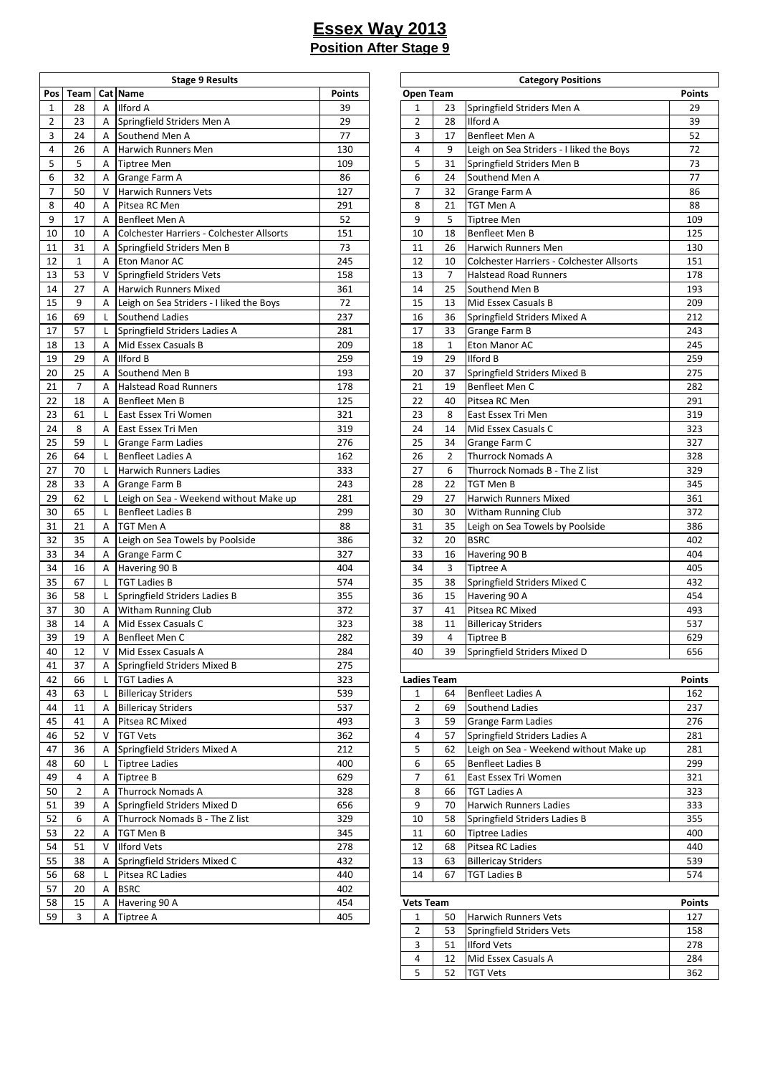|              |                  |   | <b>Stage 9 Results</b>                        |               |                                    |                | <b>Category Positions</b>                 |               |
|--------------|------------------|---|-----------------------------------------------|---------------|------------------------------------|----------------|-------------------------------------------|---------------|
| Pos          | Team             |   | Cat Name                                      | <b>Points</b> | Open Team                          |                |                                           | <b>Points</b> |
| $\mathbf{1}$ | 28               | A | Ilford A                                      | 39            | $\mathbf{1}$                       | 23             | Springfield Striders Men A                | 29            |
| 2            | 23               | A | Springfield Striders Men A                    | 29            | $\overline{2}$                     | 28             | <b>Ilford A</b>                           | 39            |
| 3            | 24               | A | Southend Men A                                | 77            | 3                                  | 17             | Benfleet Men A                            | 52            |
| 4            | 26               | A | Harwich Runners Men                           | 130           | 4                                  | 9              | Leigh on Sea Striders - I liked the Boys  | 72            |
| 5            | 5                | A | <b>Tiptree Men</b>                            | 109           | 5                                  | 31             | Springfield Striders Men B                | 73            |
| 6            | 32               | A | Grange Farm A                                 | 86            | 6                                  | 24             | Southend Men A                            | 77            |
| 7            | 50               | V | <b>Harwich Runners Vets</b>                   | 127           | $\overline{7}$                     | 32             | Grange Farm A                             | 86            |
| 8            | 40               | A | Pitsea RC Men                                 | 291           | 8                                  | 21             | TGT Men A                                 | 88            |
| 9            | 17               | A | Benfleet Men A                                | 52            | 9                                  | 5              | <b>Tiptree Men</b>                        | 109           |
| 10           | 10               | A | Colchester Harriers - Colchester Allsorts     | 151           | 10                                 | 18             | <b>Benfleet Men B</b>                     | 125           |
| 11           | 31               | Α | Springfield Striders Men B                    | 73            | 11                                 | 26             | Harwich Runners Men                       | 130           |
| 12           | $\mathbf{1}$     | A | Eton Manor AC                                 | 245           | 12                                 | 10             | Colchester Harriers - Colchester Allsorts | 151           |
| 13           | 53               | V | Springfield Striders Vets                     | 158           | 13                                 | $\overline{7}$ | <b>Halstead Road Runners</b>              | 178           |
| 14           | 27               | A | <b>Harwich Runners Mixed</b>                  | 361           | 14                                 | 25             | Southend Men B                            | 193           |
| 15           | 9                | Α | Leigh on Sea Striders - I liked the Boys      | 72            | 15                                 | 13             | Mid Essex Casuals B                       | 209           |
| 16           | 69               | L | Southend Ladies                               | 237           | 16                                 | 36             | Springfield Striders Mixed A              | 212           |
| 17           | 57               | L | Springfield Striders Ladies A                 | 281           | 17                                 | 33             | Grange Farm B                             | 243           |
| 18           | 13               | A | Mid Essex Casuals B                           | 209           | 18                                 | $\mathbf{1}$   | Eton Manor AC                             | 245           |
| 19           | 29               | A | Ilford B                                      | 259           | 19                                 | 29             | Ilford B                                  | 259           |
| 20           | 25               | A | Southend Men B                                | 193           | 20                                 | 37             | Springfield Striders Mixed B              | 275           |
| 21           | $\boldsymbol{7}$ | A | <b>Halstead Road Runners</b>                  | 178           | 21                                 | 19             | Benfleet Men C                            | 282           |
| 22           | 18               | A | Benfleet Men B                                | 125           | 22                                 | 40             | Pitsea RC Men                             | 291           |
| 23           | 61               | L | East Essex Tri Women                          | 321           | 23                                 | 8              | East Essex Tri Men                        | 319           |
| 24           | 8                | A | East Essex Tri Men                            | 319           | 24                                 | 14             | Mid Essex Casuals C                       | 323           |
| 25           | 59               | L | <b>Grange Farm Ladies</b>                     | 276           | 25                                 | 34             | Grange Farm C                             | 327           |
| 26           | 64               | L | <b>Benfleet Ladies A</b>                      | 162           | 26                                 | $\overline{2}$ | <b>Thurrock Nomads A</b>                  | 328           |
| 27           | 70               | L | <b>Harwich Runners Ladies</b>                 | 333           | 27                                 | 6              | Thurrock Nomads B - The Z list            | 329           |
| 28           | 33               | A | Grange Farm B                                 | 243           | 28                                 | 22             | TGT Men B                                 | 345           |
| 29           | 62               | L | Leigh on Sea - Weekend without Make up        | 281           | 29                                 | 27             | Harwich Runners Mixed                     | 361           |
| 30           | 65               | L | <b>Benfleet Ladies B</b>                      | 299           | 30                                 | 30             | Witham Running Club                       | 372           |
| 31           | 21               | A | <b>TGT Men A</b>                              | 88            | 31                                 | 35             | Leigh on Sea Towels by Poolside           | 386           |
| 32           | 35               | Α | Leigh on Sea Towels by Poolside               | 386           | 32                                 | 20             | <b>BSRC</b>                               | 402           |
| 33           | 34               | Α | Grange Farm C                                 | 327           | 33                                 | 16             | Havering 90 B                             | 404           |
| 34           | 16               | Α | Havering 90 B                                 | 404           | 34                                 | 3              | Tiptree A                                 | 405           |
| 35           | 67               | L | <b>TGT Ladies B</b>                           | 574           | 35                                 | 38             | Springfield Striders Mixed C              | 432           |
| 36           | 58               | L | Springfield Striders Ladies B                 | 355           | 36                                 | 15             | Havering 90 A                             | 454           |
| 37           | 30               | A | <b>Witham Running Club</b>                    | 372           | 37                                 | 41             | Pitsea RC Mixed                           | 493           |
| 38           | 14               | A | Mid Essex Casuals C                           | 323           | 38                                 | 11             | <b>Billericay Striders</b>                | 537           |
| 39           | 19               | Α | Benfleet Men C                                | 282           | 39                                 | 4              | <b>Tiptree B</b>                          | 629           |
|              |                  | V | Mid Essex Casuals A                           | 284           | 40                                 | 39             | Springfield Striders Mixed D              |               |
| 40<br>41     | 12<br>37         |   | Springfield Striders Mixed B                  | 275           |                                    |                |                                           | 656           |
| 42           |                  | Α |                                               | 323           |                                    |                |                                           |               |
|              | 66               | L | <b>TGT Ladies A</b>                           | 539           | <b>Ladies Team</b><br>$\mathbf{1}$ | 64             | <b>Benfleet Ladies A</b>                  | <b>Points</b> |
| 43           | 63               | L | <b>Billericay Striders</b>                    | 537           | $\overline{2}$                     |                | Southend Ladies                           | 162           |
| 44           | 11               | A | <b>Billericay Striders</b><br>Pitsea RC Mixed | 493           |                                    | 69<br>59       |                                           | 237           |
| 45           | 41               | A |                                               |               | 3                                  |                | Grange Farm Ladies                        | 276           |
| 46           | 52               | V | <b>TGT Vets</b>                               | 362           | 4                                  | 57             | Springfield Striders Ladies A             | 281           |
| 47           | 36               | Α | Springfield Striders Mixed A                  | 212           | 5                                  | 62             | Leigh on Sea - Weekend without Make up    | 281           |
| 48           | 60               | L | <b>Tiptree Ladies</b>                         | 400           | 6                                  | 65             | <b>Benfleet Ladies B</b>                  | 299           |
| 49           | 4                | A | <b>Tiptree B</b>                              | 629           | $\overline{7}$                     | 61             | East Essex Tri Women                      | 321           |
| 50           | $\overline{2}$   | Α | <b>Thurrock Nomads A</b>                      | 328           | 8                                  | 66             | <b>TGT Ladies A</b>                       | 323           |
| 51           | 39               | A | Springfield Striders Mixed D                  | 656           | 9                                  | 70             | <b>Harwich Runners Ladies</b>             | 333           |
| 52           | 6                | Α | Thurrock Nomads B - The Z list                | 329           | 10                                 | 58             | Springfield Striders Ladies B             | 355           |
| 53           | 22               | A | TGT Men B                                     | 345           | 11                                 | 60             | <b>Tiptree Ladies</b>                     | 400           |
| 54           | 51               | V | <b>Ilford Vets</b>                            | 278           | 12                                 | 68             | Pitsea RC Ladies                          | 440           |
| 55           | 38               | A | Springfield Striders Mixed C                  | 432           | 13                                 | 63             | <b>Billericay Striders</b>                | 539           |
| 56           | 68               | L | Pitsea RC Ladies                              | 440           | 14                                 | 67             | <b>TGT Ladies B</b>                       | 574           |
| 57           | 20               | Α | <b>BSRC</b>                                   | 402           |                                    |                |                                           |               |
| 58           | 15               | A | Havering 90 A                                 | 454           | <b>Vets Team</b>                   |                |                                           | <b>Points</b> |
| 59           | 3                | A | Tiptree A                                     | 405           | $\mathbf{1}$                       | 50             | Harwich Runners Vets                      | 127           |

| <b>Stage 9 Results</b>        |               |                    |              | <b>Category Positions</b>                 |               |
|-------------------------------|---------------|--------------------|--------------|-------------------------------------------|---------------|
|                               | <b>Points</b> | Open Team          |              |                                           | <b>Points</b> |
|                               | 39            | 1                  | 23           | Springfield Striders Men A                | 29            |
| triders Men A                 | 29            | 2                  | 28           | <b>Ilford A</b>                           | 39            |
| en A                          | 77            | 3                  | 17           | Benfleet Men A                            | 52            |
| ners Men                      | 130           | 4                  | 9            | Leigh on Sea Striders - I liked the Boys  | 72            |
|                               | 109           | 5                  | 31           | Springfield Striders Men B                | 73            |
| ۱A                            | 86            | 6                  | 24           | Southend Men A                            | 77            |
| ners Vets                     | 127           | 7                  | 32           | Grange Farm A                             | 86            |
|                               | 291           | 8                  | 21           | TGT Men A                                 | 88            |
| эn                            | 52            | 9                  | 5            | <b>Tiptree Men</b>                        | 109           |
| n A                           |               |                    | 18           | Benfleet Men B                            | 125           |
| arriers - Colchester Allsorts | 151           | 10                 |              |                                           |               |
| triders Men B                 | 73            | 11                 | 26           | Harwich Runners Men                       | 130           |
| AC                            | 245           | 12                 | 10           | Colchester Harriers - Colchester Allsorts | 151           |
| triders Vets                  | 158           | 13                 | 7            | <b>Halstead Road Runners</b>              | 178           |
| ners Mixed                    | 361           | 14                 | 25           | Southend Men B                            | 193           |
| Striders - I liked the Boys   | 72            | 15                 | 13           | Mid Essex Casuals B                       | 209           |
| dies                          | 237           | 16                 | 36           | Springfield Striders Mixed A              | 212           |
| triders Ladies A              | 281           | 17                 | 33           | Grange Farm B                             | 243           |
| asuals B                      | 209           | 18                 | $\mathbf{1}$ | Eton Manor AC                             | 245           |
|                               | 259           | 19                 | 29           | <b>Ilford B</b>                           | 259           |
| en B                          | 193           | 20                 | 37           | Springfield Striders Mixed B              | 275           |
| ad Runners                    | 178           | 21                 | 19           | Benfleet Men C                            | 282           |
| n B                           | 125           | 22                 | 40           | Pitsea RC Men                             | 291           |
| i Women                       | 321           | 23                 | 8            | East Essex Tri Men                        | 319           |
| i Men                         | 319           | 24                 | 14           | Mid Essex Casuals C                       | 323           |
| n Ladies                      | 276           | 25                 | 34           | Grange Farm C                             | 327           |
| ies A                         | 162           | 26                 | 2            | <b>Thurrock Nomads A</b>                  | 328           |
| ners Ladies                   | 333           | 27                 | 6            | Thurrock Nomads B - The Z list            | 329           |
| ìΒ                            | 243           | 28                 | 22           | TGT Men B                                 | 345           |
| - Weekend without Make up     | 281           | 29                 | 27           | <b>Harwich Runners Mixed</b>              | 361           |
| ies B                         | 299           | 30                 | 30           | <b>Witham Running Club</b>                | 372           |
|                               | 88            | 31                 | 35           | Leigh on Sea Towels by Poolside           | 386           |
| Towels by Poolside            | 386           | 32                 | 20           | <b>BSRC</b>                               | 402           |
|                               | 327           | 33                 |              |                                           | 404           |
| ۱C<br>B                       | 404           | 34                 | 16<br>3      | Havering 90 B                             | 405           |
|                               |               |                    |              | Tiptree A                                 |               |
|                               | 574           | 35                 | 38           | Springfield Striders Mixed C              | 432           |
| triders Ladies B              | 355           | 36                 | 15           | Havering 90 A                             | 454           |
| ning Club                     | 372           | 37                 | 41           | Pitsea RC Mixed                           | 493           |
| asuals C                      | 323           | 38                 | 11           | <b>Billericay Striders</b>                | 537           |
| n C                           | 282           | 39                 | 4            | <b>Tiptree B</b>                          | 629           |
| asuals A                      | 284           | 40                 | 39           | Springfield Striders Mixed D              | 656           |
| triders Mixed B               | 275           |                    |              |                                           |               |
|                               | 323           | <b>Ladies Team</b> |              |                                           | Points        |
| iders                         | 539           | $\mathbf{1}$       | 64           | <b>Benfleet Ladies A</b>                  | 162           |
| iders                         | 537           | 2                  | 69           | Southend Ladies                           | 237           |
| xed                           | 493           | 3                  | 59           | Grange Farm Ladies                        | 276           |
|                               | 362           | 4                  | 57           | Springfield Striders Ladies A             | 281           |
| triders Mixed A               | 212           | 5                  | 62           | Leigh on Sea - Weekend without Make up    | 281           |
| эS                            | 400           | 6                  | 65           | <b>Benfleet Ladies B</b>                  | 299           |
|                               | 629           | 7                  | 61           | East Essex Tri Women                      | 321           |
| mads A                        | 328           | 8                  | 66           | <b>TGT Ladies A</b>                       | 323           |
| triders Mixed D               | 656           | 9                  | 70           | <b>Harwich Runners Ladies</b>             | 333           |
| mads B - The Z list           | 329           | 10                 | 58           | Springfield Striders Ladies B             | 355           |
|                               | 345           | 11                 | 60           | <b>Tiptree Ladies</b>                     | 400           |
|                               | 278           | 12                 | 68           | Pitsea RC Ladies                          | 440           |
| triders Mixed C               | 432           |                    |              |                                           | 539           |
|                               |               | 13                 | 63           | <b>Billericay Striders</b>                |               |
| dies                          | 440           | 14                 | 67           | TGT Ladies B                              | 574           |
|                               | 402           |                    |              |                                           |               |
| A                             | 454           | Vets Team          |              |                                           | <b>Points</b> |
|                               | 405           | 1                  | 50           | Harwich Runners Vets                      | 127           |
|                               |               | 2                  | 53           | Springfield Striders Vets                 | 158           |
|                               |               | 3                  | 51           | <b>Ilford Vets</b>                        | 278           |
|                               |               | 4                  | 12           | Mid Essex Casuals A                       | 284           |
|                               |               | 5                  | 52           | <b>TGT Vets</b>                           | 362           |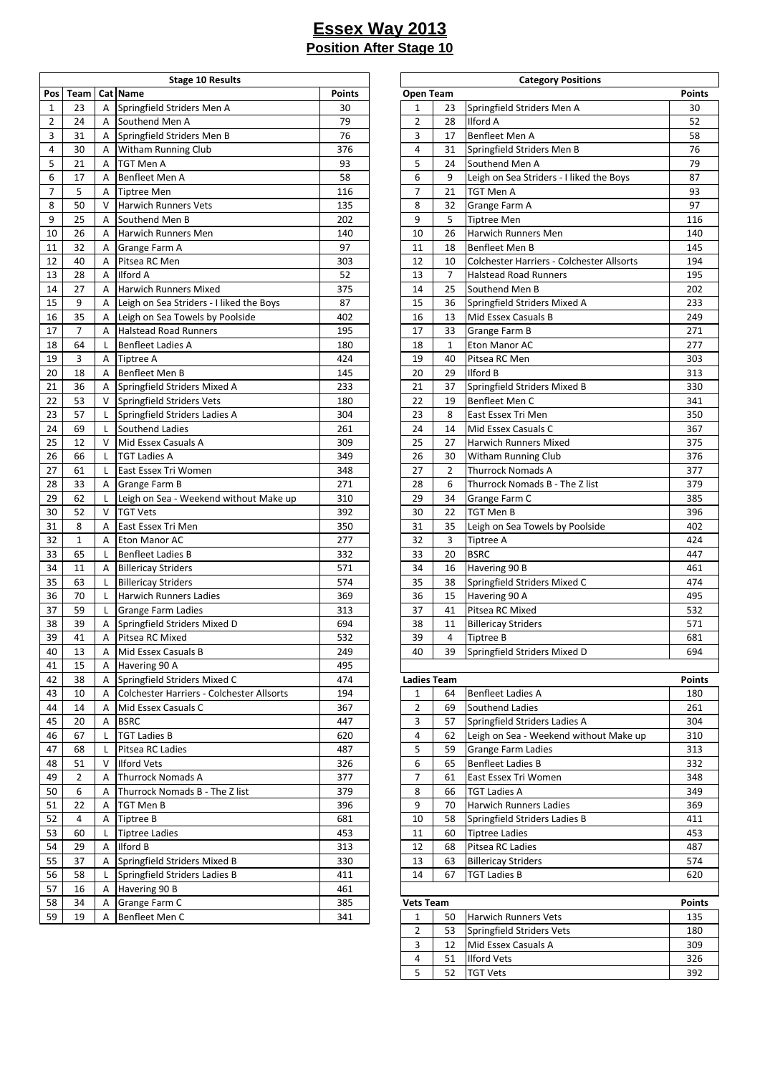|                |              |        | <b>Stage 10 Results</b>                   |               |                    |                | <b>Category Positions</b>                 |               |
|----------------|--------------|--------|-------------------------------------------|---------------|--------------------|----------------|-------------------------------------------|---------------|
| Pos            | Team         |        | Cat Name                                  | <b>Points</b> | Open Team          |                |                                           | <b>Points</b> |
| $\mathbf{1}$   | 23           | A      | Springfield Striders Men A                | 30            | 1                  | 23             | Springfield Striders Men A                | 30            |
| 2              | 24           | A      | Southend Men A                            | 79            | $\overline{2}$     | 28             | <b>Ilford A</b>                           | 52            |
| 3              | 31           | Α      | Springfield Striders Men B                | 76            | 3                  | 17             | <b>Benfleet Men A</b>                     | 58            |
| 4              | 30           | Α      | Witham Running Club                       | 376           | 4                  | 31             | Springfield Striders Men B                | 76            |
| 5              | 21           | Α      | TGT Men A                                 | 93            | 5                  | 24             | Southend Men A                            | 79            |
| 6              | 17           | A      | Benfleet Men A                            | 58            | 6                  | 9              | Leigh on Sea Striders - I liked the Boys  | 87            |
| $\overline{7}$ | 5            | A      | <b>Tiptree Men</b>                        | 116           | 7                  | 21             | <b>TGT Men A</b>                          | 93            |
| 8              | 50           | $\vee$ | <b>Harwich Runners Vets</b>               | 135           | 8                  | 32             | Grange Farm A                             | 97            |
| 9              | 25           | A      | Southend Men B                            | 202           | 9                  | 5              | <b>Tiptree Men</b>                        | 116           |
| 10             | 26           | Α      | Harwich Runners Men                       | 140           | 10                 | 26             | Harwich Runners Men                       | 140           |
| 11             | 32           | Α      | Grange Farm A                             | 97            | 11                 | 18             | <b>Benfleet Men B</b>                     | 145           |
| 12             | 40           | Α      | Pitsea RC Men                             | 303           | 12                 | 10             | Colchester Harriers - Colchester Allsorts | 194           |
| 13             | 28           | A      | Ilford A                                  | 52            | 13                 | $\overline{7}$ | <b>Halstead Road Runners</b>              | 195           |
| 14             | 27           | A      | <b>Harwich Runners Mixed</b>              | 375           | 14                 | 25             | Southend Men B                            | 202           |
| 15             | 9            | Α      | Leigh on Sea Striders - I liked the Boys  | 87            | 15                 | 36             | Springfield Striders Mixed A              | 233           |
| 16             | 35           | Α      | Leigh on Sea Towels by Poolside           | 402           | 16                 | 13             | Mid Essex Casuals B                       | 249           |
| 17             | 7            | A      | <b>Halstead Road Runners</b>              | 195           | 17                 | 33             | Grange Farm B                             | 271           |
| 18             | 64           | L      | <b>Benfleet Ladies A</b>                  | 180           | 18                 | $\mathbf{1}$   | Eton Manor AC                             | 277           |
| 19             | 3            | Α      | <b>Tiptree A</b>                          | 424           | 19                 | 40             | Pitsea RC Men                             | 303           |
| 20             | 18           | A      | Benfleet Men B                            | 145           | 20                 | 29             | <b>Ilford B</b>                           | 313           |
|                |              |        |                                           |               |                    |                |                                           |               |
| 21             | 36           | Α      | Springfield Striders Mixed A              | 233           | 21                 | 37             | Springfield Striders Mixed B              | 330           |
| 22             | 53           | V      | Springfield Striders Vets                 | 180           | 22                 | 19             | Benfleet Men C                            | 341           |
| 23             | 57           | L      | Springfield Striders Ladies A             | 304           | 23                 | 8              | East Essex Tri Men                        | 350           |
| 24             | 69           | L      | Southend Ladies                           | 261           | 24                 | 14             | Mid Essex Casuals C                       | 367           |
| 25             | 12           | $\vee$ | Mid Essex Casuals A                       | 309           | 25                 | 27             | <b>Harwich Runners Mixed</b>              | 375           |
| 26             | 66           | L      | <b>TGT Ladies A</b>                       | 349           | 26                 | 30             | <b>Witham Running Club</b>                | 376           |
| 27             | 61           | L      | East Essex Tri Women                      | 348           | 27                 | $\overline{2}$ | <b>Thurrock Nomads A</b>                  | 377           |
| 28             | 33           | A      | Grange Farm B                             | 271           | 28                 | 6              | Thurrock Nomads B - The Z list            | 379           |
| 29             | 62           | L      | Leigh on Sea - Weekend without Make up    | 310           | 29                 | 34             | Grange Farm C                             | 385           |
| 30             | 52           | $\vee$ | <b>TGT Vets</b>                           | 392           | 30                 | 22             | TGT Men B                                 | 396           |
| 31             | 8            | A      | East Essex Tri Men                        | 350           | 31                 | 35             | Leigh on Sea Towels by Poolside           | 402           |
| 32             | $\mathbf{1}$ | A      | Eton Manor AC                             | 277           | 32                 | $\mathbf{3}$   | <b>Tiptree A</b>                          | 424           |
| 33             | 65           | L      | <b>Benfleet Ladies B</b>                  | 332           | 33                 | 20             | <b>BSRC</b>                               | 447           |
| 34             | 11           | Α      | <b>Billericay Striders</b>                | 571           | 34                 | 16             | Havering 90 B                             | 461           |
| 35             | 63           | L      | <b>Billericay Striders</b>                | 574           | 35                 | 38             | Springfield Striders Mixed C              | 474           |
| 36             | 70           | L      | <b>Harwich Runners Ladies</b>             | 369           | 36                 | 15             | Havering 90 A                             | 495           |
| 37             | 59           | L      | <b>Grange Farm Ladies</b>                 | 313           | 37                 | 41             | Pitsea RC Mixed                           | 532           |
| 38             | 39           | A      | Springfield Striders Mixed D              | 694           | 38                 | 11             | <b>Billericay Striders</b>                | 571           |
| 39             | 41           | Α      | Pitsea RC Mixed                           | 532           | 39                 | 4              | Tiptree B                                 | 681           |
| 40             | 13           | Α      | Mid Essex Casuals B                       | 249           | 40                 | 39             | Springfield Striders Mixed D              | 694           |
| 41             | 15           | A      | Havering 90 A                             | 495           |                    |                |                                           |               |
| 42             | 38           | Α      | Springfield Striders Mixed C              | 474           | <b>Ladies Team</b> |                |                                           | <b>Points</b> |
| 43             | 10           | Α      | Colchester Harriers - Colchester Allsorts | 194           | 1                  | 64             | <b>Benfleet Ladies A</b>                  | 180           |
| 44             | 14           | Α      | Mid Essex Casuals C                       | 367           | 2                  | 69             | Southend Ladies                           | 261           |
| 45             | 20           | Α      | <b>BSRC</b>                               | 447           | 3                  | 57             | Springfield Striders Ladies A             | 304           |
| 46             | 67           | L      | <b>TGT Ladies B</b>                       | 620           | 4                  | 62             | Leigh on Sea - Weekend without Make up    | 310           |
| 47             | 68           | L      | Pitsea RC Ladies                          | 487           | 5                  | 59             | <b>Grange Farm Ladies</b>                 | 313           |
| 48             | 51           | V      | <b>Ilford Vets</b>                        | 326           | 6                  | 65             | <b>Benfleet Ladies B</b>                  | 332           |
| 49             | 2            | Α      | <b>Thurrock Nomads A</b>                  | 377           | $\overline{7}$     | 61             | East Essex Tri Women                      | 348           |
| 50             | 6            | A      | Thurrock Nomads B - The Z list            | 379           | 8                  | 66             | <b>TGT Ladies A</b>                       | 349           |
| 51             | 22           | Α      | TGT Men B                                 | 396           | 9                  | 70             | <b>Harwich Runners Ladies</b>             | 369           |
| 52             | 4            | A      | Tiptree B                                 | 681           | $10\,$             | 58             | Springfield Striders Ladies B             | 411           |
| 53             | 60           | L      | <b>Tiptree Ladies</b>                     | 453           | 11                 | 60             | <b>Tiptree Ladies</b>                     | 453           |
| 54             | 29           | Α      | Ilford B                                  | 313           | 12                 | 68             | Pitsea RC Ladies                          | 487           |
|                |              |        | Springfield Striders Mixed B              |               |                    |                |                                           |               |
| 55             | 37           | Α      |                                           | 330           | 13                 | 63             | <b>Billericay Striders</b>                | 574           |
| 56             | 58           | L      | Springfield Striders Ladies B             | 411           | 14                 | 67             | <b>TGT Ladies B</b>                       | 620           |
| 57             | 16           | A      | Havering 90 B                             | 461           |                    |                |                                           |               |
| 58             | 34           | A      | Grange Farm C                             | 385           | <b>Vets Team</b>   |                |                                           | <b>Points</b> |
| 59             | 19           | Α      | Benfleet Men C                            | 341           | $\mathbf{1}$       | 50             | <b>Harwich Runners Vets</b>               | 135           |

| <b>Stage 10 Results</b>        |               |                  |                    | <b>Category Positions</b>                 |               |
|--------------------------------|---------------|------------------|--------------------|-------------------------------------------|---------------|
|                                | <b>Points</b> |                  | Open Team          |                                           | <b>Points</b> |
| Striders Men A                 | 30            | 1                | 23                 | Springfield Striders Men A                | 30            |
| len A                          | 79            | 2                | 28                 | Ilford A                                  | 52            |
| Striders Men B                 | 76            | 3                | 17                 | Benfleet Men A                            | 58            |
| nning Club                     | 376           | $\overline{4}$   | 31                 | Springfield Striders Men B                | 76            |
|                                | 93            | 5                | 24                 | Southend Men A                            | 79            |
| en A                           | 58            | 6                | 9                  | Leigh on Sea Striders - I liked the Boys  | 87            |
|                                | 116           | $\overline{7}$   | 21                 | TGT Men A                                 | 93            |
| าners Vets                     | 135           | 8                | 32                 | Grange Farm A                             | 97            |
| len B                          | 202           | 9                | 5                  | <b>Tiptree Men</b>                        | 116           |
| าners Men                      | 140           | 10               | 26                 | Harwich Runners Men                       | 140           |
|                                | 97            | 11               |                    | Benfleet Men B                            | 145           |
| n A                            |               |                  | 18                 |                                           |               |
| en                             | 303           | 12               | 10                 | Colchester Harriers - Colchester Allsorts | 194           |
|                                | 52            | 13               | 7                  | <b>Halstead Road Runners</b>              | 195           |
| าners Mixed                    | 375           | 14               | 25                 | Southend Men B                            | 202           |
| a Striders - I liked the Boys  | 87            | 15               | 36                 | Springfield Striders Mixed A              | 233           |
| a Towels by Poolside           | 402           | 16               | 13                 | Mid Essex Casuals B                       | 249           |
| ad Runners                     | 195           | 17               | 33                 | Grange Farm B                             | 271           |
| dies A                         | 180           | 18               | 1                  | Eton Manor AC                             | 277           |
|                                | 424           | 19               | 40                 | Pitsea RC Men                             | 303           |
| en B                           | 145           | 20               | 29                 | Ilford B                                  | 313           |
| Striders Mixed A               | 233           | 21               | 37                 | Springfield Striders Mixed B              | 330           |
| Striders Vets                  | 180           | 22               | 19                 | Benfleet Men C                            | 341           |
| Striders Ladies A              | 304           | 23               | 8                  | East Essex Tri Men                        | 350           |
| adies                          | 261           | 24               | 14                 | Mid Essex Casuals C                       | 367           |
| asuals A                       | 309           | 25               | 27                 | Harwich Runners Mixed                     | 375           |
| 4                              | 349           | 26               | 30                 | <b>Witham Running Club</b>                | 376           |
| ri Women                       | 348           | 27               | 2                  | <b>Thurrock Nomads A</b>                  | 377           |
| n B                            | 271           | 28               | 6                  | Thurrock Nomads B - The Z list            | 379           |
| a - Weekend without Make up    | 310           | 29               | 34                 | Grange Farm C                             | 385           |
|                                | 392           | 30               | 22                 | TGT Men B                                 | 396           |
| ri Men                         | 350           | 31               | 35                 | Leigh on Sea Towels by Poolside           | 402           |
| AC                             | 277           | 32               | 3                  | Tiptree A                                 | 424           |
| lies B                         | 332           | 33               | 20                 | <b>BSRC</b>                               | 447           |
|                                | 571           | 34               |                    |                                           | 461           |
| riders                         |               |                  | 16                 | Havering 90 B                             |               |
| riders                         | 574           | 35               | 38                 | Springfield Striders Mixed C              | 474           |
| าners Ladies                   | 369           | 36               | 15                 | Havering 90 A                             | 495           |
| n Ladies                       | 313           | 37               | 41                 | Pitsea RC Mixed                           | 532           |
| Striders Mixed D               | 694           | 38               | 11                 | <b>Billericay Striders</b>                | 571           |
| ixed                           | 532           | 39               | 4                  | Tiptree B                                 | 681           |
| asuals B                       | 249           | 40               | 39                 | Springfield Striders Mixed D              | 694           |
| Α                              | 495           |                  |                    |                                           |               |
| Striders Mixed C               | 474           |                  | <b>Ladies Team</b> |                                           | <b>Points</b> |
| Harriers - Colchester Allsorts | 194           | 1                | 64                 | <b>Benfleet Ladies A</b>                  | 180           |
| asuals C                       | 367           | $\overline{2}$   | 69                 | Southend Ladies                           | 261           |
|                                | 447           | 3                | 57                 | Springfield Striders Ladies A             | 304           |
| $\overline{\mathbf{3}}$        | 620           | 4                | 62                 | Leigh on Sea - Weekend without Make up    | 310           |
| dies                           | 487           | 5                | 59                 | Grange Farm Ladies                        | 313           |
|                                | 326           | 6                | 65                 | <b>Benfleet Ladies B</b>                  | 332           |
| mads A                         | 377           | 7                | 61                 | East Essex Tri Women                      | 348           |
| omads B - The Z list           | 379           | 8                | 66                 | <b>TGT Ladies A</b>                       | 349           |
|                                | 396           | 9                | 70                 | <b>Harwich Runners Ladies</b>             | 369           |
|                                | 681           | 10               | 58                 | Springfield Striders Ladies B             | 411           |
| es                             | 453           | 11               | 60                 | <b>Tiptree Ladies</b>                     | 453           |
|                                | 313           | 12               | 68                 | Pitsea RC Ladies                          | 487           |
| Striders Mixed B               | 330           | 13               | 63                 | <b>Billericay Striders</b>                | 574           |
|                                |               | 14               |                    |                                           |               |
| Striders Ladies B              | 411           |                  | 67                 | <b>TGT Ladies B</b>                       | 620           |
| B                              | 461           |                  |                    |                                           |               |
| n C                            | 385           | <b>Vets Team</b> |                    |                                           | <b>Points</b> |
| en C                           | 341           | 1                | 50                 | Harwich Runners Vets                      | 135           |
|                                |               | $\overline{2}$   | 53                 | Springfield Striders Vets                 | 180           |
|                                |               | 3                | 12                 | Mid Essex Casuals A                       | 309           |
|                                |               | 4                | 51                 | <b>Ilford Vets</b>                        | 326           |
|                                |               | 5                | 52                 | <b>TGT Vets</b>                           | 392           |